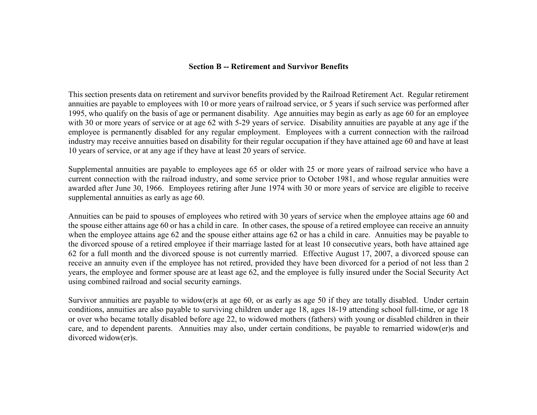# **Section B -- Retirement and Survivor Benefits**

This section presents data on retirement and survivor benefits provided by the Railroad Retirement Act. Regular retirement annuities are payable to employees with 10 or more years of railroad service, or 5 years if such service was performed after 1995, who qualify on the basis of age or permanent disability. Age annuities may begin as early as age 60 for an employee with 30 or more years of service or at age 62 with 5-29 years of service. Disability annuities are payable at any age if the employee is permanently disabled for any regular employment. Employees with a current connection with the railroad industry may receive annuities based on disability for their regular occupation if they have attained age 60 and have at least 10 years of service, or at any age if they have at least 20 years of service.

Supplemental annuities are payable to employees age 65 or older with 25 or more years of railroad service who have a current connection with the railroad industry, and some service prior to October 1981, and whose regular annuities were awarded after June 30, 1966. Employees retiring after June 1974 with 30 or more years of service are eligible to receive supplemental annuities as early as age 60.

Annuities can be paid to spouses of employees who retired with 30 years of service when the employee attains age 60 and the spouse either attains age 60 or has a child in care. In other cases, the spouse of a retired employee can receive an annuity when the employee attains age 62 and the spouse either attains age 62 or has a child in care. Annuities may be payable to the divorced spouse of a retired employee if their marriage lasted for at least 10 consecutive years, both have attained age 62 for a full month and the divorced spouse is not currently married. Effective August 17, 2007, a divorced spouse can receive an annuity even if the employee has not retired, provided they have been divorced for a period of not less than 2 years, the employee and former spouse are at least age 62, and the employee is fully insured under the Social Security Act using combined railroad and social security earnings.

Survivor annuities are payable to widow(er)s at age 60, or as early as age 50 if they are totally disabled. Under certain conditions, annuities are also payable to surviving children under age 18, ages 18-19 attending school full-time, or age 18 or over who became totally disabled before age 22, to widowed mothers (fathers) with young or disabled children in their care, and to dependent parents. Annuities may also, under certain conditions, be payable to remarried widow(er)s and divorced widow(er)s.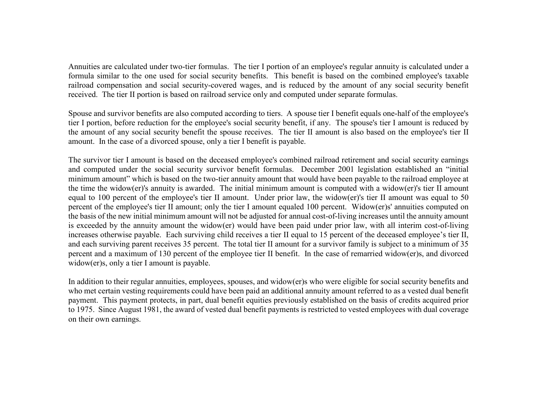Annuities are calculated under two-tier formulas. The tier I portion of an employee's regular annuity is calculated under a formula similar to the one used for social security benefits. This benefit is based on the combined employee's taxable railroad compensation and social security-covered wages, and is reduced by the amount of any social security benefit received. The tier II portion is based on railroad service only and computed under separate formulas.

Spouse and survivor benefits are also computed according to tiers. A spouse tier I benefit equals one-half of the employee's tier I portion, before reduction for the employee's social security benefit, if any. The spouse's tier I amount is reduced by the amount of any social security benefit the spouse receives. The tier II amount is also based on the employee's tier II amount. In the case of a divorced spouse, only a tier I benefit is payable.

The survivor tier I amount is based on the deceased employee's combined railroad retirement and social security earnings and computed under the social security survivor benefit formulas. December 2001 legislation established an "initial minimum amount" which is based on the two-tier annuity amount that would have been payable to the railroad employee at the time the widow(er)'s annuity is awarded. The initial minimum amount is computed with a widow(er)'s tier II amount equal to 100 percent of the employee's tier II amount. Under prior law, the widow(er)'s tier II amount was equal to 50 percent of the employee's tier II amount; only the tier I amount equaled 100 percent. Widow(er)s' annuities computed on the basis of the new initial minimum amount will not be adjusted for annual cost-of-living increases until the annuity amount is exceeded by the annuity amount the widow(er) would have been paid under prior law, with all interim cost-of-living increases otherwise payable. Each surviving child receives a tier II equal to 15 percent of the deceased employee's tier II, and each surviving parent receives 35 percent. The total tier II amount for a survivor family is subject to a minimum of 35 percent and a maximum of 130 percent of the employee tier II benefit. In the case of remarried widow(er)s, and divorced widow(er)s, only a tier I amount is payable.

In addition to their regular annuities, employees, spouses, and widow(er)s who were eligible for social security benefits and who met certain vesting requirements could have been paid an additional annuity amount referred to as a vested dual benefit payment. This payment protects, in part, dual benefit equities previously established on the basis of credits acquired prior to 1975. Since August 1981, the award of vested dual benefit payments is restricted to vested employees with dual coverage on their own earnings.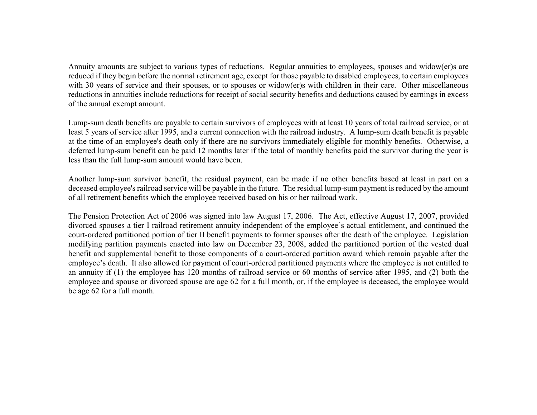Annuity amounts are subject to various types of reductions. Regular annuities to employees, spouses and widow(er)s are reduced if they begin before the normal retirement age, except for those payable to disabled employees, to certain employees with 30 years of service and their spouses, or to spouses or widow(er)s with children in their care. Other miscellaneous reductions in annuities include reductions for receipt of social security benefits and deductions caused by earnings in excess of the annual exempt amount.

Lump-sum death benefits are payable to certain survivors of employees with at least 10 years of total railroad service, or at least 5 years of service after 1995, and a current connection with the railroad industry. A lump-sum death benefit is payable at the time of an employee's death only if there are no survivors immediately eligible for monthly benefits. Otherwise, a deferred lump-sum benefit can be paid 12 months later if the total of monthly benefits paid the survivor during the year is less than the full lump-sum amount would have been.

Another lump-sum survivor benefit, the residual payment, can be made if no other benefits based at least in part on a deceased employee's railroad service will be payable in the future. The residual lump-sum payment is reduced by the amount of all retirement benefits which the employee received based on his or her railroad work.

The Pension Protection Act of 2006 was signed into law August 17, 2006. The Act, effective August 17, 2007, provided divorced spouses a tier I railroad retirement annuity independent of the employee's actual entitlement, and continued the court-ordered partitioned portion of tier II benefit payments to former spouses after the death of the employee. Legislation modifying partition payments enacted into law on December 23, 2008, added the partitioned portion of the vested dual benefit and supplemental benefit to those components of a court-ordered partition award which remain payable after the employee's death. It also allowed for payment of court-ordered partitioned payments where the employee is not entitled to an annuity if (1) the employee has 120 months of railroad service or 60 months of service after 1995, and (2) both the employee and spouse or divorced spouse are age 62 for a full month, or, if the employee is deceased, the employee would be age 62 for a full month.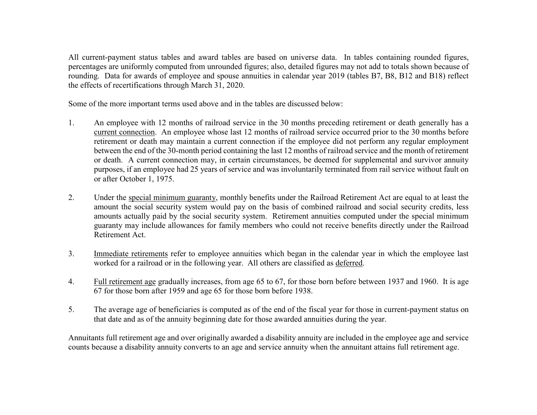All current-payment status tables and award tables are based on universe data. In tables containing rounded figures, percentages are uniformly computed from unrounded figures; also, detailed figures may not add to totals shown because of rounding. Data for awards of employee and spouse annuities in calendar year 2019 (tables B7, B8, B12 and B18) reflect the effects of recertifications through March 31, 2020.

Some of the more important terms used above and in the tables are discussed below:

- 1. An employee with 12 months of railroad service in the 30 months preceding retirement or death generally has a current connection. An employee whose last 12 months of railroad service occurred prior to the 30 months before retirement or death may maintain a current connection if the employee did not perform any regular employment between the end of the 30-month period containing the last 12 months of railroad service and the month of retirement or death. A current connection may, in certain circumstances, be deemed for supplemental and survivor annuity purposes, if an employee had 25 years of service and was involuntarily terminated from rail service without fault on or after October 1, 1975.
- 2. Under the special minimum guaranty, monthly benefits under the Railroad Retirement Act are equal to at least the amount the social security system would pay on the basis of combined railroad and social security credits, less amounts actually paid by the social security system. Retirement annuities computed under the special minimum guaranty may include allowances for family members who could not receive benefits directly under the Railroad Retirement Act.
- 3. Immediate retirements refer to employee annuities which began in the calendar year in which the employee last worked for a railroad or in the following year. All others are classified as deferred.
- 4. Full retirement age gradually increases, from age 65 to 67, for those born before between 1937 and 1960. It is age 67 for those born after 1959 and age 65 for those born before 1938.
- 5. The average age of beneficiaries is computed as of the end of the fiscal year for those in current-payment status on that date and as of the annuity beginning date for those awarded annuities during the year.

Annuitants full retirement age and over originally awarded a disability annuity are included in the employee age and service counts because a disability annuity converts to an age and service annuity when the annuitant attains full retirement age.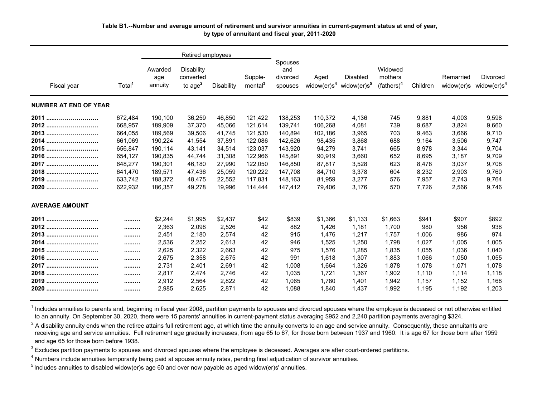# **Table B1.--Number and average amount of retirement and survivor annuities in current-payment status at end of year, by type of annuitant and fiscal year, 2011-2020**

|                              | Retired employees |                           |                                             |            |                                |                                       |                                     |                                            |                                     |          |                         |                                     |
|------------------------------|-------------------|---------------------------|---------------------------------------------|------------|--------------------------------|---------------------------------------|-------------------------------------|--------------------------------------------|-------------------------------------|----------|-------------------------|-------------------------------------|
| Fiscal year                  | Total             | Awarded<br>age<br>annuity | <b>Disability</b><br>converted<br>to $age2$ | Disability | Supple-<br>mental <sup>3</sup> | Spouses<br>and<br>divorced<br>spouses | Aged<br>widow( $er$ )s <sup>4</sup> | <b>Disabled</b><br>widow(er)s <sup>5</sup> | Widowed<br>mothers<br>$(fathers)^4$ | Children | Remarried<br>widow(er)s | Divorced<br>widow(er)s <sup>4</sup> |
| <b>NUMBER AT END OF YEAR</b> |                   |                           |                                             |            |                                |                                       |                                     |                                            |                                     |          |                         |                                     |
| 2011                         | 672,484           | 190,100                   | 36,259                                      | 46,850     | 121,422                        | 138,253                               | 110,372                             | 4,136                                      | 745                                 | 9,881    | 4,003                   | 9,598                               |
| 2012                         | 668,957           | 189,909                   | 37,370                                      | 45,066     | 121,614                        | 139,741                               | 106,268                             | 4,081                                      | 739                                 | 9,687    | 3.824                   | 9,660                               |
| 2013                         | 664,055           | 189,569                   | 39,506                                      | 41,745     | 121,530                        | 140.894                               | 102,186                             | 3,965                                      | 703                                 | 9,463    | 3,666                   | 9,710                               |
| 2014                         | 661,069           | 190,224                   | 41,554                                      | 37,891     | 122,086                        | 142.626                               | 98,435                              | 3,868                                      | 688                                 | 9,164    | 3.506                   | 9,747                               |
| 2015                         | 656,847           | 190,114                   | 43,141                                      | 34,514     | 123,037                        | 143,920                               | 94,279                              | 3,741                                      | 665                                 | 8,978    | 3,344                   | 9,704                               |
| 2016                         | 654,127           | 190,835                   | 44.744                                      | 31,308     | 122.966                        | 145.891                               | 90.919                              | 3.660                                      | 652                                 | 8.695    | 3.187                   | 9.709                               |
| 2017                         | 648.277           | 190,301                   | 46,180                                      | 27,990     | 122,050                        | 146.850                               | 87,817                              | 3,528                                      | 623                                 | 8,478    | 3.037                   | 9,708                               |
| 2018                         | 641,470           | 189,571                   | 47,436                                      | 25,059     | 120,222                        | 147,708                               | 84,710                              | 3,378                                      | 604                                 | 8,232    | 2,903                   | 9,760                               |
| 2019                         | 633,742           | 188,372                   | 48,475                                      | 22,552     | 117.831                        | 148.163                               | 81,959                              | 3,277                                      | 576                                 | 7.957    | 2.743                   | 9,764                               |
| 2020                         | 622,932           | 186,357                   | 49,278                                      | 19,996     | 114,444                        | 147,412                               | 79,406                              | 3,176                                      | 570                                 | 7,726    | 2,566                   | 9,746                               |
| <b>AVERAGE AMOUNT</b>        |                   |                           |                                             |            |                                |                                       |                                     |                                            |                                     |          |                         |                                     |
| 2011                         | .                 | \$2,244                   | \$1.995                                     | \$2,437    | \$42                           | \$839                                 | \$1,366                             | \$1.133                                    | \$1,663                             | \$941    | \$907                   | \$892                               |
| 2012                         |                   | 2,363                     | 2,098                                       | 2,526      | 42                             | 882                                   | 1,426                               | 1,181                                      | 1,700                               | 980      | 956                     | 938                                 |
| 2013                         |                   | 2,451                     | 2,180                                       | 2,574      | 42                             | 915                                   | 1,476                               | 1,217                                      | 1,757                               | 1,006    | 986                     | 974                                 |
| 2014.<br>                    |                   | 2,536                     | 2,252                                       | 2,613      | 42                             | 946                                   | 1,525                               | 1,250                                      | 1,798                               | 1,027    | 1,005                   | 1,005                               |
| 2015<br>                     |                   | 2,625                     | 2,322                                       | 2,663      | 42                             | 975                                   | 1,576                               | 1.285                                      | 1,835                               | 1,055    | 1,036                   | 1,040                               |
| 2016                         |                   | 2,675                     | 2,358                                       | 2,675      | 42                             | 991                                   | 1,618                               | 1,307                                      | 1,883                               | 1,066    | 1.050                   | 1,055                               |
| 2017                         |                   | 2,731                     | 2,401                                       | 2,691      | 42                             | 1,008                                 | 1,664                               | 1,326                                      | 1,878                               | 1,078    | 1,071                   | 1,078                               |
| 2018                         |                   | 2,817                     | 2,474                                       | 2.746      | 42                             | 1.035                                 | 1.721                               | 1.367                                      | 1,902                               | 1.110    | 1.114                   | 1.118                               |
| 2019                         |                   | 2,912                     | 2,564                                       | 2,822      | 42                             | 1.065                                 | 1.780                               | 1.401                                      | 1,942                               | 1,157    | 1,152                   | 1,168                               |
| 2020                         |                   | 2,985                     | 2,625                                       | 2,871      | 42                             | 1.088                                 | 1,840                               | 1,437                                      | 1,992                               | 1,195    | 1,192                   | 1,203                               |

<sup>1</sup> Includes annuities to parents and, beginning in fiscal year 2008, partition payments to spouses and divorced spouses where the employee is deceased or not otherwise entitled to an annuity. On September 30, 2020, there were 15 parents' annuities in current-payment status averaging \$952 and 2,240 partition payments averaging \$324.

 $2$  A disability annuity ends when the retiree attains full retirement age, at which time the annuity converts to an age and service annuity. Consequently, these annuitants are receiving age and service annuities. Full retirement age gradually increases, from age 65 to 67, for those born between 1937 and 1960. It is age 67 for those born after 1959 and age 65 for those born before 1938.

 $3$  Excludes partition payments to spouses and divorced spouses where the employee is deceased. Averages are after court-ordered partitions.

<sup>4</sup> Numbers include annuities temporarily being paid at spouse annuity rates, pending final adjudication of survivor annuities.

<sup>5</sup> Includes annuities to disabled widow(er)s age 60 and over now payable as aged widow(er)s' annuities.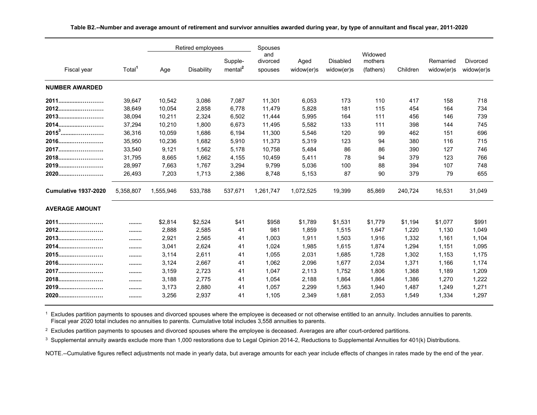|                       |                    |           | Retired employees |                                | Spouses                    |                    |                               |                                 |          | Remarried<br>widow(er)s | <b>Divorced</b><br>widow(er)s |
|-----------------------|--------------------|-----------|-------------------|--------------------------------|----------------------------|--------------------|-------------------------------|---------------------------------|----------|-------------------------|-------------------------------|
| Fiscal year           | Total <sup>1</sup> | Age       | <b>Disability</b> | Supple-<br>mental <sup>2</sup> | and<br>divorced<br>spouses | Aged<br>widow(er)s | <b>Disabled</b><br>widow(er)s | Widowed<br>mothers<br>(fathers) | Children |                         |                               |
| <b>NUMBER AWARDED</b> |                    |           |                   |                                |                            |                    |                               |                                 |          |                         |                               |
| 2011                  | 39,647             | 10,542    | 3,086             | 7,087                          | 11,301                     | 6,053              | 173                           | 110                             | 417      | 158                     | 718                           |
| 2012                  | 38,649             | 10,054    | 2,858             | 6,778                          | 11,479                     | 5,828              | 181                           | 115                             | 454      | 164                     | 734                           |
| 2013                  | 38,094             | 10,211    | 2,324             | 6,502                          | 11,444                     | 5,995              | 164                           | 111                             | 456      | 146                     | 739                           |
| 2014.<br>             | 37,294             | 10,210    | 1,800             | 6,673                          | 11,495                     | 5,582              | 133                           | 111                             | 398      | 144                     | 745                           |
| $20153$               | 36,316             | 10,059    | 1,686             | 6,194                          | 11,300                     | 5,546              | 120                           | 99                              | 462      | 151                     | 696                           |
| 2016                  | 35,950             | 10,236    | 1,682             | 5,910                          | 11,373                     | 5,319              | 123                           | 94                              | 380      | 116                     | 715                           |
| 2017                  | 33,540             | 9,121     | 1,562             | 5,178                          | 10,758                     | 5,484              | 86                            | 86                              | 390      | 127                     | 746                           |
| 2018                  | 31,795             | 8,665     | 1,662             | 4,155                          | 10,459                     | 5,411              | 78                            | 94                              | 379      | 123                     | 766                           |
| 2019                  | 28,997             | 7,663     | 1,767             | 3,294                          | 9,799                      | 5,036              | 100                           | 88                              | 394      | 107                     | 748                           |
| 2020                  | 26,493             | 7,203     | 1,713             | 2,386                          | 8,748                      | 5,153              | 87                            | 90                              | 379      | 79                      | 655                           |
| Cumulative 1937-2020  | 5,358,807          | 1,555,946 | 533,788           | 537,671                        | 1,261,747                  | 1,072,525          | 19,399                        | 85,869                          | 240,724  | 16,531                  | 31,049                        |
| <b>AVERAGE AMOUNT</b> |                    |           |                   |                                |                            |                    |                               |                                 |          |                         |                               |
| 2011                  |                    | \$2,814   | \$2,524           | \$41                           | \$958                      | \$1,789            | \$1,531                       | \$1,779                         | \$1,194  | \$1,077                 | \$991                         |
| 2012                  |                    | 2,888     | 2,585             | 41                             | 981                        | 1,859              | 1,515                         | 1,647                           | 1,220    | 1,130                   | 1,049                         |
| 2013                  |                    | 2,921     | 2,565             | 41                             | 1,003                      | 1,911              | 1,503                         | 1,916                           | 1,332    | 1,161                   | 1,104                         |
| 2014                  |                    | 3,041     | 2,624             | 41                             | 1,024                      | 1,985              | 1,615                         | 1,874                           | 1,294    | 1,151                   | 1,095                         |
| 2015                  |                    | 3,114     | 2,611             | 41                             | 1,055                      | 2,031              | 1.685                         | 1,728                           | 1,302    | 1.153                   | 1,175                         |
| 2016                  |                    | 3,124     | 2,667             | 41                             | 1,062                      | 2,096              | 1,677                         | 2,034                           | 1,371    | 1,166                   | 1,174                         |
| 2017                  |                    | 3,159     | 2,723             | 41                             | 1,047                      | 2,113              | 1,752                         | 1,806                           | 1,368    | 1,189                   | 1,209                         |
| 2018                  |                    | 3,188     | 2,775             | 41                             | 1,054                      | 2,188              | 1.864                         | 1.864                           | 1,386    | 1,270                   | 1,222                         |
| 2019                  |                    | 3,173     | 2,880             | 41                             | 1,057                      | 2,299              | 1,563                         | 1,940                           | 1,487    | 1,249                   | 1,271                         |
| 2020                  |                    | 3,256     | 2,937             | 41                             | 1,105                      | 2,349              | 1,681                         | 2,053                           | 1,549    | 1,334                   | 1,297                         |

**Table B2.--Number and average amount of retirement and survivor annuities awarded during year, by type of annuitant and fiscal year, 2011-2020**

 $^1$  Excludes partition payments to spouses and divorced spouses where the employee is deceased or not otherwise entitled to an annuity. Includes annuities to parents. Fiscal year 2020 total includes no annuities to parents. Cumulative total includes 3,558 annuities to parents.

 $^{\rm 2}$  Excludes partition payments to spouses and divorced spouses where the employee is deceased. Averages are after court-ordered partitions.

 $^3$  Supplemental annuity awards exclude more than 1,000 restorations due to Legal Opinion 2014-2, Reductions to Supplemental Annuities for 401(k) Distributions.

NOTE.--Cumulative figures reflect adjustments not made in yearly data, but average amounts for each year include effects of changes in rates made by the end of the year.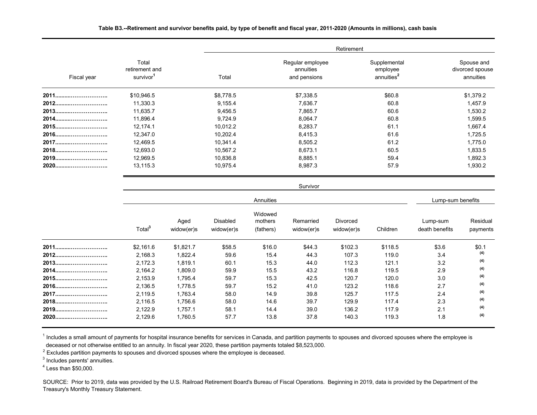|  |  |  |  | Table B3.--Retirement and survivor benefits paid, by type of benefit and fiscal year, 2011-2020 (Amounts in millions), cash basis |  |  |
|--|--|--|--|-----------------------------------------------------------------------------------------------------------------------------------|--|--|
|--|--|--|--|-----------------------------------------------------------------------------------------------------------------------------------|--|--|

|             |                                                  |           | Retirement                                    |                                                    |                                            |  |  |  |  |  |  |  |
|-------------|--------------------------------------------------|-----------|-----------------------------------------------|----------------------------------------------------|--------------------------------------------|--|--|--|--|--|--|--|
| Fiscal year | Total<br>retirement and<br>survivor <sup>1</sup> | Total     | Regular employee<br>annuities<br>and pensions | Supplemental<br>employee<br>annuities <sup>2</sup> | Spouse and<br>divorced spouse<br>annuities |  |  |  |  |  |  |  |
| 2011        | \$10,946.5                                       | \$8,778.5 | \$7,338.5                                     | \$60.8                                             | \$1,379.2                                  |  |  |  |  |  |  |  |
| 2012        | 11,330.3                                         | 9,155.4   | 7,636.7                                       | 60.8                                               | 1,457.9                                    |  |  |  |  |  |  |  |
| 2013        | 11,635.7                                         | 9,456.5   | 7,865.7                                       | 60.6                                               | 1,530.2                                    |  |  |  |  |  |  |  |
| 2014        | 11,896.4                                         | 9,724.9   | 8,064.7                                       | 60.8                                               | 1,599.5                                    |  |  |  |  |  |  |  |
| 2015        | 12,174.1                                         | 10,012.2  | 8,283.7                                       | 61.1                                               | 1,667.4                                    |  |  |  |  |  |  |  |
| 2016        | 12,347.0                                         | 10,202.4  | 8,415.3                                       | 61.6                                               | 1,725.5                                    |  |  |  |  |  |  |  |
| 2017        | 12,469.5                                         | 10,341.4  | 8,505.2                                       | 61.2                                               | 1,775.0                                    |  |  |  |  |  |  |  |
| 2018        | 12,693.0                                         | 10,567.2  | 8,673.1                                       | 60.5                                               | 1,833.5                                    |  |  |  |  |  |  |  |
| 2019        | 12,969.5                                         | 10,836.8  | 8,885.1                                       | 59.4                                               | 1,892.3                                    |  |  |  |  |  |  |  |
| 2020        | 13,115.3                                         | 10,975.4  | 8,987.3                                       | 57.9                                               | 1,930.2                                    |  |  |  |  |  |  |  |

Survivor

|      |                    |                    |                               | Lump-sum benefits               |                         |                               |          |                            |                      |
|------|--------------------|--------------------|-------------------------------|---------------------------------|-------------------------|-------------------------------|----------|----------------------------|----------------------|
|      | Total <sup>3</sup> | Aged<br>widow(er)s | <b>Disabled</b><br>widow(er)s | Widowed<br>mothers<br>(fathers) | Remarried<br>widow(er)s | <b>Divorced</b><br>widow(er)s | Children | Lump-sum<br>death benefits | Residual<br>payments |
| 2011 | \$2,161.6          | \$1,821.7          | \$58.5                        | \$16.0                          | \$44.3                  | \$102.3                       | \$118.5  | \$3.6                      | \$0.1                |
| 2012 | 2,168.3            | 1,822.4            | 59.6                          | 15.4                            | 44.3                    | 107.3                         | 119.0    | 3.4                        | (4)                  |
| 2013 | 2,172.3            | 1,819.1            | 60.1                          | 15.3                            | 44.0                    | 112.3                         | 121.1    | 3.2                        | (4)                  |
| 2014 | 2,164.2            | 1,809.0            | 59.9                          | 15.5                            | 43.2                    | 116.8                         | 119.5    | 2.9                        | (4)                  |
| 2015 | 2,153.9            | 1,795.4            | 59.7                          | 15.3                            | 42.5                    | 120.7                         | 120.0    | 3.0                        | (4)                  |
| 2016 | 2,136.5            | 1,778.5            | 59.7                          | 15.2                            | 41.0                    | 123.2                         | 118.6    | 2.7                        | (4)                  |
| 2017 | 2,119.5            | 1,763.4            | 58.0                          | 14.9                            | 39.8                    | 125.7                         | 117.5    | 2.4                        | (4)                  |
| 2018 | 2,116.5            | 1,756.6            | 58.0                          | 14.6                            | 39.7                    | 129.9                         | 117.4    | 2.3                        | (4)                  |
| 2019 | 2,122.9            | 1,757.1            | 58.1                          | 14.4                            | 39.0                    | 136.2                         | 117.9    | 2.1                        | (4)                  |
| 2020 | 2,129.6            | 1,760.5            | 57.7                          | 13.8                            | 37.8                    | 140.3                         | 119.3    | 1.8                        | (4)                  |

<sup>1</sup> Includes a small amount of payments for hospital insurance benefits for services in Canada, and partition payments to spouses and divorced spouses where the employee is deceased or not otherwise entitled to an annuity. In fiscal year 2020, these partition payments totaled \$8,523,000.

<sup>2</sup> Excludes partition payments to spouses and divorced spouses where the employee is deceased.

3 Includes parents' annuities.

 $4$  Less than \$50,000.

SOURCE: Prior to 2019, data was provided by the U.S. Railroad Retirement Board's Bureau of Fiscal Operations. Beginning in 2019, data is provided by the Department of the Treasury's Monthly Treasury Statement.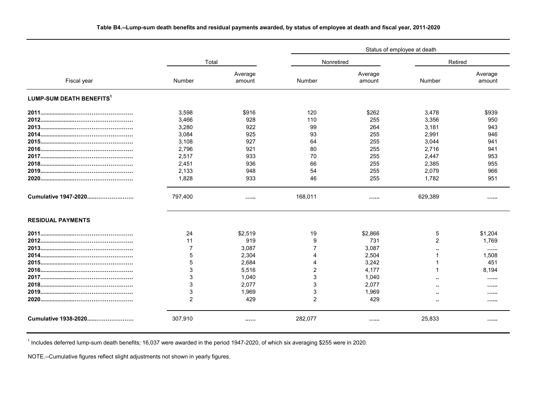|                                      |                |                   |                | Status of employee at death |                |                   |  |  |  |  |  |
|--------------------------------------|----------------|-------------------|----------------|-----------------------------|----------------|-------------------|--|--|--|--|--|
|                                      | Total          |                   | Nonretired     |                             | Retired        |                   |  |  |  |  |  |
| Fiscal year                          | Number         | Average<br>amount | Number         | Average<br>amount           | Number         | Average<br>amount |  |  |  |  |  |
| LUMP-SUM DEATH BENEFITS <sup>1</sup> |                |                   |                |                             |                |                   |  |  |  |  |  |
|                                      | 3,598          | \$916             | 120            | \$262                       | 3,478          | \$939             |  |  |  |  |  |
|                                      | 3,466          | 928               | 110            | 255                         | 3,356          | 950               |  |  |  |  |  |
|                                      | 3,280          | 922               | 99             | 264                         | 3,181          | 943               |  |  |  |  |  |
|                                      | 3,084          | 925               | 93             | 255                         | 2,991          | 946               |  |  |  |  |  |
|                                      | 3,108          | 927               | 64             | 255                         | 3.044          | 941               |  |  |  |  |  |
|                                      | 2,796          | 921               | 80             | 255                         | 2,716          | 941               |  |  |  |  |  |
|                                      | 2,517          | 933               | 70             | 255                         | 2,447          | 953               |  |  |  |  |  |
|                                      | 2,451          | 936               | 66             | 255                         | 2,385          | 955               |  |  |  |  |  |
|                                      | 2,133          | 948               | 54             | 255                         | 2,079          | 966               |  |  |  |  |  |
|                                      | 1,828          | 933               | 46             | 255                         | 1,782          | 951               |  |  |  |  |  |
| Cumulative 1947-2020                 | 797,400        |                   | 168,011        |                             | 629,389        | .                 |  |  |  |  |  |
| <b>RESIDUAL PAYMENTS</b>             |                |                   |                |                             |                |                   |  |  |  |  |  |
|                                      | 24             | \$2,519           | 19             | \$2,866                     | 5              | \$1,204           |  |  |  |  |  |
|                                      | 11             | 919               | 9              | 731                         | $\overline{2}$ | 1,769             |  |  |  |  |  |
|                                      | $\overline{7}$ | 3,087             | 7              | 3,087                       |                |                   |  |  |  |  |  |
|                                      | 5              | 2,304             | $\Delta$       | 2,504                       |                | 1,508             |  |  |  |  |  |
|                                      | 5              | 2,684             | $\overline{4}$ | 3,242                       |                | 451               |  |  |  |  |  |
|                                      | 3              | 5,516             | 2              | 4.177                       |                | 8,194             |  |  |  |  |  |
|                                      | 3              | 1.040             | $\mathbf{3}$   | 1,040                       |                |                   |  |  |  |  |  |
|                                      | 3              | 2,077             | 3              | 2,077                       |                |                   |  |  |  |  |  |
|                                      | 3              | 1,969             | 3              | 1,969                       |                |                   |  |  |  |  |  |
|                                      | $\overline{2}$ | 429               | $\overline{2}$ | 429                         |                | 1.1.1.1.1         |  |  |  |  |  |
| Cumulative 1938-2020                 | 307,910        |                   | 282,077        |                             | 25,833         |                   |  |  |  |  |  |

# **Table B4.--Lump-sum death benefits and residual payments awarded, by status of employee at death and fiscal year, 2011-2020**

 $1$  Includes deferred lump-sum death benefits; 16,037 were awarded in the period 1947-2020, of which six averaging \$255 were in 2020.

NOTE.--Cumulative figures reflect slight adjustments not shown in yearly figures.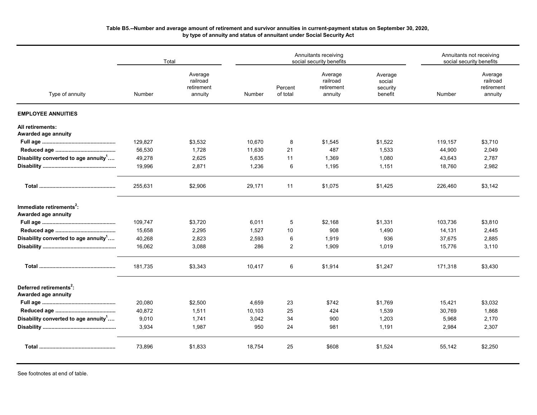### **Table B5.--Number and average amount of retirement and survivor annuities in current-payment status on September 30, 2020, by type of annuity and status of annuitant under Social Security Act**

|                                                             | Total   |                                              |        |                     | Annuitants receiving<br>social security benefits |                                          | Annuitants not receiving<br>social security benefits |                                              |  |
|-------------------------------------------------------------|---------|----------------------------------------------|--------|---------------------|--------------------------------------------------|------------------------------------------|------------------------------------------------------|----------------------------------------------|--|
| Type of annuity                                             | Number  | Average<br>railroad<br>retirement<br>annuity | Number | Percent<br>of total | Average<br>railroad<br>retirement<br>annuity     | Average<br>social<br>security<br>benefit | Number                                               | Average<br>railroad<br>retirement<br>annuity |  |
| <b>EMPLOYEE ANNUITIES</b>                                   |         |                                              |        |                     |                                                  |                                          |                                                      |                                              |  |
| All retirements:<br>Awarded age annuity                     |         |                                              |        |                     |                                                  |                                          |                                                      |                                              |  |
|                                                             | 129,827 | \$3,532                                      | 10,670 | 8                   | \$1,545                                          | \$1,522                                  | 119,157                                              | \$3,710                                      |  |
|                                                             | 56,530  | 1,728                                        | 11,630 | 21                  | 487                                              | 1,533                                    | 44,900                                               | 2,049                                        |  |
| Disability converted to age annuity <sup>1</sup>            | 49,278  | 2,625                                        | 5.635  | 11                  | 1,369                                            | 1,080                                    | 43,643                                               | 2,787                                        |  |
|                                                             | 19,996  | 2,871                                        | 1,236  | 6                   | 1,195                                            | 1,151                                    | 18,760                                               | 2,982                                        |  |
|                                                             | 255,631 | \$2,906                                      | 29,171 | 11                  | \$1,075                                          | \$1,425                                  | 226,460                                              | \$3,142                                      |  |
| Immediate retirements <sup>2</sup> :<br>Awarded age annuity |         |                                              |        |                     |                                                  |                                          |                                                      |                                              |  |
|                                                             | 109,747 | \$3,720                                      | 6,011  | 5                   | \$2,168                                          | \$1,331                                  | 103,736                                              | \$3,810                                      |  |
|                                                             | 15,658  | 2,295                                        | 1,527  | 10                  | 908                                              | 1,490                                    | 14,131                                               | 2,445                                        |  |
| Disability converted to age annuity <sup>1</sup>            | 40,268  | 2,823                                        | 2,593  | 6                   | 1,919                                            | 936                                      | 37,675                                               | 2,885                                        |  |
|                                                             | 16,062  | 3,088                                        | 286    | $\overline{2}$      | 1,909                                            | 1,019                                    | 15,776                                               | 3,110                                        |  |
|                                                             | 181,735 | \$3,343                                      | 10,417 | 6                   | \$1,914                                          | \$1,247                                  | 171,318                                              | \$3,430                                      |  |
| Deferred retirements <sup>2</sup> :<br>Awarded age annuity  |         |                                              |        |                     |                                                  |                                          |                                                      |                                              |  |
|                                                             | 20,080  | \$2,500                                      | 4,659  | 23                  | \$742                                            | \$1,769                                  | 15,421                                               | \$3,032                                      |  |
|                                                             | 40,872  | 1,511                                        | 10,103 | 25                  | 424                                              | 1,539                                    | 30,769                                               | 1,868                                        |  |
| Disability converted to age annuity <sup>1</sup>            | 9,010   | 1,741                                        | 3,042  | 34                  | 900                                              | 1,203                                    | 5,968                                                | 2,170                                        |  |
|                                                             | 3,934   | 1,987                                        | 950    | 24                  | 981                                              | 1,191                                    | 2,984                                                | 2,307                                        |  |
|                                                             | 73,896  | \$1,833                                      | 18,754 | 25                  | \$608                                            | \$1,524                                  | 55,142                                               | \$2,250                                      |  |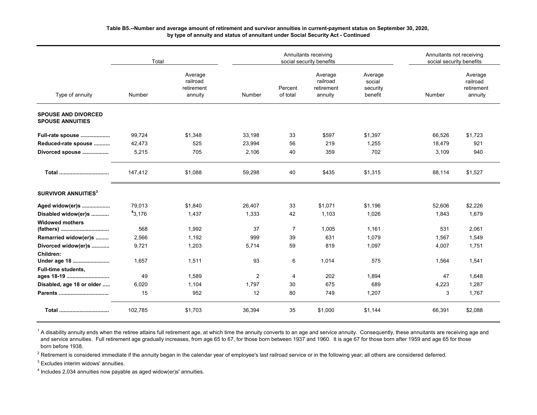## **Table B5.--Number and average amount of retirement and survivor annuities in current-payment status on September 30, 2020, by type of annuity and status of annuitant under Social Security Act - Continued**

|                                                       | Total   |                                              |        |                     | Annuitants receiving<br>social security benefits |                                          |        | Annuitants not receiving<br>social security benefits |  |  |
|-------------------------------------------------------|---------|----------------------------------------------|--------|---------------------|--------------------------------------------------|------------------------------------------|--------|------------------------------------------------------|--|--|
| Type of annuity                                       | Number  | Average<br>railroad<br>retirement<br>annuity | Number | Percent<br>of total | Average<br>railroad<br>retirement<br>annuity     | Average<br>social<br>security<br>benefit | Number | Average<br>railroad<br>retirement<br>annuity         |  |  |
| <b>SPOUSE AND DIVORCED</b><br><b>SPOUSE ANNUITIES</b> |         |                                              |        |                     |                                                  |                                          |        |                                                      |  |  |
| Full-rate spouse                                      | 99,724  | \$1,348                                      | 33,198 | 33                  | \$597                                            | \$1,397                                  | 66,526 | \$1,723                                              |  |  |
| Reduced-rate spouse                                   | 42,473  | 525                                          | 23,994 | 56                  | 219                                              | 1,255                                    | 18,479 | 921                                                  |  |  |
| Divorced spouse                                       | 5,215   | 705                                          | 2,106  | 40                  | 359                                              | 702                                      | 3,109  | 940                                                  |  |  |
|                                                       | 147,412 | \$1,088                                      | 59,298 | 40                  | \$435                                            | \$1,315                                  | 88,114 | \$1,527                                              |  |  |
| SURVIVOR ANNUITIES <sup>3</sup>                       |         |                                              |        |                     |                                                  |                                          |        |                                                      |  |  |
| Aged widow(er)s                                       | 79,013  | \$1,840                                      | 26,407 | 33                  | \$1,071                                          | \$1,196                                  | 52,606 | \$2,226                                              |  |  |
| Disabled widow(er)s                                   | 43,176  | 1,437                                        | 1,333  | 42                  | 1,103                                            | 1,026                                    | 1,843  | 1,679                                                |  |  |
| <b>Widowed mothers</b>                                |         |                                              |        |                     |                                                  |                                          |        |                                                      |  |  |
| (fathers)                                             | 568     | 1,992                                        | 37     | $\overline{7}$      | 1,005                                            | 1,161                                    | 531    | 2,061                                                |  |  |
| Remarried widow(er)s                                  | 2,566   | 1,192                                        | 999    | 39                  | 631                                              | 1.079                                    | 1,567  | 1,549                                                |  |  |
| Divorced widow(er)s                                   | 9,721   | 1,203                                        | 5,714  | 59                  | 819                                              | 1,097                                    | 4,007  | 1,751                                                |  |  |
| Children:<br>Under age 18                             | 1,657   | 1,511                                        | 93     | 6                   | 1,014                                            | 575                                      | 1,564  | 1,541                                                |  |  |
| <b>Full-time students,</b>                            |         |                                              |        |                     |                                                  |                                          |        |                                                      |  |  |
| ages 18-19                                            | 49      | 1,589                                        | 2      | $\overline{4}$      | 202                                              | 1,894                                    | 47     | 1,648                                                |  |  |
| Disabled, age 18 or older                             | 6,020   | 1,104                                        | 1,797  | 30                  | 675                                              | 689                                      | 4,223  | 1,287                                                |  |  |
|                                                       | 15      | 952                                          | 12     | 80                  | 749                                              | 1,207                                    | 3      | 1,767                                                |  |  |
|                                                       | 102,785 | \$1,703                                      | 36,394 | 35                  | \$1,000                                          | \$1,144                                  | 66,391 | \$2,088                                              |  |  |

<sup>1</sup> A disability annuity ends when the retiree attains full retirement age, at which time the annuity converts to an age and service annuity. Consequently, these annuitants are receiving age and and service annuities. Full retirement age gradually increases, from age 65 to 67, for those born between 1937 and 1960. It is age 67 for those born after 1959 and age 65 for those born before 1938.

<sup>2</sup> Retirement is considered immediate if the annuity began in the calendar year of employee's last railroad service or in the following year; all others are considered deferred.

 $^3$  Excludes interim widows' annuities.

 $4$  Includes 2,034 annuities now payable as aged widow(er)s' annuities.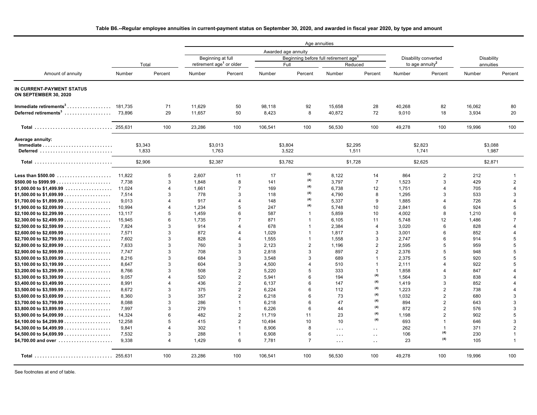# **Table B6.--Regular employee annuities in current-payment status on September 30, 2020, and awarded in fiscal year 2020, by type and amount**

|                                                                 |        |                         | Age annuities    |                                      |                     |                |                                                   |                          |        |                             |            |                |
|-----------------------------------------------------------------|--------|-------------------------|------------------|--------------------------------------|---------------------|----------------|---------------------------------------------------|--------------------------|--------|-----------------------------|------------|----------------|
|                                                                 |        |                         |                  |                                      | Awarded age annuity |                |                                                   |                          |        |                             |            |                |
|                                                                 |        |                         |                  | Beginning at full                    |                     |                | Beginning before full retirement age <sup>1</sup> |                          |        | Disability converted        | Disability |                |
|                                                                 | Total  |                         |                  | retirement age <sup>1</sup> or older |                     | Full           |                                                   | Reduced                  |        | to age annuity <sup>2</sup> | annuities  |                |
| Amount of annuity                                               | Number | Percent                 | Number           | Percent                              | Number              | Percent        | Number                                            | Percent                  | Number | Percent                     | Number     | Percent        |
| IN CURRENT-PAYMENT STATUS<br>ON SEPTEMBER 30, 2020              |        |                         |                  |                                      |                     |                |                                                   |                          |        |                             |            |                |
| Immediate retirements <sup>3</sup> 181.735                      |        | 71                      | 11,629           | 50                                   | 98,118              | 92             | 15,658                                            | 28                       | 40,268 | 82                          | 16,062     | 80             |
| Deferred retirements <sup>3</sup>                               | 73.896 | 29                      | 11,657           | 50                                   | 8,423               | 8              | 40,872                                            | 72                       | 9,010  | 18                          | 3,934      | 20             |
| Total  255,631                                                  |        | 100                     | 23,286           | 100                                  | 106,541             | 100            | 56,530                                            | 100                      | 49,278 | 100                         | 19,996     | 100            |
| Average annuity:                                                |        |                         |                  |                                      |                     |                |                                                   |                          |        |                             |            |                |
|                                                                 |        | \$3.343                 | \$3,013<br>1.763 |                                      | \$3,804             |                |                                                   | \$2.295                  |        | \$2.823                     |            | \$3,088        |
| Deferred                                                        |        | 1.833                   |                  |                                      |                     | 3,522          |                                                   | 1,511                    |        | 1.741                       |            | 1,987          |
| <b>Total</b>                                                    |        | \$2,906                 |                  | \$2.387                              | \$3,782             |                |                                                   | \$1.728                  |        | \$2.625                     |            | \$2,871        |
| Less than \$500.00                                              | 11,822 | 5                       | 2,607            | 11                                   | 17                  | (4)            | 8,122                                             | 14                       | 864    | $\overline{2}$              | 212        | 1              |
|                                                                 | 7.738  | 3                       | 1.848            | 8                                    | 141                 | (4)            | 3.797                                             | $\overline{7}$           | 1,523  | 3                           | 429        | $\overline{2}$ |
|                                                                 | 11,024 | 4                       | 1.661            | $\overline{7}$                       | 169                 | (4)            | 6,738                                             | 12                       | 1,751  | 4                           | 705        | 4              |
|                                                                 | 7,514  | 3                       | 778              | 3                                    | 118                 | (4)            | 4,790                                             | 8                        | 1,295  | 3                           | 533        | 3              |
|                                                                 | 9,013  | Δ                       | 917              | $\overline{4}$                       | 148                 | (4)            | 5,337                                             | 9                        | 1,885  | 4                           | 726        | 4              |
|                                                                 | 10,994 |                         | 1,234            | 5                                    | 247                 | (4)            | 5,748                                             | 10                       | 2,841  | 6                           | 924        | 5              |
|                                                                 | 13,117 | 5                       | 1,459            | 6                                    | 587                 | -1             | 5,859                                             | 10                       | 4.002  | 8                           | 1,210      | 6              |
|                                                                 | 15,945 | 6                       | 1,735            | $\overline{7}$                       | 871                 |                | 6,105                                             | 11                       | 5,748  | 12                          | 1,486      | $\overline{7}$ |
|                                                                 | 7.824  | 3                       | 914              |                                      | 678                 |                | 2.384                                             | $\overline{4}$           | 3.020  | 6                           | 828        | Δ              |
|                                                                 | 7,571  | 3                       | 872              |                                      | 1,029               |                | 1,817                                             | 3                        | 3,001  | 6                           | 852        | 4              |
|                                                                 | 7,602  | 3                       | 828              | $\boldsymbol{\Lambda}$               | 1,555               | 1              | 1,558                                             | 3                        | 2,747  | 6                           | 914        | 5              |
|                                                                 | 7,633  | 3                       | 760              | 3                                    | 2,123               | $\overline{2}$ | 1.196                                             | $\overline{2}$           | 2,595  | 5                           | 959        | 5              |
|                                                                 | 7,747  | 3                       | 708              | 3                                    | 2,818               | 3              | 897                                               | $\overline{2}$           | 2,376  | 5                           | 948        | 5              |
|                                                                 | 8.216  | 3                       | 684              | 3                                    | 3.548               | 3              | 689                                               |                          | 2.375  | 5                           | 920        | 5              |
|                                                                 | 8.647  | 3                       | 604              | 3                                    | 4.500               | 4              | 510                                               | $\overline{\phantom{a}}$ | 2.111  | Δ                           | 922        | 5              |
|                                                                 | 8,766  | 3                       | 508              | $\overline{2}$                       | 5,220               | 5              | 333                                               | $\overline{\phantom{a}}$ | 1,858  | $\Delta$                    | 847        | 4              |
|                                                                 | 9,057  | $\boldsymbol{\Lambda}$  | 520              | $\overline{2}$                       | 5,941               | 6              | 194                                               | (4)                      | 1,564  | 3                           | 838        |                |
|                                                                 |        | Δ                       | 436              | $\overline{2}$                       |                     | 6              |                                                   | (4)                      |        | 3                           |            |                |
|                                                                 | 8,991  | 3                       | 375              | $\overline{2}$                       | 6,137               | 6              | 147<br>112                                        | (4)                      | 1,419  | $\overline{2}$              | 852<br>738 |                |
|                                                                 | 8,672  | 3                       | 357              | $\overline{2}$                       | 6,224               | 6              | 73                                                | (4)                      | 1,223  | $\overline{2}$              |            | 3              |
|                                                                 | 8,360  | 3                       |                  | $\overline{1}$                       | 6,218               | 6              |                                                   | (4)                      | 1,032  | $\overline{2}$              | 680        | 3              |
|                                                                 | 8,088  | 3                       | 286              | $\overline{1}$                       | 6,218               |                | 47                                                | (4)                      | 894    | $\overline{2}$              | 643        | 3              |
|                                                                 | 7,997  |                         | 279              |                                      | 6.226               | 6              | 44                                                | (4)                      | 872    |                             | 576        |                |
|                                                                 | 14,324 | 6                       | 482              | $\overline{2}$                       | 11,719              | 11             | 23                                                | (4)                      | 1,198  | $\overline{2}$              | 902        | 5              |
|                                                                 | 12,258 | 5                       | 415              | $\overline{2}$                       | 10,494              | 10             | 10                                                |                          | 693    | $\overline{1}$              | 646        | 3              |
|                                                                 | 9,841  | $\overline{\mathbf{A}}$ | 302              | $\overline{1}$                       | 8,906               | 8              | $\cdots$                                          | $\ddot{\phantom{a}}$     | 262    | $\mathbf{1}$<br>(4)         | 371        | $\overline{2}$ |
|                                                                 | 7,532  | 3                       | 288              | $\mathbf{1}$                         | 6,908               | 6              | $\cdots$                                          | $\sim$                   | 106    | (4)                         | 230        | $\overline{1}$ |
| \$4,700.00 and over $\ldots \ldots \ldots \ldots \ldots \ldots$ | 9,338  | $\overline{4}$          | 1,429            | 6                                    | 7,781               | $\overline{7}$ | $\cdots$                                          | . .                      | 23     |                             | 105        | $\mathbf{1}$   |
| Total  255.631                                                  |        | 100                     | 23,286           | 100                                  | 106,541             | 100            | 56,530                                            | 100                      | 49,278 | 100                         | 19,996     | 100            |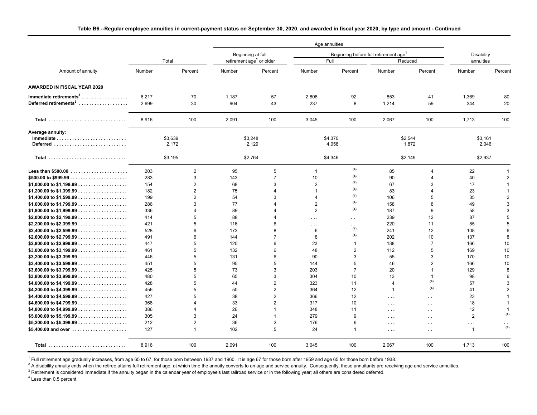|                                                                         |                   |                                       |                   |                                                  | Age annuities                        |                                     |                                                   |                                                                      |                                                        |                                    |
|-------------------------------------------------------------------------|-------------------|---------------------------------------|-------------------|--------------------------------------------------|--------------------------------------|-------------------------------------|---------------------------------------------------|----------------------------------------------------------------------|--------------------------------------------------------|------------------------------------|
|                                                                         |                   |                                       |                   | Beginning at full                                |                                      |                                     | Beginning before full retirement age <sup>1</sup> |                                                                      | Disability                                             |                                    |
|                                                                         |                   | Total                                 |                   | retirement age <sup>1</sup> or older             |                                      | Full                                |                                                   | Reduced                                                              | annuities                                              |                                    |
| Amount of annuity                                                       | Number            | Percent                               | Number            | Percent                                          | Number                               | Percent                             | Number                                            | Percent                                                              | Number                                                 | Percent                            |
| <b>AWARDED IN FISCAL YEAR 2020</b>                                      |                   |                                       |                   |                                                  |                                      |                                     |                                                   |                                                                      |                                                        |                                    |
| Immediate retirements <sup>3</sup><br>Deferred retirements <sup>3</sup> | 6,217<br>2.699    | 70<br>30                              | 1,187<br>904      | 57<br>43                                         | 2,808<br>237                         | 92<br>8                             | 853<br>1,214                                      | 41<br>59                                                             | 1,369<br>344                                           | 80<br>20                           |
| Total                                                                   | 8,916             | 100                                   | 2,091             | 100                                              | 3,045                                | 100                                 | 2,067                                             | 100                                                                  | 1,713                                                  | 100                                |
| Average annuity:<br>Deferred                                            | \$3,639<br>2,172  |                                       |                   | \$3,248<br>2,129                                 | \$4,370<br>4,058                     |                                     |                                                   | \$2,544<br>1,872                                                     | \$3,161<br>2,046                                       |                                    |
| <b>Total</b>                                                            | \$3,195           |                                       |                   | \$2,764                                          | \$4,346                              |                                     |                                                   | \$2,149                                                              | \$2,937                                                |                                    |
| <b>Less than \$500.00</b>                                               | 203<br>283<br>154 | $\overline{2}$<br>3<br>$\overline{2}$ | 95<br>143<br>68   | 5<br>$\overline{7}$<br>3                         | $\mathbf{1}$<br>10<br>$\overline{2}$ | (4)<br>(4)<br>(4)                   | 85<br>90<br>67                                    | 4<br>$\overline{4}$<br>3                                             | 22<br>40<br>17                                         | $\overline{2}$                     |
|                                                                         | 182<br>199<br>286 | $\overline{c}$<br>$\overline{2}$<br>3 | 75<br>54<br>77    | Δ<br>3                                           | -1<br>$\overline{4}$<br>2            | (4)<br>(4)<br>(4)                   | 83<br>106<br>158                                  | Δ<br>5<br>8                                                          | 23<br>35<br>49                                         | -1<br>$\mathcal{P}$<br>3           |
|                                                                         | 336<br>414        | $\overline{4}$<br>5                   | 89<br>88          |                                                  | $\overline{2}$<br>$\cdots$           | (4)<br>$\ddot{\phantom{a}}$         | 187<br>239                                        | 9<br>12                                                              | 58<br>87                                               | 3<br>5                             |
|                                                                         | 421<br>528<br>491 | 5<br>6<br>6                           | 116<br>173<br>144 | 6<br>8<br>$\overline{7}$                         | $\cdots$<br>6<br>8                   | $\ddot{\phantom{1}}$<br>(4)<br>(4)  | 220<br>241<br>202                                 | 11<br>12<br>10                                                       | 85<br>108<br>137                                       | 5<br>6<br>8                        |
|                                                                         | 447<br>461<br>446 | 5<br>5<br>5                           | 120<br>132<br>131 | 6<br>6<br>6                                      | 23<br>48<br>90                       | $\mathbf{1}$<br>$\overline{2}$<br>3 | 138<br>112<br>55                                  | $\overline{7}$<br>5<br>3                                             | 166<br>169<br>170                                      | 10<br>10<br>10                     |
|                                                                         | 451<br>425        | 5<br>5                                | 95<br>73          | 5<br>3                                           | 144<br>203                           | 5<br>$\overline{7}$                 | 46<br>20                                          | $\overline{2}$<br>1                                                  | 166<br>129                                             | 10<br>8                            |
|                                                                         | 480<br>428<br>456 | 5<br>5<br>5                           | 65<br>44<br>50    | 3<br>$\overline{2}$<br>$\overline{2}$            | 304<br>323<br>364                    | 10<br>11<br>12                      | 13<br>$\overline{4}$<br>$\overline{1}$            | 1<br>(4)<br>(4)                                                      | 98<br>57<br>41                                         | 6<br>3<br>$\mathcal{P}$            |
|                                                                         | 427<br>368<br>386 | 5<br>$\overline{4}$<br>4              | 38<br>33<br>26    | $\overline{2}$<br>$\overline{2}$<br>$\mathbf{1}$ | 366<br>317<br>348                    | 12<br>10<br>11                      | $\ldots$ .<br>$\sim$ $\sim$ $\sim$<br>$\cdots$    | $\ddot{\phantom{a}}$<br>$\ddot{\phantom{a}}$<br>$\ddot{\phantom{a}}$ | 23<br>18<br>12                                         | $\overline{1}$<br>-1               |
| \$5,400.00 and over $\ldots \ldots \ldots \ldots \ldots \ldots$         | 305<br>212<br>127 | 3<br>$\overline{2}$<br>$\mathbf{1}$   | 24<br>36<br>102   | $\mathbf{1}$<br>$\overline{2}$<br>5              | 279<br>176<br>24                     | 9<br>6<br>$\mathbf{1}$              | $\sim$ $\sim$ $\sim$<br>$\cdots$                  | $\ddot{\phantom{a}}$<br>$\ddot{\phantom{a}}$                         | $\overline{2}$<br>$\sim$ $\sim$ $\sim$<br>$\mathbf{1}$ | (4)<br>$\ddot{\phantom{0}}$<br>(4) |
| Total                                                                   | 8,916             | 100                                   | 2,091             | 100                                              | 3,045                                | 100                                 | $\ldots$ .<br>2,067                               | $\ddot{\phantom{a}}$<br>100                                          | 1,713                                                  | 100                                |

<sup>1</sup> Full retirement age gradually increases, from age 65 to 67, for those born between 1937 and 1960. It is age 67 for those born after 1959 and age 65 for those born before 1938.

 $^2$  A disability annuity ends when the retiree attains full retirement age, at which time the annuity converts to an age and service annuity. Consequently, these annuitants are receiving age and service annuities.

 $^3$  Retirement is considered immediate if the annuity began in the calendar year of employee's last railroad service or in the following year; all others are considered deferred.

<sup>4</sup> Less than 0.5 percent.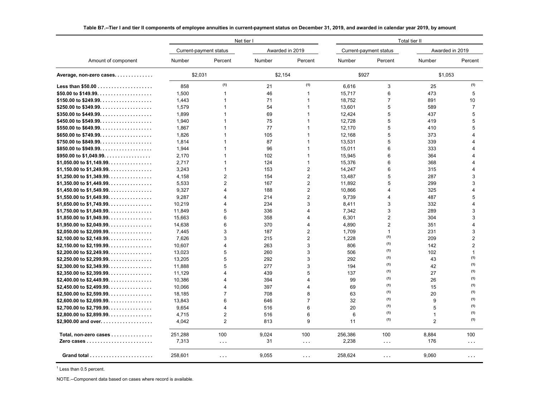|                                                                      | Net tier I |                         |            |                 |         | Total tier II          |                 |                         |  |  |
|----------------------------------------------------------------------|------------|-------------------------|------------|-----------------|---------|------------------------|-----------------|-------------------------|--|--|
|                                                                      |            | Current-payment status  |            | Awarded in 2019 |         | Current-payment status | Awarded in 2019 |                         |  |  |
| Amount of component                                                  | Number     | Percent                 | Number     | Percent         | Number  | Percent                | Number          | Percent                 |  |  |
| Average, non-zero cases.                                             | \$2,031    |                         | \$2,154    |                 | \$927   |                        | \$1,053         |                         |  |  |
| <b>Less than \$50.00</b>                                             | 858        | (1)                     | 21         | (1)             | 6.616   | 3                      | 25              | (1)                     |  |  |
|                                                                      | 1,500      | $\mathbf 1$             | 46         | 1               | 15,717  | 6                      | 473             | 5                       |  |  |
|                                                                      | 1,443      | $\mathbf{1}$            | 71         | 1               | 18,752  | $\overline{7}$         | 891             | 10                      |  |  |
|                                                                      | 1,579      | $\mathbf{1}$            | 54         | $\overline{1}$  | 13,601  | 5                      | 589             | $\overline{7}$          |  |  |
|                                                                      | 1,899      | 1                       | 69         | $\mathbf 1$     | 12,424  | 5                      | 437             | 5                       |  |  |
|                                                                      | 1,940      | $\overline{1}$          | 75         | 1               | 12,728  | 5                      | 419             | 5                       |  |  |
|                                                                      | 1,867      | 1                       | 77         | 1               | 12.170  | 5                      | 410             | 5                       |  |  |
|                                                                      | 1,826      | 1                       | 105        | 1               | 12,168  | 5                      | 373             | 4                       |  |  |
|                                                                      | 1,814      | 1                       | 87         | 1               | 13,531  | 5                      | 339             | $\overline{4}$          |  |  |
|                                                                      | 1,944      | $\overline{1}$          | 96         | 1               | 15,011  | 6                      | 333             | 4                       |  |  |
|                                                                      | 2,170      | $\mathbf{1}$            | 102        | 1               | 15,945  | 6                      | 364             | $\overline{4}$          |  |  |
| \$1,050.00 to \$1,149.99.                                            | 2,717      | $\overline{1}$          | 124        | 1               | 15,376  | 6                      | 368             | 4                       |  |  |
| \$1,150.00 to \$1,249.99.                                            | 3,243      | $\overline{1}$          | 153        | 2               | 14,247  | 6                      | 315             | 4                       |  |  |
| \$1,250.00 to \$1,349.99.                                            | 4,158      | $\overline{2}$          | 154        | $\overline{2}$  | 13,487  | 5                      | 287             | 3                       |  |  |
| \$1,350.00 to \$1,449.99.                                            | 5,533      | $\overline{2}$          | 167        | $\overline{2}$  | 11,892  | 5                      | 299             | 3                       |  |  |
| \$1,450.00 to \$1,549.99.                                            | 9,327      | 4                       | 188        | 2               | 10,866  | 4                      | 325             | 4                       |  |  |
| \$1,550.00 to \$1,649.99.                                            | 9,287      | 4                       | 214        | $\overline{2}$  | 9,739   | 4                      | 487             | 5                       |  |  |
| \$1,650.00 to \$1,749.99.                                            | 10,219     | 4                       | 234        | 3               | 8,411   | 3                      | 332             | $\overline{4}$          |  |  |
| \$1,750.00 to \$1,849.99.                                            | 11,849     | 5                       | 336        | 4               | 7,342   | 3                      | 289             | 3                       |  |  |
| \$1,850.00 to \$1,949.99.                                            | 15,663     | 6                       | 358        | 4               | 6,301   | $\overline{2}$         | 304             | 3                       |  |  |
| \$1,950.00 to \$2,049.99.                                            |            | 6                       | 370        | 4               | 4,890   | $\overline{2}$         | 351             | $\overline{\mathbf{4}}$ |  |  |
|                                                                      | 14,638     | 3                       |            | $\overline{c}$  |         | 1                      |                 | 3                       |  |  |
| \$2,050.00 to \$2,099.99.                                            | 7,445      | 3                       | 187<br>215 | $\overline{2}$  | 1,709   | (1)                    | 231<br>209      |                         |  |  |
| \$2,100.00 to \$2,149.99.                                            | 7,626      |                         |            | 3               | 1,228   | (1)                    |                 | $\overline{2}$          |  |  |
| \$2,150.00 to \$2,199.99.                                            | 10,607     | $\overline{\mathbf{4}}$ | 263        |                 | 806     | (1)                    | 142             | $\overline{2}$          |  |  |
| \$2,200.00 to \$2,249.99.                                            | 13,023     | 5                       | 260        | 3               | 506     | (1)                    | 102             | $\mathbf{1}$<br>(1)     |  |  |
| \$2,250.00 to \$2,299.99.                                            | 13,205     | 5                       | 292        | 3               | 292     | (1)                    | 43              | (1)                     |  |  |
| \$2.300.00 to \$2.349.99.                                            | 11.888     | 5                       | 277        | 3               | 194     | (1)                    | 42              | (1)                     |  |  |
| \$2,350.00 to \$2,399.99.                                            | 11,129     | 4                       | 439        | 5               | 137     | (1)                    | 27              | (1)                     |  |  |
| \$2,400.00 to \$2,449.99.                                            | 10,386     | 4                       | 394        | 4               | 99      | (1)                    | 26              | (1)                     |  |  |
|                                                                      | 10.066     | 4                       | 397        | 4               | 69      | (1)                    | 15              | (1)                     |  |  |
| \$2,500.00 to \$2,599.99.                                            | 18,185     | $\overline{7}$          | 708        | 8               | 63      |                        | 20              |                         |  |  |
| \$2,600.00 to \$2,699.99.                                            | 13,843     | 6                       | 646        | $\overline{7}$  | 32      | (1)                    | 9               | (1)                     |  |  |
| \$2,700.00 to \$2,799.99.                                            | 9.654      | 4                       | 516        | 6               | 20      | (1)                    | 5               | (1)                     |  |  |
| \$2,800.00 to \$2,899.99.                                            | 4,715      | $\overline{2}$          | 516        | 6               | 6       | (1)                    | 1               | (1)                     |  |  |
| \$2.900.00 and over                                                  | 4.042      | $\overline{2}$          | 813        | 9               | 11      | (1)                    | $\overline{2}$  | (1)                     |  |  |
| Total, non-zero cases                                                | 251,288    | 100                     | 9,024      | 100             | 256,386 | 100                    | 8,884           | 100                     |  |  |
| Zero cases $\ldots \ldots \ldots \ldots \ldots \ldots \ldots \ldots$ | 7,313      | $\cdots$                | 31         | $\cdots$        | 2,238   | $\cdots$               | 176             | $\cdots$                |  |  |
| Grand total $\ldots \ldots \ldots \ldots \ldots \ldots \ldots$       | 258,601    | $\cdots$                | 9,055      | $\cdots$        | 258,624 | $\cdots$               | 9,060           | $\cdots$                |  |  |

**Table B7.--Tier I and tier II components of employee annuities in current-payment status on December 31, 2019, and awarded in calendar year 2019, by amount**

 $<sup>1</sup>$  Less than 0.5 percent.</sup>

NOTE.--Component data based on cases where record is available.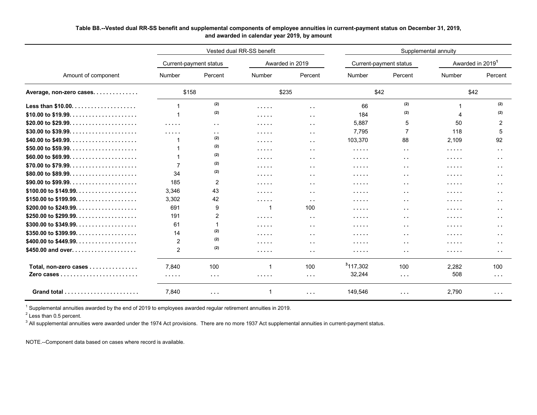# **Table B8.--Vested dual RR-SS benefit and supplemental components of employee annuities in current-payment status on December 31, 2019, and awarded in calendar year 2019, by amount**

|                                 |                |                        | Vested dual RR-SS benefit |                      | Supplemental annuity |                        |          |                              |  |
|---------------------------------|----------------|------------------------|---------------------------|----------------------|----------------------|------------------------|----------|------------------------------|--|
|                                 |                | Current-payment status |                           | Awarded in 2019      |                      | Current-payment status |          | Awarded in 2019 <sup>1</sup> |  |
| Amount of component             | Number         | Percent                | Number                    | Percent              | Number               | Percent                | Number   | Percent                      |  |
| Average, non-zero cases         | \$158          |                        | \$235                     |                      | \$42                 |                        | \$42     |                              |  |
|                                 |                | (2)                    | .                         | $\sim$ $\sim$        | 66                   | (2)                    |          | (2)                          |  |
|                                 |                | (2)                    | .                         | $\sim$ $\sim$        | 184                  | (2)                    |          | (2)                          |  |
|                                 | .              | $\sim$ $\sim$          | .                         | $\sim$ $\sim$        | 5.887                | 5                      | 50       | 2                            |  |
|                                 | .              | $\sim$ $\sim$          | .                         | $\sim$ $\sim$        | 7,795                | $\overline{7}$         | 118      | 5                            |  |
| \$40.00 to \$49.99. $\dots$ .   |                | (2)                    | .                         | $\sim$ $\sim$        | 103,370              | 88                     | 2,109    | 92                           |  |
|                                 |                | (2)                    | .                         | $\sim$ $\sim$        | .                    | $\sim$ $\sim$          | $\cdots$ | $\ddot{\phantom{1}}$         |  |
| \$60.00 to \$69.99. $\dots$ .   |                | (2)                    | .                         | $\sim$ $\sim$        | .                    | $\sim$ $\sim$          | .        | . .                          |  |
|                                 |                | (2)                    | .                         | $\sim$ $\sim$        | .                    | $\sim$ $\sim$          | .        | . .                          |  |
|                                 | 34             | (2)                    | $\cdots$                  | $\sim$ $\sim$        | .                    | $\sim$ $\sim$          | $\cdots$ | $\ddot{\phantom{1}}$         |  |
|                                 | 185            | 2                      | $\cdots$                  | $\sim$ $\sim$        | .                    | $\sim$ $\sim$          | .        | $\ddot{\phantom{1}}$         |  |
| \$100.00 to \$149.99. $\dots$ . | 3.346          | 43                     | .                         | $\sim$ $\sim$        | .                    | $\sim$ $\sim$          | $\cdots$ | . .                          |  |
|                                 | 3.302          | 42                     | $\cdots$                  | $\sim$ $\sim$        | .                    | $\sim$ $\sim$          | .        | . .                          |  |
|                                 | 691            | 9                      |                           | 100                  | .                    | $\sim$ $\sim$          | $\cdots$ | . .                          |  |
|                                 | 191            | $\overline{2}$         | .                         | $\sim$ $\sim$        | .                    | $\sim$ $\sim$          | .        | . .                          |  |
|                                 | 61             |                        | .                         | $\sim$ $\sim$        | .                    | $\sim$ $\sim$          | .        | . .                          |  |
|                                 | 14             | (2)                    | $\cdots$                  | $\sim$ $\sim$        | .                    | $\sim$ $\sim$          | $\cdots$ | $\sim$                       |  |
| \$400.00 to \$449.99. $\dots$ . | $\overline{c}$ | (2)                    | $\cdots$                  | $\sim$ $\sim$        | .                    | $\sim$ $\sim$          | $\cdots$ | $\sim$                       |  |
| \$450.00 and over               | $\overline{2}$ | (2)                    | $\cdots$                  | $\sim$ $\sim$        | .                    | $\sim$                 | $\cdots$ | . .                          |  |
| Total, non-zero cases           | 7.840          | 100                    |                           | 100                  | $3$ 117,302          | 100                    | 2,282    | 100                          |  |
|                                 | .              | $\sim$ $\sim$ $\sim$   | .                         | $\sim$ $\sim$ $\sim$ | 32,244               | $\sim$ $\sim$ $\sim$   | 508      | $\sim$ $\sim$ $\sim$         |  |
|                                 | 7,840          | $\sim$ $\sim$ $\sim$   |                           | $\sim$ $\sim$ $\sim$ | 149,546              | $\sim$ $\sim$ $\sim$   | 2,790    | $\cdots$                     |  |

 $^{\rm 1}$  Supplemental annuities awarded by the end of 2019 to employees awarded regular retirement annuities in 2019.

 $2$  Less than 0.5 percent.

 $^3$  All supplemental annuities were awarded under the 1974 Act provisions. There are no more 1937 Act supplemental annuities in current-payment status.

NOTE.--Component data based on cases where record is available.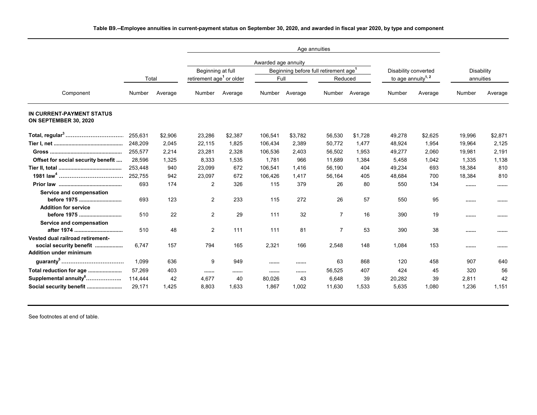|                                                          |         |         |                                      |         | Awarded age annuity |         |                                                   |                |                                |         |            |         |
|----------------------------------------------------------|---------|---------|--------------------------------------|---------|---------------------|---------|---------------------------------------------------|----------------|--------------------------------|---------|------------|---------|
|                                                          |         |         | Beginning at full                    |         |                     |         | Beginning before full retirement age <sup>1</sup> |                | Disability converted           |         | Disability |         |
|                                                          | Total   |         | retirement age <sup>1</sup> or older |         | Full                |         | Reduced                                           |                | to age annuity <sup>1, 2</sup> |         | annuities  |         |
| Component                                                | Number  | Average | Number                               | Average | Number              | Average |                                                   | Number Average | Number                         | Average | Number     | Average |
| IN CURRENT-PAYMENT STATUS<br>ON SEPTEMBER 30, 2020       |         |         |                                      |         |                     |         |                                                   |                |                                |         |            |         |
| Total, regular <sup>3</sup>                              | 255.631 | \$2,906 | 23,286                               | \$2,387 | 106,541             | \$3,782 | 56,530                                            | \$1,728        | 49,278                         | \$2,625 | 19,996     | \$2,871 |
|                                                          | 248,209 | 2,045   | 22,115                               | 1,825   | 106,434             | 2,389   | 50,772                                            | 1,477          | 48,924                         | 1,954   | 19,964     | 2,125   |
|                                                          | 255,577 | 2,214   | 23,281                               | 2,328   | 106,536             | 2,403   | 56,502                                            | 1,953          | 49,277                         | 2,060   | 19,981     | 2,191   |
| Offset for social security benefit                       | 28,596  | 1,325   | 8,333                                | 1,535   | 1,781               | 966     | 11,689                                            | 1,384          | 5,458                          | 1,042   | 1,335      | 1,138   |
|                                                          | 253,448 | 940     | 23,099                               | 672     | 106.541             | 1.416   | 56,190                                            | 404            | 49,234                         | 693     | 18,384     | 810     |
|                                                          | 252.755 | 942     | 23.097                               | 672     | 106,426             | 1.417   | 56,164                                            | 405            | 48,684                         | 700     | 18,384     | 810     |
|                                                          | 693     | 174     | $\overline{2}$                       | 326     | 115                 | 379     | 26                                                | 80             | 550                            | 134     |            |         |
| Service and compensation                                 |         |         |                                      |         |                     |         |                                                   |                |                                |         |            |         |
| before 1975                                              | 693     | 123     | 2                                    | 233     | 115                 | 272     | 26                                                | 57             | 550                            | 95      |            |         |
| <b>Addition for service</b>                              |         |         |                                      |         |                     |         |                                                   |                |                                |         |            |         |
| before 1975                                              | 510     | 22      | $\overline{2}$                       | 29      | 111                 | 32      | 7                                                 | 16             | 390                            | 19      |            |         |
| Service and compensation                                 |         |         |                                      |         |                     |         |                                                   |                |                                |         |            |         |
| after 1974                                               | 510     | 48      | 2                                    | 111     | 111                 | 81      | $\overline{7}$                                    | 53             | 390                            | 38      |            |         |
| Vested dual railroad retirement-                         |         |         |                                      |         |                     |         |                                                   |                |                                |         |            |         |
| social security benefit<br><b>Addition under minimum</b> | 6.747   | 157     | 794                                  | 165     | 2,321               | 166     | 2,548                                             | 148            | 1,084                          | 153     |            |         |
|                                                          |         |         |                                      |         |                     |         |                                                   |                |                                |         |            |         |
|                                                          | 1,099   | 636     | 9                                    | 949     |                     |         | 63                                                | 868            | 120                            | 458     | 907        | 640     |
|                                                          | 57,269  | 403     |                                      |         |                     |         | 56,525                                            | 407            | 424                            | 45      | 320        | 56      |
| Supplemental annuity <sup>6</sup>                        | 114,444 | 42      | 4,677                                | 40      | 80,026              | 43      | 6,648                                             | 39             | 20,282                         | 39      | 2,811      | 42      |
|                                                          | 29,171  | 1,425   | 8,803                                | 1,633   | 1,867               | 1,002   | 11,630                                            | 1,533          | 5,635                          | 1,080   | 1,236      | 1,151   |

**Table B9.--Employee annuities in current-payment status on September 30, 2020, and awarded in fiscal year 2020, by type and component**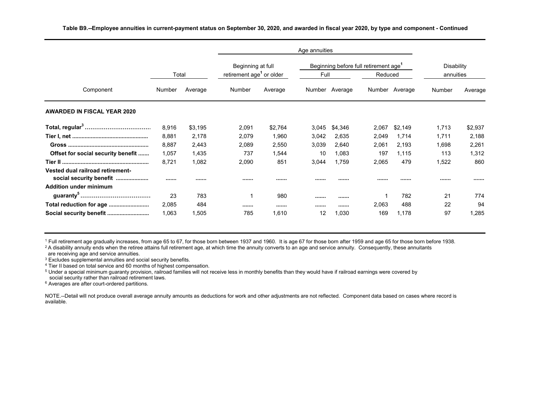|                                                             |        |         | Beginning at full                    |         |       |                | Beginning before full retirement age <sup>1</sup> |                | <b>Disability</b> |         |
|-------------------------------------------------------------|--------|---------|--------------------------------------|---------|-------|----------------|---------------------------------------------------|----------------|-------------------|---------|
|                                                             | Total  |         | retirement age <sup>1</sup> or older |         | Full  |                | Reduced                                           |                | annuities         |         |
| Component                                                   | Number | Average | Number                               | Average |       | Number Average |                                                   | Number Average | Number            | Average |
| <b>AWARDED IN FISCAL YEAR 2020</b>                          |        |         |                                      |         |       |                |                                                   |                |                   |         |
|                                                             | 8,916  | \$3,195 | 2,091                                | \$2,764 | 3,045 | \$4,346        | 2,067                                             | \$2,149        | 1,713             | \$2,937 |
|                                                             | 8,881  | 2,178   | 2,079                                | 1,960   | 3,042 | 2,635          | 2,049                                             | 1,714          | 1,711             | 2,188   |
|                                                             | 8,887  | 2,443   | 2,089                                | 2,550   | 3,039 | 2,640          | 2,061                                             | 2,193          | 1,698             | 2,261   |
| Offset for social security benefit                          | 1,057  | 1,435   | 737                                  | 1,544   | 10    | 1,083          | 197                                               | 1,115          | 113               | 1,312   |
|                                                             | 8,721  | 1,082   | 2,090                                | 851     | 3,044 | 1,759          | 2,065                                             | 479            | 1,522             | 860     |
| Vested dual railroad retirement-<br>social security benefit |        |         |                                      |         |       |                |                                                   |                |                   |         |
| <b>Addition under minimum</b>                               |        |         |                                      |         |       |                |                                                   |                |                   |         |
|                                                             | 23     | 783     |                                      | 980     |       |                |                                                   | 782            | 21                | 774     |
| Total reduction for age                                     | 2,085  | 484     |                                      |         |       |                | 2,063                                             | 488            | 22                | 94      |
|                                                             | 1,063  | 1,505   | 785                                  | 1.610   | 12    | ,030           | 169                                               | 1,178          | 97                | 1,285   |

<sup>1</sup> Full retirement age gradually increases, from age 65 to 67, for those born between 1937 and 1960. It is age 67 for those born after 1959 and age 65 for those born before 1938.

<sup>2</sup> A disability annuity ends when the retiree attains full retirement age, at which time the annuity converts to an age and service annuity. Consequently, these annuitants are receiving age and service annuities.

<sup>3</sup> Excludes supplemental annuities and social security benefits.

<sup>4</sup> Tier II based on total service and 60 months of highest compensation.

 <sup>5</sup> Under a special minimum guaranty provision, railroad families will not receive less in monthly benefits than they would have if railroad earnings were covered by social security rather than railroad retirement laws.

<sup>6</sup> Averages are after court-ordered partitions.

NOTE.--Detail will not produce overall average annuity amounts as deductions for work and other adjustments are not reflected. Component data based on cases where record is available.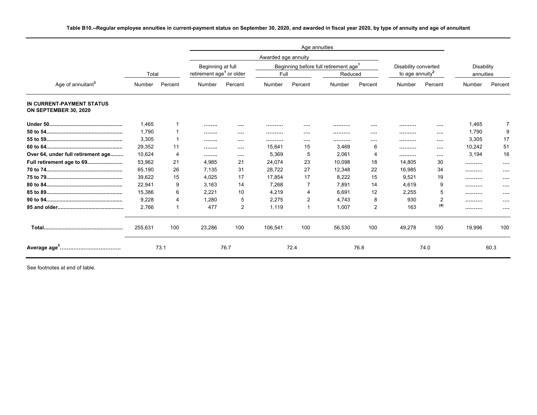| Table B10.--Regular employee annuities in current-payment status on September 30, 2020, and awarded in fiscal year 2020, by type of annuity and age of annuitant |  |  |  |
|------------------------------------------------------------------------------------------------------------------------------------------------------------------|--|--|--|
|------------------------------------------------------------------------------------------------------------------------------------------------------------------|--|--|--|

|                                                    |         |         |                                      |                | Awarded age annuity |                |                                                   |          |                             |          |            |          |
|----------------------------------------------------|---------|---------|--------------------------------------|----------------|---------------------|----------------|---------------------------------------------------|----------|-----------------------------|----------|------------|----------|
|                                                    |         |         | Beginning at full                    |                |                     |                | Beginning before full retirement age <sup>1</sup> |          | Disability converted        |          | Disability |          |
|                                                    | Total   |         | retirement age <sup>1</sup> or older |                | Full                |                | Reduced                                           |          | to age annuity <sup>2</sup> |          | annuities  |          |
| Age of annuitant <sup>3</sup>                      | Number  | Percent | Number                               | Percent        | Number              | Percent        | Number                                            | Percent  | <b>Number</b>               | Percent  | Number     | Percent  |
| IN CURRENT-PAYMENT STATUS<br>ON SEPTEMBER 30, 2020 |         |         |                                      |                |                     |                |                                                   |          |                             |          |            |          |
|                                                    | 1,465   |         |                                      |                |                     |                |                                                   |          |                             |          | 1,465      |          |
|                                                    | 1,790   |         |                                      | $\cdots$       |                     | $\cdots$       |                                                   | $\cdots$ |                             | $\cdots$ | 1,790      | 9        |
|                                                    | 3,305   |         |                                      |                |                     | $\cdots$       |                                                   |          |                             |          | 3,305      | 17       |
|                                                    | 29,352  | 11      |                                      | $\cdots$       | 15,641              | 15             | 3,469                                             | 6        |                             |          | 10,242     | 51       |
| Over 64, under full retirement age                 | 10,624  | 4       |                                      | $\cdots$       | 5,369               | 5              | 2,061                                             | 4        |                             | $\cdots$ | 3,194      | 16       |
| Full retirement age to 69                          | 53,962  | 21      | 4.985                                | 21             | 24,074              | 23             | 10.098                                            | 18       | 14.805                      | 30       |            | $\cdots$ |
|                                                    | 65,190  | 26      | 7,135                                | 31             | 28,722              | 27             | 12,348                                            | 22       | 16,985                      | 34       |            | $\cdots$ |
|                                                    | 39,622  | 15      | 4,025                                | 17             | 17,854              | 17             | 8,222                                             | 15       | 9,521                       | 19       |            |          |
|                                                    | 22,941  | 9       | 3,163                                | 14             | 7,268               | 7              | 7,891                                             | 14       | 4,619                       | 9        |            | $\cdots$ |
|                                                    | 15,386  | 6       | 2,221                                | 10             | 4,219               | 4              | 6.691                                             | 12       | 2,255                       | 5        |            |          |
|                                                    | 9.228   | 4       | 1.280                                | 5              | 2.275               | 2              | 4.743                                             | 8        | 930                         | 2        |            | $\cdots$ |
|                                                    | 2,766   |         | 477                                  | $\overline{2}$ | 1,119               | $\overline{1}$ | 1,007                                             | 2        | 163                         | (4)      |            |          |
|                                                    | 255,631 | 100     | 23,286                               | 100            | 106,541             | 100            | 56,530                                            | 100      | 49,278                      | 100      | 19,996     | 100      |
|                                                    |         | 73.1    |                                      | 76.7           |                     | 72.4           |                                                   | 76.8     |                             | 74.0     |            | 60.3     |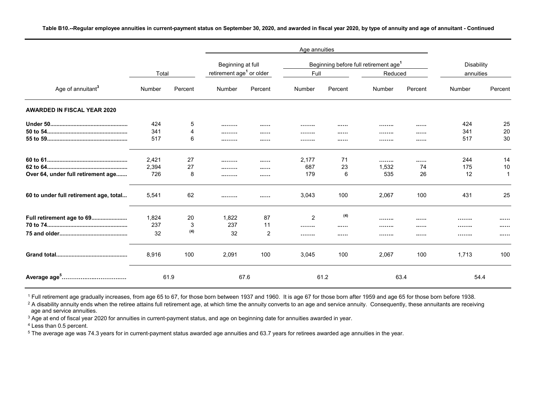**Table B10.--Regular employee annuities in current-payment status on September 30, 2020, and awarded in fiscal year 2020, by type of annuity and age of annuitant - Continued**

|                                        |        |         |                                      |                | Age annuities  |         |                                                   |         |            |         |
|----------------------------------------|--------|---------|--------------------------------------|----------------|----------------|---------|---------------------------------------------------|---------|------------|---------|
|                                        |        |         | Beginning at full                    |                |                |         | Beginning before full retirement age <sup>1</sup> |         | Disability |         |
|                                        | Total  |         | retirement age <sup>1</sup> or older |                | Full           |         | Reduced                                           |         | annuities  |         |
| Age of annuitant <sup>3</sup>          | Number | Percent | Number                               | Percent        | Number         | Percent | Number                                            | Percent | Number     | Percent |
| <b>AWARDED IN FISCAL YEAR 2020</b>     |        |         |                                      |                |                |         |                                                   |         |            |         |
|                                        | 424    | 5       |                                      |                |                |         |                                                   |         | 424        | 25      |
|                                        | 341    |         |                                      |                |                |         |                                                   |         | 341        | 20      |
|                                        | 517    | 6       |                                      |                |                |         |                                                   |         | 517        | 30      |
|                                        | 2,421  | 27      |                                      |                | 2,177          | 71      |                                                   |         | 244        | 14      |
|                                        | 2,394  | 27      |                                      |                | 687            | 23      | 1,532                                             | 74      | 175        | 10      |
| Over 64, under full retirement age     | 726    | 8       |                                      |                | 179            | 6       | 535                                               | 26      | 12         | 1       |
| 60 to under full retirement age, total | 5,541  | 62      |                                      |                | 3,043          | 100     | 2,067                                             | 100     | 431        | 25      |
| Full retirement age to 69              | 1,824  | 20      | 1,822                                | 87             | $\overline{2}$ | (4)     |                                                   |         |            |         |
|                                        | 237    | 3       | 237                                  | 11             |                |         |                                                   |         |            |         |
|                                        | 32     | (4)     | 32                                   | $\overline{2}$ |                |         |                                                   |         |            |         |
|                                        | 8,916  | 100     | 2,091                                | 100            | 3,045          | 100     | 2,067                                             | 100     | 1,713      | 100     |
|                                        |        | 61.9    |                                      | 67.6           |                | 61.2    |                                                   | 63.4    | 54.4       |         |

<sup>1</sup> Full retirement age gradually increases, from age 65 to 67, for those born between 1937 and 1960. It is age 67 for those born after 1959 and age 65 for those born before 1938.

 $2$  A disability annuity ends when the retiree attains full retirement age, at which time the annuity converts to an age and service annuity. Consequently, these annuitants are receiving age and service annuities.

<sup>3</sup> Age at end of fiscal year 2020 for annuities in current-payment status, and age on beginning date for annuities awarded in year.

<sup>4</sup> Less than 0.5 percent.

<sup>5</sup> The average age was 74.3 years for in current-payment status awarded age annuities and 63.7 years for retirees awarded age annuities in the year.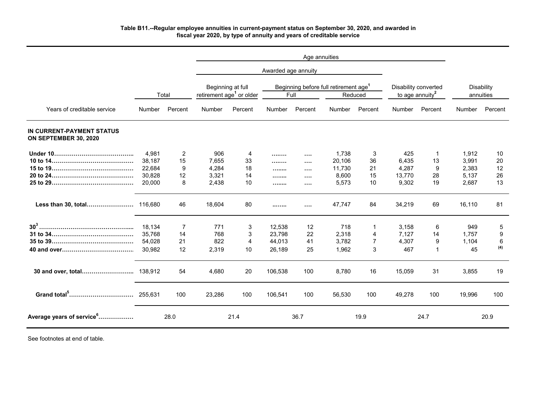### **Table B11.--Regular employee annuities in current-payment status on September 30, 2020, and awarded in fiscal year 2020, by type of annuity and years of creditable service**

|                                                    |                  |         |                |                                                                                                                                   | Awarded age annuity |                      |                  |                                                     |                |                         |                |          |
|----------------------------------------------------|------------------|---------|----------------|-----------------------------------------------------------------------------------------------------------------------------------|---------------------|----------------------|------------------|-----------------------------------------------------|----------------|-------------------------|----------------|----------|
|                                                    | Total            |         |                | Beginning at full<br>Beginning before full retirement age <sup>1</sup><br>retirement age <sup>1</sup> or older<br>Full<br>Reduced |                     |                      |                  | Disability converted<br>to age annuity <sup>2</sup> |                | Disability<br>annuities |                |          |
| Years of creditable service                        | Number           | Percent | Number         | Percent                                                                                                                           | Number              | Percent              | <b>Number</b>    | Percent                                             | <b>Number</b>  | Percent                 | Number         | Percent  |
| IN CURRENT-PAYMENT STATUS<br>ON SEPTEMBER 30, 2020 |                  |         |                |                                                                                                                                   |                     |                      |                  |                                                     |                |                         |                |          |
|                                                    | 4,981            | 2       | 906            | 4                                                                                                                                 |                     | $\cdots$             | 1,738            | 3                                                   | 425            | -1                      | 1,912          | 10       |
|                                                    | 38,187<br>22,684 | 15<br>9 | 7,655<br>4,284 | 33<br>18                                                                                                                          |                     | $\cdots$             | 20,106<br>11,730 | 36<br>21                                            | 6,435<br>4,287 | 13<br>9                 | 3,991<br>2,383 | 20<br>12 |
|                                                    | 30,828           | 12      | 3,321          | 14                                                                                                                                | .                   | $\cdots$             | 8,600            | 15                                                  | 13,770         | 28                      | 5,137          | 26       |
|                                                    | 20,000           | 8       | 2,438          | 10                                                                                                                                | <br>                | $\cdots$<br>$\cdots$ | 5,573            | 10                                                  | 9,302          | 19                      | 2,687          | 13       |
| Less than 30, total 116,680                        |                  | 46      | 18,604         | 80                                                                                                                                |                     |                      | 47,747           | 84                                                  | 34,219         | 69                      | 16,110         | 81       |
|                                                    | 18,134           | 7       | 771            | 3                                                                                                                                 | 12,538              | 12                   | 718              | 1                                                   | 3,158          | 6                       | 949            | 5        |
|                                                    | 35,768           | 14      | 768            | 3                                                                                                                                 | 23,798              | 22                   | 2,318            | 4                                                   | 7,127          | 14                      | 1,757          | 9        |
|                                                    | 54,028           | 21      | 822            | 4                                                                                                                                 | 44,013              | 41                   | 3,782            | $\overline{7}$                                      | 4,307          | 9                       | 1,104          | 6<br>(4) |
|                                                    | 30.982           | 12      | 2,319          | 10                                                                                                                                | 26,189              | 25                   | 1,962            | 3                                                   | 467            | $\mathbf{1}$            | 45             |          |
|                                                    |                  | 54      | 4,680          | 20                                                                                                                                | 106,538             | 100                  | 8,780            | 16                                                  | 15,059         | 31                      | 3,855          | 19       |
|                                                    |                  | 100     | 23,286         | 100                                                                                                                               | 106,541             | 100                  | 56,530           | 100                                                 | 49,278         | 100                     | 19,996         | 100      |
| Average years of service <sup>6</sup>              |                  | 28.0    |                | 21.4                                                                                                                              |                     | 36.7                 |                  | 19.9                                                |                | 24.7                    |                | 20.9     |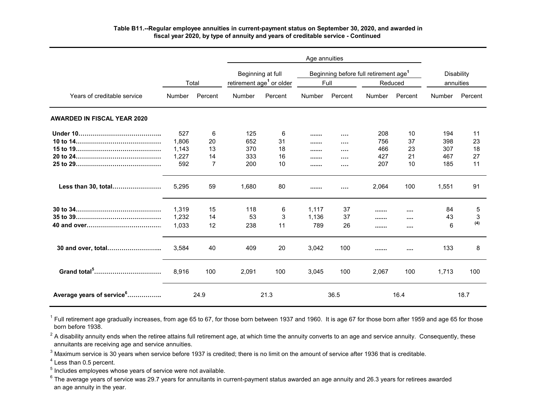# **Table B11.--Regular employee annuities in current-payment status on September 30, 2020, and awarded in fiscal year 2020, by type of annuity and years of creditable service - Continued**

|                                       |                                       | Total                    | Beginning at full<br>retirement age <sup>1</sup> or older |                           | Full                  |                                                  | Beginning before full retirement age <sup>1</sup> | Reduced                    | annuities                       | <b>Disability</b>          |
|---------------------------------------|---------------------------------------|--------------------------|-----------------------------------------------------------|---------------------------|-----------------------|--------------------------------------------------|---------------------------------------------------|----------------------------|---------------------------------|----------------------------|
| Years of creditable service           | Number                                | Percent                  | Number                                                    | Percent                   | Number                | Percent                                          | Number                                            | Percent                    | Number                          | Percent                    |
| <b>AWARDED IN FISCAL YEAR 2020</b>    |                                       |                          |                                                           |                           |                       |                                                  |                                                   |                            |                                 |                            |
|                                       | 527<br>1,806<br>1,143<br>1,227<br>592 | 6<br>20<br>13<br>14<br>7 | 125<br>652<br>370<br>333<br>200                           | 6<br>31<br>18<br>16<br>10 | <br><br><br><br>      | <br>$\cdots$<br>$\cdots$<br>$\cdots$<br>$\cdots$ | 208<br>756<br>466<br>427<br>207                   | 10<br>37<br>23<br>21<br>10 | 194<br>398<br>307<br>467<br>185 | 11<br>23<br>18<br>27<br>11 |
| Less than 30, total                   | 5,295                                 | 59                       | 1,680                                                     | 80                        |                       | $\cdots$                                         | 2,064                                             | 100                        | 1,551                           | 91                         |
|                                       | 1.319<br>1,232<br>1,033               | 15<br>14<br>12           | 118<br>53<br>238                                          | 6<br>3<br>11              | 1,117<br>1,136<br>789 | 37<br>37<br>26                                   | <br><br>                                          | $\cdots$<br><br>$\cdots$   | 84<br>43<br>6                   | 5<br>3<br>(4)              |
|                                       | 3,584                                 | 40                       | 409                                                       | 20                        | 3,042                 | 100                                              |                                                   | $\cdots$                   | 133                             | 8                          |
| Grand total <sup>5</sup>              | 8,916                                 | 100                      | 2,091                                                     | 100                       | 3,045                 | 100                                              | 2,067                                             | 100                        | 1,713                           | 100                        |
| Average years of service <sup>6</sup> |                                       | 24.9                     |                                                           | 21.3                      |                       | 36.5                                             |                                                   | 16.4                       |                                 | 18.7                       |

 born before 1938.  $^{\rm 1}$  Full retirement age gradually increases, from age 65 to 67, for those born between 1937 and 1960. It is age 67 for those born after 1959 and age 65 for those

 $^{\rm 2}$  A disability annuity ends when the retiree attains full retirement age, at which time the annuity converts to an age and service annuity.  $\,$  Consequently, these  $\,$ annuitants are receiving age and service annuities.

 $^{\rm 3}$  Maximum service is 30 years when service before 1937 is credited; there is no limit on the amount of service after 1936 that is creditable.

 $<sup>4</sup>$  Less than 0.5 percent.</sup>

 $^{\rm 5}$  Includes employees whose years of service were not available.

 $^6$  The average years of service was 29.7 years for annuitants in current-payment status awarded an age annuity and 26.3 years for retirees awarded an age annuity in the year.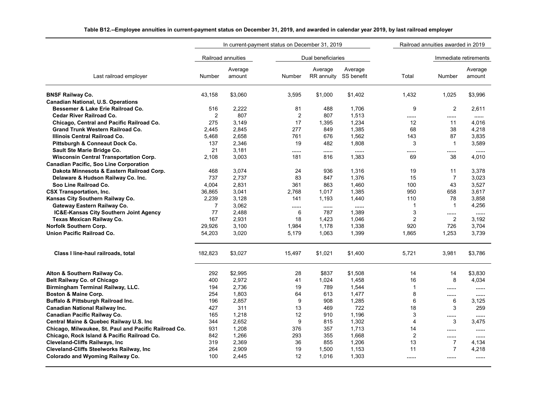|                                                       | In current-payment status on December 31, 2019 |                    |                         |                                  | Railroad annuities awarded in 2019 |                |                |                       |
|-------------------------------------------------------|------------------------------------------------|--------------------|-------------------------|----------------------------------|------------------------------------|----------------|----------------|-----------------------|
|                                                       |                                                | Railroad annuities |                         | Dual beneficiaries               |                                    |                |                | Immediate retirements |
| Last railroad employer                                | Number                                         | Average<br>amount  | <b>Number</b>           | Average<br>RR annuity SS benefit | Average                            | Total          | Number         | Average<br>amount     |
| <b>BNSF Railway Co.</b>                               | 43,158                                         | \$3,060            | 3,595                   | \$1,000                          | \$1,402                            | 1,432          | 1,025          | \$3,996               |
| <b>Canadian National, U.S. Operations</b>             |                                                |                    |                         |                                  |                                    |                |                |                       |
| Bessemer & Lake Erie Railroad Co.                     | 516                                            | 2,222              | 81                      | 488                              | 1,706                              | 9              | 2              | 2,611                 |
| Cedar River Railroad Co.                              | $\overline{c}$                                 | 807                | $\overline{\mathbf{c}}$ | 807                              | 1,513                              |                |                |                       |
| Chicago, Central and Pacific Railroad Co.             | 275                                            | 3,149              | 17                      | 1,395                            | 1,234                              | 12             | 11             | 4,016                 |
| Grand Trunk Western Railroad Co.                      | 2.445                                          | 2,845              | 277                     | 849                              | 1,385                              | 68             | 38             | 4,218                 |
| Illinois Central Railroad Co.                         | 5.468                                          | 2,658              | 761                     | 676                              | 1,562                              | 143            | 87             | 3,835                 |
| Pittsburgh & Conneaut Dock Co.                        | 137                                            | 2,346              | 19                      | 482                              | 1,808                              | 3              | $\mathbf{1}$   | 3,589                 |
| Sault Ste Marie Bridge Co.                            | 21                                             | 3,181              |                         |                                  |                                    |                |                |                       |
| <b>Wisconsin Central Transportation Corp.</b>         | 2.108                                          | 3,003              | 181                     | 816                              | 1,383                              | 69             | 38             | 4,010                 |
| Canadian Pacific, Soo Line Corporation                |                                                |                    |                         |                                  |                                    |                |                |                       |
| Dakota Minnesota & Eastern Railroad Corp.             | 468                                            | 3,074              | 24                      | 936                              | 1,316                              | 19             | 11             | 3,378                 |
| Delaware & Hudson Railway Co. Inc.                    | 737                                            | 2,737              | 83                      | 847                              | 1,376                              | 15             | $\overline{7}$ | 3,023                 |
| Soo Line Railroad Co.                                 | 4,004                                          | 2,831              | 361                     | 863                              | 1,460                              | 100            | 43             | 3,527                 |
| <b>CSX Transportation, Inc.</b>                       | 36,865                                         | 3,041              | 2,768                   | 1,017                            | 1,385                              | 950            | 658            | 3,617                 |
| Kansas City Southern Railway Co.                      | 2,239                                          | 3,128              | 141                     | 1,193                            | 1,440                              | 110            | 78             | 3,858                 |
| Gateway Eastern Railway Co.                           | $\overline{7}$                                 | 3,062              |                         |                                  |                                    | $\mathbf{1}$   | $\overline{1}$ | 4,256                 |
| IC&E-Kansas City Southern Joint Agency                | 77                                             | 2,488              | 6                       | 787                              | 1,389                              | 3              |                |                       |
| Texas Mexican Railway Co.                             | 167                                            | 2,931              | 18                      | 1,423                            | 1,046                              | $\overline{2}$ | $\overline{2}$ | 3.192                 |
| Norfolk Southern Corp.                                | 29,926                                         | 3,100              | 1,984                   | 1,178                            | 1,338                              | 920            | 726            | 3,704                 |
| <b>Union Pacific Railroad Co.</b>                     | 54,203                                         | 3,020              | 5,179                   | 1,063                            | 1,399                              | 1,865          | 1,253          | 3,739                 |
| Class I line-haul railroads, total                    | 182,823                                        | \$3,027            | 15,497                  | \$1,021                          | \$1,400                            | 5,721          | 3,981          | \$3,786               |
| Alton & Southern Railway Co.                          | 292                                            | \$2,995            | 28                      | \$837                            | \$1,508                            | 14             | 14             | \$3,830               |
| <b>Belt Railway Co. of Chicago</b>                    | 400                                            | 2,972              | 41                      | 1,024                            | 1,458                              | 16             | 8              | 4,034                 |
| Birmingham Terminal Railway, LLC.                     | 194                                            | 2,736              | 19                      | 789                              | 1,544                              | $\mathbf{1}$   |                |                       |
| Boston & Maine Corp.                                  | 254                                            | 1,803              | 64                      | 613                              | 1,477                              | 8              |                |                       |
| Buffalo & Pittsburgh Railroad Inc.                    | 196                                            | 2,857              | 9                       | 908                              | 1,285                              | 6              | 6              | 3,125                 |
| <b>Canadian National Railway Inc.</b>                 | 427                                            | 311                | 13                      | 469                              | 722                                | 18             | 3              | 259                   |
| Canadian Pacific Railway Co.                          | 165                                            | 1,218              | 12                      | 910                              | 1,196                              | 3              |                |                       |
| Central Maine & Quebec Railway U.S. Inc.              | 344                                            | 2,652              | 9                       | 815                              | 1,302                              | 4              | 3              | 3,475                 |
| Chicago, Milwaukee, St. Paul and Pacific Railroad Co. | 931                                            | 1,208              | 376                     | 357                              | 1,713                              | 14             |                |                       |
| Chicago, Rock Island & Pacific Railroad Co.           | 842                                            | 1,266              | 293                     | 355                              | 1,668                              | 2              |                |                       |
| <b>Cleveland-Cliffs Railways, Inc</b>                 | 319                                            | 2,369              | 36                      | 855                              | 1,206                              | 13             | $\overline{7}$ | 4,134                 |
| Cleveland-Cliffs Steelworks Railway, Inc              | 264                                            | 2,909              | 19                      | 1,500                            | 1,153                              | 11             | $\overline{7}$ | 4,218                 |
| <b>Colorado and Wyoming Railway Co.</b>               | 100                                            | 2,445              | 12                      | 1.016                            | 1,303                              |                |                |                       |
|                                                       |                                                |                    |                         |                                  |                                    |                |                |                       |

## **Table B12.--Employee annuities in current-payment status on December 31, 2019, and awarded in calendar year 2019, by last railroad employer**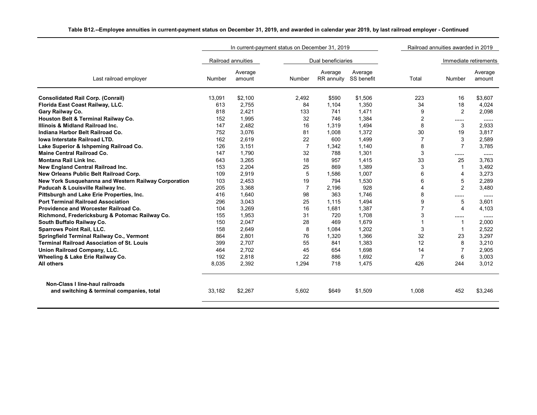|                                                      |               |                    | In current-payment status on December 31, 2019 |                       |                       | Railroad annuities awarded in 2019 |                |                       |  |
|------------------------------------------------------|---------------|--------------------|------------------------------------------------|-----------------------|-----------------------|------------------------------------|----------------|-----------------------|--|
|                                                      |               | Railroad annuities |                                                | Dual beneficiaries    |                       |                                    |                | Immediate retirements |  |
| Last railroad employer                               | <b>Number</b> | Average<br>amount  | Number                                         | Average<br>RR annuity | Average<br>SS benefit | Total                              | Number         | Average<br>amount     |  |
| <b>Consolidated Rail Corp. (Conrail)</b>             | 13.091        | \$2.100            | 2.492                                          | \$590                 | \$1,506               | 223                                | 16             | \$3.607               |  |
| Florida East Coast Railway, LLC.                     | 613           | 2.755              | 84                                             | 1.104                 | 1,350                 | 34                                 | 18             | 4,024                 |  |
| Gary Railway Co.                                     | 818           | 2,421              | 133                                            | 741                   | 1,471                 | 9                                  | 2              | 2,098                 |  |
| Houston Belt & Terminal Railway Co.                  | 152           | 1.995              | 32                                             | 746                   | 1,384                 | 2                                  |                |                       |  |
| Illinois & Midland Railroad Inc.                     | 147           | 2,482              | 16                                             | 1.319                 | 1,494                 | 8                                  | 3              | 2,933                 |  |
| Indiana Harbor Belt Railroad Co.                     | 752           | 3,076              | 81                                             | 1,008                 | 1,372                 | 30                                 | 19             | 3,817                 |  |
| <b>Iowa Interstate Railroad LTD.</b>                 | 162           | 2,619              | 22                                             | 600                   | 1,499                 | $\overline{7}$                     | 3              | 2,589                 |  |
| Lake Superior & Ishpeming Railroad Co.               | 126           | 3,151              | $\overline{7}$                                 | 1,342                 | 1,140                 | 8                                  | $\overline{7}$ | 3,785                 |  |
| <b>Maine Central Railroad Co.</b>                    | 147           | 1,790              | 32                                             | 788                   | 1,301                 | 3                                  |                |                       |  |
| <b>Montana Rail Link Inc.</b>                        | 643           | 3,265              | 18                                             | 957                   | 1,415                 | 33                                 | 25             | 3,763                 |  |
| New England Central Railroad Inc.                    | 153           | 2.204              | 25                                             | 869                   | 1,389                 | 3                                  | 1              | 3,492                 |  |
| New Orleans Public Belt Railroad Corp.               | 109           | 2,919              | 5                                              | 1,586                 | 1,007                 | 6                                  | 4              | 3,273                 |  |
| New York Susquehanna and Western Railway Corporation | 103           | 2,453              | 19                                             | 794                   | 1,530                 | 6                                  | 5              | 2,289                 |  |
| Paducah & Louisville Railway Inc.                    | 205           | 3.368              | $\overline{7}$                                 | 2.196                 | 928                   | $\overline{4}$                     | 2              | 3,480                 |  |
| Pittsburgh and Lake Erie Properties, Inc.            | 416           | 1.640              | 98                                             | 363                   | 1,746                 | 8                                  |                |                       |  |
| <b>Port Terminal Railroad Association</b>            | 296           | 3,043              | 25                                             | 1.115                 | 1,494                 | 9                                  | 5              | 3,601                 |  |
| Providence and Worcester Railroad Co.                | 104           | 3.269              | 16                                             | 1.681                 | 1,387                 | $\overline{7}$                     | 4              | 4.103                 |  |
| Richmond, Fredericksburg & Potomac Railway Co.       | 155           | 1,953              | 31                                             | 720                   | 1.708                 | 3                                  |                |                       |  |
| South Buffalo Railway Co.                            | 150           | 2,047              | 28                                             | 469                   | 1,679                 | 1                                  |                | 2,000                 |  |
| <b>Sparrows Point Rail, LLC.</b>                     | 158           | 2,649              | 8                                              | 1,084                 | 1,202                 | 3                                  | -1             | 2,522                 |  |
| Springfield Terminal Railway Co., Vermont            | 864           | 2,801              | 76                                             | 1,320                 | 1,366                 | 32                                 | 23             | 3,297                 |  |
| <b>Terminal Railroad Association of St. Louis</b>    | 399           | 2,707              | 55                                             | 841                   | 1,383                 | 12                                 | 8              | 3,210                 |  |
| Union Railroad Company, LLC.                         | 464           | 2,702              | 45                                             | 654                   | 1,698                 | 14                                 | $\overline{7}$ | 2,905                 |  |
| Wheeling & Lake Erie Railway Co.                     | 192           | 2,818              | 22                                             | 886                   | 1,692                 | $\overline{7}$                     | 6              | 3,003                 |  |
| All others                                           | 8,035         | 2,392              | 1,294                                          | 718                   | 1,475                 | 426                                | 244            | 3,012                 |  |
| Non-Class I line-haul railroads                      |               |                    |                                                |                       |                       |                                    |                |                       |  |
| and switching & terminal companies, total            | 33.182        | \$2,267            | 5.602                                          | \$649                 | \$1,509               | 1,008                              | 452            | \$3,246               |  |

## **Table B12.--Employee annuities in current-payment status on December 31, 2019, and awarded in calendar year 2019, by last railroad employer - Continued**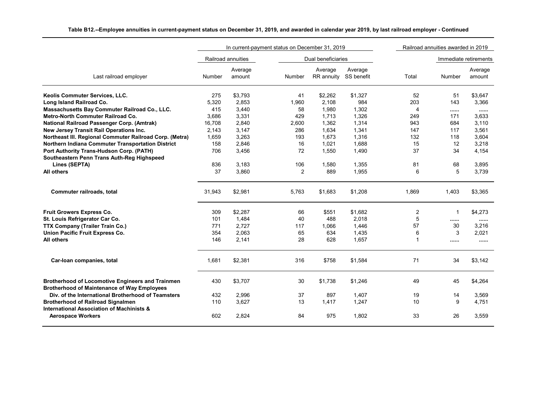|                                                                                                          |        |                    | In current-payment status on December 31, 2019 |                       | Railroad annuities awarded in 2019 |                |        |                       |
|----------------------------------------------------------------------------------------------------------|--------|--------------------|------------------------------------------------|-----------------------|------------------------------------|----------------|--------|-----------------------|
|                                                                                                          |        | Railroad annuities |                                                | Dual beneficiaries    |                                    |                |        | Immediate retirements |
| Last railroad employer                                                                                   | Number | Average<br>amount  | Number                                         | Average<br>RR annuity | Average<br>SS benefit              | Total          | Number | Average<br>amount     |
| Keolis Commuter Services, LLC.                                                                           | 275    | \$3,793            | 41                                             | \$2,262               | \$1,327                            | 52             | 51     | \$3,647               |
| Long Island Railroad Co.                                                                                 | 5,320  | 2,853              | 1,960                                          | 2,108                 | 984                                | 203            | 143    | 3,366                 |
| Massachusetts Bay Commuter Railroad Co., LLC.                                                            | 415    | 3,440              | 58                                             | 1,980                 | 1,302                              | $\overline{4}$ |        |                       |
| <b>Metro-North Commuter Railroad Co.</b>                                                                 | 3,686  | 3,331              | 429                                            | 1,713                 | 1,326                              | 249            | 171    | 3,633                 |
| National Railroad Passenger Corp. (Amtrak)                                                               | 16,708 | 2,840              | 2,600                                          | 1,362                 | 1,314                              | 943            | 684    | 3,110                 |
| New Jersey Transit Rail Operations Inc.                                                                  | 2,143  | 3,147              | 286                                            | 1,634                 | 1,341                              | 147            | 117    | 3,561                 |
| Northeast III. Regional Commuter Railroad Corp. (Metra)                                                  | 1,659  | 3,263              | 193                                            | 1,673                 | 1,316                              | 132            | 118    | 3,604                 |
| Northern Indiana Commuter Transportation District                                                        | 158    | 2,846              | 16                                             | 1,021                 | 1,688                              | 15             | 12     | 3,218                 |
| Port Authority Trans-Hudson Corp. (PATH)<br>Southeastern Penn Trans Auth-Reg Highspeed                   | 706    | 3,456              | 72                                             | 1,550                 | 1,490                              | 37             | 34     | 4,154                 |
| Lines (SEPTA)                                                                                            | 836    | 3,183              | 106                                            | 1,580                 | 1,355                              | 81             | 68     | 3,895                 |
| All others                                                                                               | 37     | 3,860              | $\overline{2}$                                 | 889                   | 1,955                              | 6              | 5      | 3,739                 |
| Commuter railroads, total                                                                                | 31,943 | \$2,981            | 5,763                                          | \$1,683               | \$1,208                            | 1,869          | 1,403  | \$3,365               |
| Fruit Growers Express Co.                                                                                | 309    | \$2,287            | 66                                             | \$551                 | \$1,682                            | $\overline{c}$ |        | \$4,273               |
| St. Louis Refrigerator Car Co.                                                                           | 101    | 1,484              | 40                                             | 488                   | 2,018                              | 5              |        |                       |
| TTX Company (Trailer Train Co.)                                                                          | 771    | 2,727              | 117                                            | 1,066                 | 1,446                              | 57             | 30     | 3,216                 |
| Union Pacific Fruit Express Co.                                                                          | 354    | 2,063              | 65                                             | 634                   | 1,435                              | 6              | 3      | 2,021                 |
| All others                                                                                               | 146    | 2,141              | 28                                             | 628                   | 1,657                              | $\mathbf{1}$   |        |                       |
| Car-Ioan companies, total                                                                                | 1,681  | \$2,381            | 316                                            | \$758                 | \$1,584                            | 71             | 34     | \$3,142               |
| <b>Brotherhood of Locomotive Engineers and Trainmen</b>                                                  | 430    | \$3,707            | 30                                             | \$1,738               | \$1,246                            | 49             | 45     | \$4,264               |
| <b>Brotherhood of Maintenance of Way Employees</b><br>Div. of the International Brotherhood of Teamsters | 432    | 2,996              | 37                                             | 897                   | 1,407                              | 19             | 14     | 3,569                 |
| <b>Brotherhood of Railroad Signalmen</b>                                                                 | 110    | 3,627              | 13                                             | 1,417                 | 1,247                              | 10             | 9      | 4,751                 |
| <b>International Association of Machinists &amp;</b>                                                     |        |                    |                                                |                       |                                    |                |        |                       |
| <b>Aerospace Workers</b>                                                                                 | 602    | 2,824              | 84                                             | 975                   | 1,802                              | 33             | 26     | 3,559                 |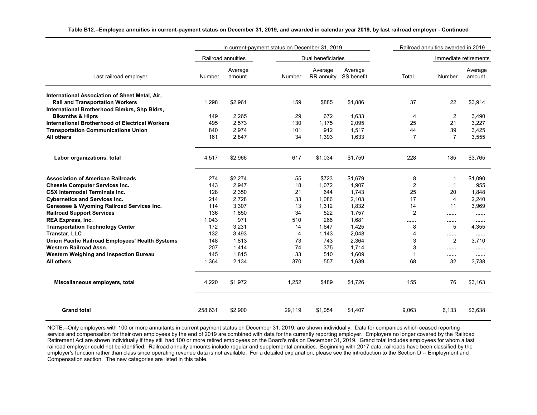|                                                                                        |         | In current-payment status on December 31, 2019 |        |                       | Railroad annuities awarded in 2019 |                |                |                       |
|----------------------------------------------------------------------------------------|---------|------------------------------------------------|--------|-----------------------|------------------------------------|----------------|----------------|-----------------------|
|                                                                                        |         | Railroad annuities                             |        | Dual beneficiaries    |                                    |                |                | Immediate retirements |
| Last railroad employer                                                                 | Number  | Average<br>amount                              | Number | Average<br>RR annuity | Average<br>SS benefit              | Total          | Number         | Average<br>amount     |
| International Association of Sheet Metal, Air,                                         |         |                                                |        |                       |                                    |                |                |                       |
| <b>Rail and Transportation Workers</b><br>International Brotherhood Blmkrs, Shp Bldrs, | 1.298   | \$2,961                                        | 159    | \$885                 | \$1.886                            | 37             | 22             | \$3,914               |
| <b>Blksmths &amp; Hiprs</b>                                                            | 149     | 2.265                                          | 29     | 672                   | 1,633                              | 4              | 2              | 3,490                 |
| <b>International Brotherhood of Electrical Workers</b>                                 | 495     | 2,573                                          | 130    | 1,175                 | 2,095                              | 25             | 21             | 3,227                 |
| <b>Transportation Communications Union</b>                                             | 840     | 2,974                                          | 101    | 912                   | 1,517                              | 44             | 39             | 3,425                 |
| All others                                                                             | 161     | 2,847                                          | 34     | 1,393                 | 1,633                              | $\overline{7}$ | $\overline{7}$ | 3,555                 |
| Labor organizations, total                                                             | 4,517   | \$2,966                                        | 617    | \$1,034               | \$1,759                            | 228            | 185            | \$3,765               |
| <b>Association of American Railroads</b>                                               | 274     | \$2,274                                        | 55     | \$723                 | \$1,679                            | 8              | $\overline{1}$ | \$1,090               |
| <b>Chessie Computer Services Inc.</b>                                                  | 143     | 2,947                                          | 18     | 1,072                 | 1,907                              | $\overline{c}$ | $\mathbf{1}$   | 955                   |
| <b>CSX Intermodal Terminals Inc.</b>                                                   | 128     | 2,350                                          | 21     | 644                   | 1,743                              | 25             | 20             | 1,848                 |
| <b>Cybernetics and Services Inc.</b>                                                   | 214     | 2,728                                          | 33     | 1,086                 | 2,103                              | 17             | $\overline{4}$ | 2,240                 |
| Genessee & Wyoming Railroad Services Inc.                                              | 114     | 3,307                                          | 13     | 1,312                 | 1,832                              | 14             | 11             | 3,969                 |
| <b>Railroad Support Services</b>                                                       | 136     | 1,850                                          | 34     | 522                   | 1,757                              | 2              |                |                       |
| <b>REA Express, Inc.</b>                                                               | 1.043   | 971                                            | 510    | 266                   | 1,681                              |                |                |                       |
| <b>Transportation Technology Center</b>                                                | 172     | 3,231                                          | 14     | 1,647                 | 1,425                              | 8              | 5              | 4,355                 |
| <b>Transtar, LLC</b>                                                                   | 132     | 3,493                                          | 4      | 1,143                 | 2,048                              | 4              |                |                       |
| Union Pacific Railroad Employees' Health Systems                                       | 148     | 1,813                                          | 73     | 743                   | 2,364                              | 3              | 2              | 3,710                 |
| Western Railroad Assn.                                                                 | 207     | 1,414                                          | 74     | 375                   | 1,714                              | 3              |                |                       |
| Western Weighing and Inspection Bureau                                                 | 145     | 1,815                                          | 33     | 510                   | 1,609                              | 1              |                |                       |
| All others                                                                             | 1,364   | 2,134                                          | 370    | 557                   | 1,639                              | 68             | 32             | 3,738                 |
| Miscellaneous employers, total                                                         | 4,220   | \$1,972                                        | 1,252  | \$489                 | \$1,726                            | 155            | 76             | \$3,163               |
| <b>Grand total</b>                                                                     | 258,631 | \$2,900                                        | 29,119 | \$1,054               | \$1,407                            | 9,063          | 6,133          | \$3,638               |

**Table B12.--Employee annuities in current-payment status on December 31, 2019, and awarded in calendar year 2019, by last railroad employer - Continued**

NOTE.--Only employers with 100 or more annuitants in current payment status on December 31, 2019, are shown individually. Data for companies which ceased reporting service and compensation for their own employees by the end of 2019 are combined with data for the currently reporting employer. Employers no longer covered by the Railroad Retirement Act are shown individually if they still had 100 or more retired employees on the Board's rolls on December 31, 2019. Grand total includes employees for whom a last railroad employer could not be identified. Railroad annuity amounts include regular and supplemental annuities. Beginning with 2017 data, railroads have been classified by the employer's function rather than class since operating revenue data is not available. For a detailed explanation, please see the introduction to the Section D -- Employment and Compensation section. The new categories are listed in this table.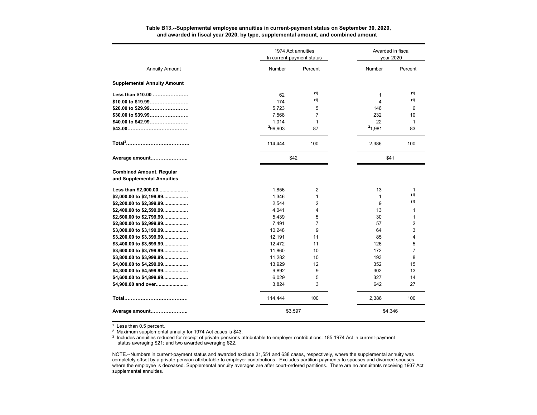#### **Table B13.--Supplemental employee annuities in current-payment status on September 30, 2020, and awarded in fiscal year 2020, by type, supplemental amount, and combined amount**

|                                                               |         | 1974 Act annuities<br>In current-payment status | Awarded in fiscal<br>vear 2020 |                |  |
|---------------------------------------------------------------|---------|-------------------------------------------------|--------------------------------|----------------|--|
| <b>Annuity Amount</b>                                         | Number  | Percent                                         | Number                         | Percent        |  |
| <b>Supplemental Annuity Amount</b>                            |         |                                                 |                                |                |  |
| Less than \$10.00                                             | 62      | (1)                                             | 1                              | (1)            |  |
| \$10.00 to \$19.99                                            | 174     | (1)                                             | 4                              | (1)            |  |
| \$20.00 to \$29.99                                            | 5,723   | 5                                               | 146                            | 6              |  |
| \$30.00 to \$39.99                                            | 7,568   | 7                                               | 232                            | 10             |  |
|                                                               | 1,014   | $\mathbf{1}$                                    | 22                             | 1              |  |
|                                                               | 299,903 | 87                                              | 21,981                         | 83             |  |
|                                                               | 114,444 | 100                                             | 2,386                          | 100            |  |
| Average amount                                                |         | \$42                                            |                                | \$41           |  |
| <b>Combined Amount, Regular</b><br>and Supplemental Annuities |         |                                                 |                                |                |  |
| Less than \$2,000.00                                          | 1,856   | 2                                               | 13                             | 1              |  |
| \$2,000.00 to \$2,199.99                                      | 1,346   | $\mathbf{1}$                                    | $\mathbf{1}$                   | (1)            |  |
| \$2,200.00 to \$2,399.99                                      | 2,544   | 2                                               | 9                              | (1)            |  |
| \$2,400.00 to \$2,599.99                                      | 4,041   | 4                                               | 13                             | 1              |  |
| \$2,600.00 to \$2,799.99                                      | 5,439   | 5                                               | 30                             | $\mathbf{1}$   |  |
| \$2,800.00 to \$2,999.99                                      | 7,491   | $\overline{7}$                                  | 57                             | $\overline{2}$ |  |
| \$3,000.00 to \$3,199.99                                      | 10,248  | 9                                               | 64                             | 3              |  |
| \$3,200.00 to \$3,399.99                                      | 12,191  | 11                                              | 85                             | 4              |  |
| \$3,400.00 to \$3,599.99                                      | 12,472  | 11                                              | 126                            | 5              |  |
| \$3,600.00 to \$3,799.99                                      | 11,860  | 10                                              | 172                            | 7              |  |
| \$3,800.00 to \$3,999.99                                      | 11,282  | 10                                              | 193                            | 8              |  |
| \$4,000.00 to \$4,299.99                                      | 13,929  | 12                                              | 352                            | 15             |  |
| \$4,300.00 to \$4,599.99                                      | 9,892   | 9                                               | 302                            | 13             |  |
| \$4,600.00 to \$4,899.99                                      | 6,029   | 5                                               | 327                            | 14             |  |
| \$4,900.00 and over                                           | 3,824   | 3                                               | 642                            | 27             |  |
|                                                               | 114,444 | 100                                             | 2,386                          | 100            |  |
| Average amount                                                | \$3,597 |                                                 |                                | \$4,346        |  |

<sup>1</sup> Less than 0.5 percent.

<sup>2</sup> Maximum supplemental annuity for 1974 Act cases is \$43.

<sup>3</sup> Includes annuities reduced for receipt of private pensions attributable to employer contributions: 185 1974 Act in current-payment status averaging \$21; and two awarded averaging \$22.

NOTE.--Numbers in current-payment status and awarded exclude 31,551 and 638 cases, respectively, where the supplemental annuity was completely offset by a private pension attributable to employer contributions. Excludes partition payments to spouses and divorced spouses where the employee is deceased. Supplemental annuity averages are after court-ordered partitions. There are no annuitants receiving 1937 Act supplemental annuities.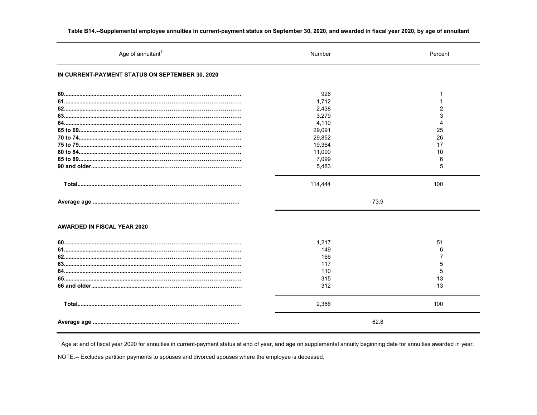| Age of annuitant <sup>1</sup>                   | Number          | Percent        |
|-------------------------------------------------|-----------------|----------------|
| IN CURRENT-PAYMENT STATUS ON SEPTEMBER 30, 2020 |                 |                |
|                                                 | 926             |                |
|                                                 | 1,712           |                |
|                                                 | 2,438           | $\mathfrak{p}$ |
|                                                 | 3,279           | 3              |
|                                                 | 4,110           | Δ              |
|                                                 | 29,091          | 25             |
|                                                 | 29,852          | 26             |
|                                                 | 19,364          | 17             |
|                                                 | 11,090          | 10             |
|                                                 | 7,099           | 6              |
|                                                 | 5,483           | 5              |
|                                                 | 114,444<br>73.9 | 100            |
| <b>AWARDED IN FISCAL YEAR 2020</b>              | 1,217           | 51             |
|                                                 | 149             | 6              |
|                                                 | 166             |                |
|                                                 | 117             | 5              |
|                                                 | 110             | 5              |
|                                                 | 315             | 13             |
|                                                 | 312             | 13             |
|                                                 | 2,386           | 100            |
|                                                 | 62.8            |                |

Table B14.--Supplemental employee annuities in current-payment status on September 30, 2020, and awarded in fiscal year 2020, by age of annuitant

<sup>1</sup> Age at end of fiscal year 2020 for annuities in current-payment status at end of year, and age on supplemental annuity beginning date for annuities awarded in year.

NOTE .-- Excludes partition payments to spouses and divorced spouses where the employee is deceased.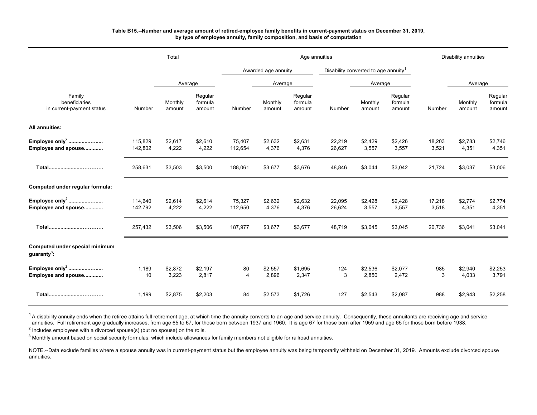#### **Table B15.--Number and average amount of retired-employee family benefits in current-payment status on December 31, 2019, by type of employee annuity, family composition, and basis of computation**

|                                                           |                    | Total             |                              |                      |                     | Age annuities                |                                                  |                   |                              | <b>Disability annuities</b> |                   |                              |  |
|-----------------------------------------------------------|--------------------|-------------------|------------------------------|----------------------|---------------------|------------------------------|--------------------------------------------------|-------------------|------------------------------|-----------------------------|-------------------|------------------------------|--|
|                                                           |                    |                   |                              |                      | Awarded age annuity |                              | Disability converted to age annuity <sup>1</sup> |                   |                              |                             |                   |                              |  |
|                                                           |                    | Average           |                              |                      | Average             |                              |                                                  | Average           |                              |                             | Average           |                              |  |
| Family<br>beneficiaries<br>in current-payment status      | Number             | Monthly<br>amount | Regular<br>formula<br>amount | Number               | Monthly<br>amount   | Regular<br>formula<br>amount | Number                                           | Monthly<br>amount | Regular<br>formula<br>amount | Number                      | Monthly<br>amount | Regular<br>formula<br>amount |  |
| All annuities:                                            |                    |                   |                              |                      |                     |                              |                                                  |                   |                              |                             |                   |                              |  |
| Employee only <sup>2</sup><br>Employee and spouse         | 115,829<br>142,802 | \$2,617<br>4,222  | \$2,610<br>4,222             | 75,407<br>112,654    | \$2,632<br>4,376    | \$2,631<br>4,376             | 22,219<br>26,627                                 | \$2,429<br>3,557  | \$2,426<br>3,557             | 18,203<br>3,521             | \$2,783<br>4,351  | \$2,746<br>4,351             |  |
|                                                           | 258,631            | \$3,503           | \$3,500                      | 188,061              | \$3,677             | \$3,676                      | 48,846                                           | \$3,044           | \$3,042                      | 21,724                      | \$3,037           | \$3,006                      |  |
| Computed under regular formula:                           |                    |                   |                              |                      |                     |                              |                                                  |                   |                              |                             |                   |                              |  |
| Employee only <sup>2</sup><br>Employee and spouse         | 114,640<br>142,792 | \$2,614<br>4,222  | \$2,614<br>4,222             | 75,327<br>112,650    | \$2,632<br>4,376    | \$2,632<br>4,376             | 22,095<br>26,624                                 | \$2,428<br>3,557  | \$2,428<br>3,557             | 17,218<br>3,518             | \$2,774<br>4,351  | \$2,774<br>4,351             |  |
|                                                           | 257,432            | \$3,506           | \$3,506                      | 187,977              | \$3,677             | \$3,677                      | 48,719                                           | \$3,045           | \$3,045                      | 20,736                      | \$3,041           | \$3,041                      |  |
| Computed under special minimum<br>guaranty <sup>3</sup> : |                    |                   |                              |                      |                     |                              |                                                  |                   |                              |                             |                   |                              |  |
| Employee only <sup>2</sup><br>Employee and spouse         | 1,189<br>10        | \$2,872<br>3,223  | \$2,197<br>2,817             | 80<br>$\overline{4}$ | \$2,557<br>2,896    | \$1,695<br>2,347             | 124<br>3                                         | \$2,536<br>2,850  | \$2,077<br>2,472             | 985<br>3                    | \$2,940<br>4,033  | \$2,253<br>3,791             |  |
| Total                                                     | 1,199              | \$2,875           | \$2,203                      | 84                   | \$2,573             | \$1,726                      | 127                                              | \$2,543           | \$2,087                      | 988                         | \$2,943           | \$2,258                      |  |

<sup>1</sup>A disability annuity ends when the retiree attains full retirement age, at which time the annuity converts to an age and service annuity. Consequently, these annuitants are receiving age and service annuities. Full retirement age gradually increases, from age 65 to 67, for those born between 1937 and 1960. It is age 67 for those born after 1959 and age 65 for those born before 1938.

 $^{\text{2}}$  Includes employees with a divorced spouse(s) (but no spouse) on the rolls.

 $^3$  Monthly amount based on social security formulas, which include allowances for family members not eligible for railroad annuities.

NOTE.--Data exclude families where a spouse annuity was in current-payment status but the employee annuity was being temporarily withheld on December 31, 2019. Amounts exclude divorced spouse annuities.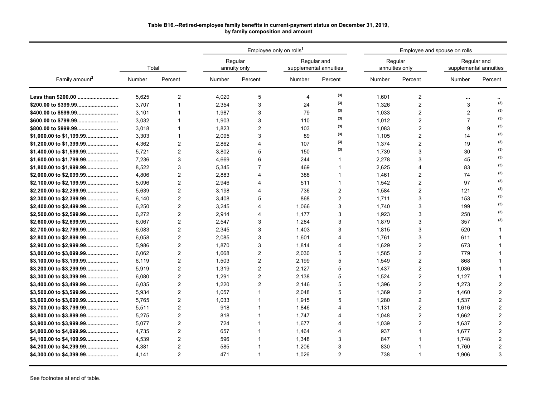#### **Table B16.--Retired-employee family benefits in current-payment status on December 31, 2019, by family composition and amount**

|                            |        |                | Employee only on rolls <sup>1</sup><br>Regular and<br>Regular<br>supplemental annuities<br>annuity only |                       |                |                |        |                           | Employee and spouse on rolls          |                |
|----------------------------|--------|----------------|---------------------------------------------------------------------------------------------------------|-----------------------|----------------|----------------|--------|---------------------------|---------------------------------------|----------------|
|                            | Total  |                |                                                                                                         |                       |                |                |        | Regular<br>annuities only | Regular and<br>supplemental annuities |                |
| Family amount <sup>2</sup> | Number | Percent        | Number                                                                                                  | Percent               | Number         | Percent        | Number | Percent                   | Number                                | Percent        |
| Less than \$200.00         | 5.625  | $\overline{2}$ | 4,020                                                                                                   | 5                     | $\overline{4}$ | (3)            | 1.601  | $\overline{2}$            |                                       |                |
| \$200.00 to \$399.99       | 3.707  | $\overline{1}$ | 2,354                                                                                                   | 3                     | 24             | (3)            | 1,326  | $\overline{2}$            | 3                                     | (3)            |
| \$400.00 to \$599.99       | 3.101  | $\overline{1}$ | 1,987                                                                                                   | 3                     | 79             | (3)            | 1,033  | $\overline{2}$            | $\overline{2}$                        | (3)            |
| \$600.00 to \$799.99       | 3,032  | $\overline{1}$ | 1,903                                                                                                   | 3                     | 110            | (3)            | 1,012  | $\overline{2}$            | $\overline{7}$                        | (3)            |
|                            | 3.018  | $\mathbf{1}$   | 1,823                                                                                                   | $\overline{2}$        | 103            | (3)            | 1.083  | $\overline{2}$            | 9                                     | (3)            |
| \$1,000.00 to \$1,199.99   | 3,303  | $\mathbf{1}$   | 2,095                                                                                                   | 3                     | 89             | (3)            | 1,105  | $\overline{2}$            | 14                                    | (3)            |
| \$1,200.00 to \$1,399.99   | 4,362  | $\overline{2}$ | 2,862                                                                                                   | $\overline{4}$        | 107            | (3)            | 1,374  | $\overline{2}$            | 19                                    | (3)            |
| \$1,400.00 to \$1,599.99   | 5.721  | $\overline{2}$ | 3.802                                                                                                   | 5                     | 150            | (3)            | 1.739  | 3                         | 30                                    | (3)            |
| \$1,600.00 to \$1,799.99   | 7,236  | 3              | 4,669                                                                                                   | 6                     | 244            | 1              | 2,278  | 3                         | 45                                    | (3)            |
| \$1,800.00 to \$1,999.99   | 8.522  | 3              | 5,345                                                                                                   | 7                     | 469            | 1              | 2,625  | 4                         | 83                                    | (3)            |
| \$2,000.00 to \$2,099.99   | 4,806  | $\overline{2}$ | 2,883                                                                                                   | $\overline{4}$        | 388            | 1              | 1,461  | $\overline{2}$            | 74                                    | (3)            |
| \$2,100.00 to \$2,199.99   | 5.096  | 2              | 2,946                                                                                                   | $\boldsymbol{\Delta}$ | 511            | $\mathbf{1}$   | 1.542  | $\overline{2}$            | 97                                    | (3)            |
| \$2,200.00 to \$2,299.99   | 5.639  | $\overline{2}$ | 3,198                                                                                                   | 4                     | 736            | $\overline{2}$ | 1,584  | $\overline{2}$            | 121                                   | (3)            |
| \$2,300.00 to \$2,399.99   | 6,140  | $\overline{2}$ | 3,408                                                                                                   | 5                     | 868            | 2              | 1,711  | 3                         | 153                                   | (3)            |
| \$2,400.00 to \$2,499.99   | 6.250  | $\overline{2}$ | 3,245                                                                                                   | 4                     | 1,066          | 3              | 1.740  | 3                         | 199                                   | (3)            |
| \$2,500.00 to \$2,599.99   | 6,272  | $\overline{2}$ | 2,914                                                                                                   | 4                     | 1,177          | 3              | 1,923  | 3                         | 258                                   | (3)            |
| \$2,600.00 to \$2,699.99   | 6.067  | $\overline{c}$ | 2,547                                                                                                   | 3                     | 1,284          | 3              | 1,879  | 3                         | 357                                   | (3)            |
| \$2,700.00 to \$2,799.99   | 6,083  | $\overline{2}$ | 2,345                                                                                                   | 3                     | 1,403          | 3              | 1,815  | 3                         | 520                                   | -1             |
| \$2,800.00 to \$2,899.99   | 6,058  | 2              | 2,085                                                                                                   | 3                     | 1,601          | 4              | 1,761  | 3                         | 611                                   | -1             |
| \$2,900.00 to \$2,999.99   | 5.986  | $\overline{2}$ | 1,870                                                                                                   | 3                     | 1,814          | 4              | 1,629  | $\overline{2}$            | 673                                   |                |
| \$3,000.00 to \$3,099.99   | 6,062  | $\overline{2}$ | 1,668                                                                                                   | $\overline{2}$        | 2,030          | 5              | 1,585  | $\overline{2}$            | 779                                   |                |
| \$3,100.00 to \$3,199.99   | 6.119  | $\overline{2}$ | 1,503                                                                                                   | $\overline{2}$        | 2,199          | 5              | 1,549  | $\overline{c}$            | 868                                   |                |
| \$3,200.00 to \$3,299.99   | 5.919  | $\overline{2}$ | 1,319                                                                                                   | $\overline{2}$        | 2,127          | 5              | 1,437  | $\overline{2}$            | 1,036                                 | 1              |
| \$3,300.00 to \$3,399.99   | 6.080  | $\overline{2}$ | 1,291                                                                                                   | $\overline{2}$        | 2,138          | 5              | 1,524  | $\overline{2}$            | 1,127                                 | 1              |
| \$3,400.00 to \$3,499.99   | 6,035  | $\overline{2}$ | 1,220                                                                                                   | $\overline{2}$        | 2,146          | 5              | 1,396  | $\overline{2}$            | 1,273                                 | $\overline{c}$ |
| \$3,500.00 to \$3,599.99   | 5,934  | $\overline{2}$ | 1,057                                                                                                   | $\mathbf 1$           | 2,048          | 5              | 1,369  | $\overline{2}$            | 1,460                                 | $\overline{2}$ |
| \$3,600.00 to \$3,699.99   | 5.765  | $\overline{2}$ | 1,033                                                                                                   | $\mathbf{1}$          | 1,915          | 5              | 1,280  | $\overline{2}$            | 1,537                                 | 2              |
| \$3,700.00 to \$3,799.99   | 5,511  | $\overline{c}$ | 918                                                                                                     | $\mathbf{1}$          | 1,846          | 4              | 1,131  | $\overline{2}$            | 1,616                                 | $\overline{c}$ |
| \$3,800.00 to \$3,899.99   | 5.275  | $\overline{2}$ | 818                                                                                                     | $\mathbf{1}$          | 1.747          | 4              | 1.048  | $\overline{2}$            | 1,662                                 | $\overline{2}$ |
| \$3,900.00 to \$3,999.99   | 5.077  | $\overline{2}$ | 724                                                                                                     | $\mathbf{1}$          | 1.677          | 4              | 1,039  | $\overline{2}$            | 1,637                                 | 2              |
| \$4,000.00 to \$4,099.99   | 4.735  | $\overline{2}$ | 657                                                                                                     | $\mathbf{1}$          | 1,464          | 4              | 937    | 1                         | 1,677                                 | $\overline{c}$ |
| \$4,100.00 to \$4,199.99   | 4,539  | $\overline{2}$ | 596                                                                                                     | $\mathbf 1$           | 1,348          | 3              | 847    | 1                         | 1,748                                 | $\overline{2}$ |
| \$4,200.00 to \$4,299.99   | 4,381  | $\overline{2}$ | 585                                                                                                     | $\mathbf 1$           | 1,206          | 3              | 830    | 1                         | 1,760                                 | 2              |
| \$4,300.00 to \$4,399.99   | 4.141  | $\overline{2}$ | 471                                                                                                     | $\mathbf{1}$          | 1,026          | $\overline{2}$ | 738    | 1                         | 1,906                                 | 3              |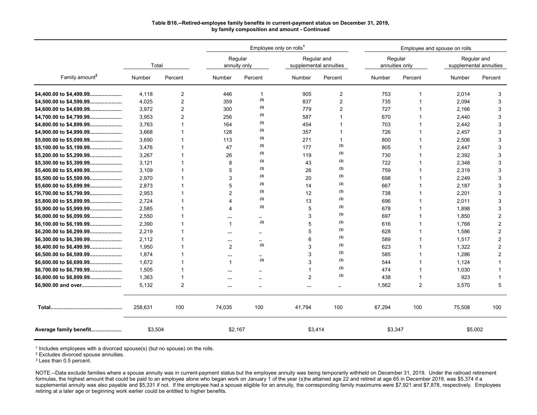### **Table B16.--Retired-employee family benefits in current-payment status on December 31, 2019, by family composition and amount - Continued**

|                            |         |                |                       |                      | Employee only on rolls <sup>1</sup> |                                       |         |                           | Employee and spouse on rolls |                                       |
|----------------------------|---------|----------------|-----------------------|----------------------|-------------------------------------|---------------------------------------|---------|---------------------------|------------------------------|---------------------------------------|
|                            | Total   |                | annuity only          | Regular              |                                     | Regular and<br>supplemental annuities |         | Regular<br>annuities only |                              | Regular and<br>supplemental annuities |
| Family amount <sup>2</sup> | Number  | Percent        | Number                | Percent              | Number                              | Percent                               | Number  | Percent                   | Number                       | Percent                               |
| \$4,400.00 to \$4,499.99   | 4.118   | 2              | 446                   | 1                    | 905                                 | $\overline{2}$                        | 753     | 1                         | 2,014                        | 3                                     |
| \$4,500.00 to \$4,599.99   | 4,025   | 2              | 359                   | (3)                  | 837                                 | $\overline{2}$                        | 735     |                           | 2,094                        | 3                                     |
| \$4,600.00 to \$4,699.99   | 3,972   | $\overline{2}$ | 300                   | (3)                  | 779                                 | $\overline{2}$                        | 727     | 1                         | 2,166                        | 3                                     |
| \$4,700.00 to \$4,799.99   | 3,953   | $\overline{2}$ | 256                   | (3)                  | 587                                 | 1                                     | 670     |                           | 2,440                        | 3                                     |
| \$4,800.00 to \$4,899.99   | 3.763   | 1              | 164                   | (3)                  | 454                                 | 1                                     | 703     | 1                         | 2,442                        | 3                                     |
| \$4,900.00 to \$4,999.99   | 3,668   | 1              | 128                   | (3)                  | 357                                 | 1                                     | 726     | 1                         | 2,457                        | 3                                     |
| \$5,000.00 to \$5,099.99   | 3,690   | 1              | 113                   | (3)                  | 271                                 | $\mathbf{1}$                          | 800     | 1                         | 2,506                        | 3                                     |
| \$5,100.00 to \$5,199.99   | 3,476   | 1              | 47                    | (3)                  | 177                                 | (3)                                   | 805     | 1                         | 2,447                        | 3                                     |
| \$5,200.00 to \$5,299.99   | 3,267   | 1              | 26                    | (3)                  | 119                                 | (3)                                   | 730     |                           | 2,392                        | 3                                     |
| \$5,300.00 to \$5,399.99   | 3,121   | 1              | 8                     | (3)                  | 43                                  | (3)                                   | 722     |                           | 2,348                        | 3                                     |
| \$5,400.00 to \$5,499.99   | 3.109   | 1              | 5                     | (3)                  | 26                                  | (3)                                   | 759     | 1                         | 2,319                        | 3                                     |
| \$5,500.00 to \$5,599.99   | 2,970   | 1              | 3                     | (3)                  | 20                                  | (3)                                   | 698     | 1                         | 2,249                        | 3                                     |
| \$5,600.00 to \$5,699.99   | 2.873   | 1              | 5                     | (3)                  | 14                                  | (3)                                   | 667     |                           | 2,187                        | 3                                     |
| \$5,700.00 to \$5,799.99   | 2,953   | 1              | $\overline{2}$        | (3)                  | 12                                  | (3)                                   | 738     | 1                         | 2,201                        | 3                                     |
| \$5,800.00 to \$5,899.99   | 2.724   | 1              | $\overline{A}$        | (3)                  | 13                                  | (3)                                   | 696     |                           | 2,011                        | 3                                     |
| \$5,900.00 to \$5,999.99   | 2,585   | 1              | $\boldsymbol{\Delta}$ | (3)                  | 5                                   | (3)                                   | 678     | 1                         | 1,898                        | 3                                     |
| \$6,000.00 to \$6,099.99   | 2,550   | 1              |                       | $\ddot{\phantom{a}}$ | 3                                   | (3)                                   | 697     | 1                         | 1,850                        | $\overline{2}$                        |
| \$6,100.00 to \$6,199.99   | 2,390   | 1              | $\mathbf{1}$          | (3)                  | 5                                   | (3)                                   | 616     | 1                         | 1,768                        | 2                                     |
| \$6,200.00 to \$6,299.99   | 2.219   | 1              |                       | ٠.                   | 5                                   | (3)                                   | 628     | 1                         | 1,586                        | 2                                     |
| \$6,300.00 to \$6,399.99   | 2,112   | 1              | $\cdots$              |                      | 6                                   | (3)                                   | 589     | 1                         | 1,517                        | 2                                     |
| \$6,400.00 to \$6,499.99   | 1,950   | 1              | $\overline{2}$        | (3)                  | 3                                   | (3)                                   | 623     |                           | 1,322                        | 2                                     |
| \$6,500.00 to \$6,599.99   | 1,874   | 1              |                       | ٠.                   | 3                                   | (3)                                   | 585     |                           | 1,286                        | 2                                     |
| \$6,600.00 to \$6,699.99   | 1.672   |                | $\mathbf{1}$          | (3)                  | 3                                   | (3)                                   | 544     | 1                         | 1,124                        | 1                                     |
| \$6,700.00 to \$6,799.99   | 1,505   | 1              |                       |                      | $\mathbf{1}$                        | (3)                                   | 474     | 1                         | 1,030                        |                                       |
| \$6,800.00 to \$6,899.99   | 1,363   | 1              | $\cdots$              | $\ddotsc$            | $\overline{2}$                      | (3)                                   | 438     | 1                         | 923                          | 1                                     |
| \$6,900.00 and over        | 5,132   | $\overline{2}$ |                       |                      | $\ddotsc$                           | $\ddot{\phantom{1}}$                  | 1,562   | 2                         | 3,570                        | 5                                     |
|                            | 258.631 | 100            | 74,035                | 100                  | 41,794                              | 100                                   | 67,294  | 100                       | 75.508                       | 100                                   |
| Average family benefit     | \$3,504 |                | \$2,167               |                      | \$3,414                             |                                       | \$3,347 |                           | \$5,002                      |                                       |

<sup>1</sup> Includes employees with a divorced spouse(s) (but no spouse) on the rolls.

<sup>2</sup> Excludes divorced spouse annuities.

<sup>3</sup> Less than 0.5 percent.

NOTE.--Data exclude families where a spouse annuity was in current-payment status but the employee annuity was being temporarily withheld on December 31, 2019. Under the railroad retirement formulas, the highest amount that could be paid to an employee alone who began work on January 1 of the year (s)he attained age 22 and retired at age 65 in December 2019, was \$5,374 if a supplemental annuity was also payable and \$5,331 if not. If the employee had a spouse eligible for an annuity, the corresponding family maximums were \$7,921 and \$7,878, respectively. Employees retiring at a later age or beginning work earlier could be entitled to higher benefits.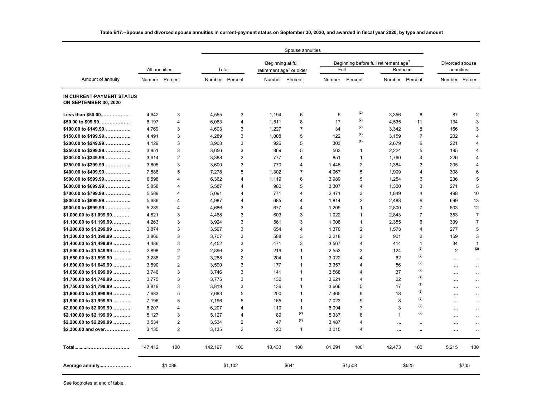|                                                    |               |                |                |                |                                      | Spouse annuities |        |                                                   |             |                      |                 |                      |
|----------------------------------------------------|---------------|----------------|----------------|----------------|--------------------------------------|------------------|--------|---------------------------------------------------|-------------|----------------------|-----------------|----------------------|
|                                                    |               |                |                |                | Beginning at full                    |                  |        | Beginning before full retirement age <sup>1</sup> |             |                      | Divorced spouse |                      |
|                                                    | All annuities |                | Total          |                | retirement age <sup>1</sup> or older |                  | Full   |                                                   | Reduced     |                      | annuities       |                      |
| Amount of annuity                                  | Number        | Percent        | Number Percent |                |                                      | Number Percent   |        | Number Percent                                    | Number      | Percent              |                 | Number Percent       |
| IN CURRENT-PAYMENT STATUS<br>ON SEPTEMBER 30, 2020 |               |                |                |                |                                      |                  |        |                                                   |             |                      |                 |                      |
| Less than \$50.00                                  | 4.642         | 3              | 4,555          | 3              | 1.194                                | 6                | 5      | (2)                                               | 3,356       | 8                    | 87              | 2                    |
| $$50.00$ to $$99.99$                               | 6,197         | 4              | 6,063          | 4              | 1,511                                | 8                | 17     | (2)                                               | 4,535       | 11                   | 134             | 3                    |
| \$100.00 to \$149.99                               | 4,769         | 3              | 4,603          | 3              | 1,227                                | 7                | 34     | (2)                                               | 3,342       | 8                    | 166             | 3                    |
| \$150.00 to \$199.99                               | 4.491         | 3              | 4.289          | 3              | 1.008                                | 5                | 122    | (2)                                               | 3,159       | $\overline{7}$       | 202             | $\overline{4}$       |
| \$200.00 to \$249.99                               | 4,129         | 3              | 3,908          | 3              | 926                                  | 5                | 303    | (2)                                               | 2,679       | 6                    | 221             | 4                    |
| \$250.00 to \$299.99                               | 3,851         | 3              | 3.656          | 3              | 869                                  | 5                | 563    | $\mathbf{1}$                                      | 2,224       | 5                    | 195             | $\overline{4}$       |
| \$300.00 to \$349.99                               | 3,614         | $\overline{2}$ | 3,388          | $\overline{2}$ | 777                                  | 4                | 851    | $\overline{1}$                                    | 1,760       | $\overline{4}$       | 226             | $\overline{4}$       |
| \$350.00 to \$399.99                               | 3,805         | 3              | 3,600          | 3              | 770                                  | 4                | 1,446  | $\overline{2}$                                    | 1,384       | 3                    | 205             | $\overline{4}$       |
| \$400.00 to \$499.99                               | 7,586         | 5              | 7,278          | 5              | 1,302                                | $\overline{7}$   | 4,067  | 5                                                 | 1,909       | $\overline{4}$       | 308             | 6                    |
| $$500.00$ to $$599.99$                             | 6.598         | $\overline{4}$ | 6.362          | $\overline{4}$ | 1.119                                | 6                | 3,989  | 5                                                 | 1,254       | 3                    | 236             | 5                    |
| \$600.00 to \$699.99                               | 5,858         | $\overline{4}$ | 5,587          | 4              | 980                                  | 5                | 3,307  | $\overline{4}$                                    | 1,300       | 3                    | 271             | 5                    |
| \$700.00 to \$799.99                               | 5,589         | $\overline{4}$ | 5,091          | 4              | 771                                  | $\overline{4}$   | 2,471  | 3                                                 | 1,849       | 4                    | 498             | 10                   |
| \$800.00 to \$899.99                               | 5,686         | $\overline{4}$ | 4.987          | 4              | 685                                  | 4                | 1,814  | 2                                                 | 2,488       | 6                    | 699             | 13                   |
| \$900.00 to \$999.99                               | 5.289         | $\overline{4}$ | 4.686          | 3              | 677                                  | $\overline{4}$   | 1.209  | 1                                                 | 2.800       | $\overline{7}$       | 603             | 12                   |
| \$1,000.00 to \$1,099.99                           | 4,821         | 3              | 4,468          | 3              | 603                                  | 3                | 1,022  | $\mathbf{1}$                                      | 2,843       | $\overline{7}$       | 353             | $\overline{7}$       |
| \$1,100.00 to \$1,199.99                           | 4,263         | 3              | 3.924          | 3              | 561                                  | 3                | 1,008  | $\mathbf{1}$                                      | 2,355       | 6                    | 339             | $\overline{7}$       |
| \$1,200.00 to \$1,299.99                           | 3.874         | 3              | 3.597          | 3              | 654                                  | $\overline{4}$   | 1,370  | $\overline{2}$                                    | 1.573       | $\overline{4}$       | 277             | 5                    |
| \$1,300.00 to \$1,399.99                           | 3,866         | 3              | 3,707          | 3              | 588                                  | 3                | 2,218  | 3                                                 | 901         | $\mathbf{2}$         | 159             | 3                    |
| $$1,400.00$ to $$1,499.99$                         | 4,486         | 3              | 4,452          | 3              | 471                                  | 3                | 3,567  | $\overline{4}$                                    | 414         | $\mathbf{1}$         | 34              | $\mathbf{1}$         |
| \$1,500.00 to \$1,549.99                           | 2,898         | $\overline{2}$ | 2,896          | $\overline{2}$ | 219                                  | $\mathbf{1}$     | 2,553  | 3                                                 | 124         | (2)                  | 2               | (2)                  |
| \$1,550.00 to \$1,599.99                           | 3,288         | $\overline{2}$ | 3,288          | $\overline{2}$ | 204                                  | 1                | 3,022  | $\overline{4}$                                    | 62          | (2)                  |                 | ٠.                   |
| \$1,600.00 to \$1,649.99                           | 3,590         | $\overline{2}$ | 3,590          | 3              | 177                                  | $\mathbf{1}$     | 3,357  | $\overline{4}$                                    | 56          | (2)                  |                 | ٠.                   |
| $$1,650.00$ to $$1,699.99$                         | 3.746         | 3              | 3.746          | 3              | 141                                  | $\mathbf{1}$     | 3,568  | $\overline{4}$                                    | 37          | (2)                  | $\cdots$        | $\ddot{\phantom{a}}$ |
| \$1,700.00 to \$1,749.99                           | 3,775         | 3              | 3,775          | 3              | 132                                  | $\mathbf{1}$     | 3,621  | $\overline{4}$                                    | 22          | (2)                  |                 | $\cdot$ .            |
| \$1,750.00 to \$1,799.99                           | 3,819         | 3              | 3,819          | 3              | 136                                  | $\mathbf{1}$     | 3,666  | 5                                                 | 17          | (2)                  | $\cdots$        | $\ddot{\phantom{a}}$ |
| \$1,800.00 to \$1,899.99                           | 7,683         | 5              | 7,683          | 5              | 200                                  | $\mathbf{1}$     | 7,465  | 9                                                 | 18          | (2)                  |                 | $\ddot{\phantom{1}}$ |
| \$1,900.00 to \$1,999.99                           | 7,196         | 5              | 7.196          | 5              | 165                                  | $\mathbf{1}$     | 7,023  | 9                                                 | 8           | (2)                  | $\cdots$        | $\ddot{\phantom{a}}$ |
| \$2,000.00 to \$2,099.99                           | 6,207         | $\overline{4}$ | 6,207          | 4              | 110                                  | $\mathbf{1}$     | 6,094  | $\overline{7}$                                    | 3           | (2)                  |                 | $\ddot{\phantom{a}}$ |
| \$2,100.00 to \$2,199.99                           | 5,127         | 3              | 5.127          | 4              | 89                                   | (2)              | 5,037  | 6                                                 | $\mathbf 1$ | (2)                  |                 | $\ddot{\phantom{a}}$ |
| \$2,200.00 to \$2,299.99                           | 3.534         | $\overline{2}$ | 3.534          | $\overline{2}$ | 47                                   | (2)              | 3,487  | $\overline{4}$                                    |             |                      |                 | ٠.                   |
| \$2,300.00 and over                                | 3,135         | $\overline{2}$ | 3,135          | $\overline{2}$ | 120                                  | $\mathbf{1}$     | 3,015  | $\overline{4}$                                    | $\cdots$    | $\ddot{\phantom{a}}$ | $\cdots$        | $\ddot{\phantom{a}}$ |
|                                                    | 147.412       | 100            | 142.197        | 100            | 18.433                               | 100              | 81,291 | 100                                               | 42.473      | 100                  | 5,215           | 100                  |
| Average annuity                                    |               | \$1,088        |                | \$1.102        |                                      | \$641            |        | \$1,508                                           |             | \$525                |                 | \$705                |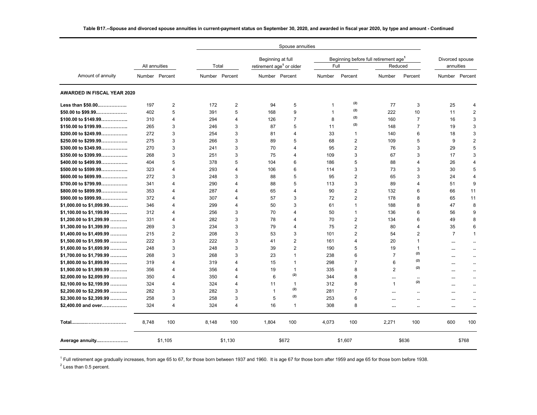|                                    |               |                |                |                |                                      | Spouse annuities |                |                |                                                   |                         |                 |                      |
|------------------------------------|---------------|----------------|----------------|----------------|--------------------------------------|------------------|----------------|----------------|---------------------------------------------------|-------------------------|-----------------|----------------------|
|                                    |               |                |                |                | Beginning at full                    |                  |                |                | Beginning before full retirement age <sup>1</sup> |                         | Divorced spouse |                      |
|                                    | All annuities |                | Total          |                | retirement age <sup>1</sup> or older |                  | Full           |                | Reduced                                           |                         | annuities       |                      |
| Amount of annuity                  |               | Number Percent | Number Percent |                |                                      | Number Percent   | Number         | Percent        | Number                                            | Percent                 |                 | Number Percent       |
| <b>AWARDED IN FISCAL YEAR 2020</b> |               |                |                |                |                                      |                  |                |                |                                                   |                         |                 |                      |
| Less than \$50.00                  | 197           | 2              | 172            | $\overline{2}$ | 94                                   | 5                | 1              | (2)            | 77                                                | 3                       | 25              | 4                    |
| $$50.00$ to $$99.99$               | 402           | 5              | 391            | 5              | 168                                  | 9                | $\overline{1}$ | (2)            | 222                                               | 10                      | 11              | $\sqrt{2}$           |
| \$100.00 to \$149.99               | 310           | $\overline{4}$ | 294            | $\overline{4}$ | 126                                  | $\overline{7}$   | 8              | (2)            | 160                                               | $\overline{7}$          | 16              | 3                    |
| \$150.00 to \$199.99               | 265           | 3              | 246            | 3              | 87                                   | 5                | 11             | (2)            | 148                                               | 7                       | 19              | 3                    |
| \$200.00 to \$249.99               | 272           | 3              | 254            | 3              | 81                                   | 4                | 33             | $\mathbf{1}$   | 140                                               | 6                       | 18              | 3                    |
| \$250.00 to \$299.99               | 275           | 3              | 266            | 3              | 89                                   | 5                | 68             | 2              | 109                                               | 5                       | 9               | $\overline{2}$       |
| \$300.00 to \$349.99               | 270           | 3              | 241            | 3              | 70                                   | 4                | 95             | $\overline{2}$ | 76                                                | 3                       | 29              | 5                    |
| \$350.00 to \$399.99               | 268           | 3              | 251            | 3              | 75                                   | 4                | 109            | 3              | 67                                                | 3                       | 17              | 3                    |
| \$400.00 to \$499.99               | 404           | 5              | 378            | 5              | 104                                  | 6                | 186            | 5              | 88                                                | 4                       | 26              | 4                    |
| \$500.00 to \$599.99               | 323           | $\overline{4}$ | 293            | 4              | 106                                  | 6                | 114            | 3              | 73                                                | 3                       | 30              | 5                    |
| \$600.00 to \$699.99               | 272           | 3              | 248            | 3              | 88                                   | 5                | 95             | $\overline{2}$ | 65                                                | 3                       | 24              | 4                    |
| \$700.00 to \$799.99               | 341           | 4              | 290            | $\overline{4}$ | 88                                   | 5                | 113            | 3              | 89                                                | $\overline{\mathbf{4}}$ | 51              | 9                    |
| \$800.00 to \$899.99               | 353           | 4              | 287            | 4              | 65                                   | 4                | 90             | 2              | 132                                               | 6                       | 66              | 11                   |
| \$900.00 to \$999.99               | 372           | 4              | 307            | $\overline{4}$ | 57                                   | 3                | 72             | $\overline{2}$ | 178                                               | 8                       | 65              | 11                   |
| $$1,000.00$ to $$1,099.99$         | 346           | $\overline{4}$ | 299            | $\overline{4}$ | 50                                   | 3                | 61             | $\mathbf{1}$   | 188                                               | 8                       | 47              | 8                    |
| $$1,100.00$ to $$1,199.99$         | 312           | 4              | 256            | 3              | 70                                   | 4                | 50             | $\mathbf{1}$   | 136                                               | 6                       | 56              | 9                    |
| $$1,200.00$ to $$1,299.99$         | 331           | $\overline{4}$ | 282            | 3              | 78                                   | 4                | 70             | 2              | 134                                               | 6                       | 49              | 8                    |
| $$1,300.00$ to $$1,399.99$         | 269           | 3              | 234            | 3              | 79                                   | 4                | 75             | $\overline{2}$ | 80                                                | $\overline{\mathbf{4}}$ | 35              | 6                    |
| $$1,400.00$ to $$1,499.99$         | 215           | $\sqrt{2}$     | 208            | 3              | 53                                   | 3                | 101            | $\overline{2}$ | 54                                                | $\overline{2}$          | $\overline{7}$  | $\mathbf{1}$         |
| $$1,500.00$ to $$1,599.99$         | 222           | 3              | 222            | 3              | 41                                   | $\overline{2}$   | 161            | $\overline{4}$ | 20                                                | 1                       | $\cdots$        | ٠.                   |
| $$1,600.00$ to $$1,699.99$         | 248           | 3              | 248            | 3              | 39                                   | $\overline{2}$   | 190            | 5              | 19                                                | 1                       |                 | ٠.                   |
| \$1,700.00 to \$1,799.99           | 268           | 3              | 268            | 3              | 23                                   | $\mathbf{1}$     | 238            | 6              | $\overline{7}$                                    | (2)                     |                 | $\ddotsc$            |
| \$1,800.00 to \$1,899.99           | 319           | $\overline{4}$ | 319            | $\overline{4}$ | 15                                   | $\mathbf{1}$     | 298            | $\overline{7}$ | 6                                                 | (2)                     | $\cdots$        | $\ddot{\phantom{a}}$ |
| \$1,900.00 to \$1,999.99           | 356           | $\overline{4}$ | 356            | $\overline{4}$ | 19                                   | $\mathbf{1}$     | 335            | 8              | $\overline{2}$                                    | (2)                     | $\cdots$        |                      |
| \$2,000.00 to \$2,099.99           | 350           | 4              | 350            | $\overline{4}$ | 6                                    | (2)              | 344            | 8              | $\cdots$                                          | $\cdots$                | $\cdots$        | ٠.                   |
| \$2,100.00 to \$2,199.99           | 324           | $\overline{4}$ | 324            | $\overline{4}$ | 11                                   | 1                | 312            | 8              | $\overline{\mathbf{1}}$                           | (2)                     |                 | ٠.                   |
| \$2,200.00 to \$2,299.99           | 282           | 3              | 282            | 3              | $\mathbf{1}$                         | (2)              | 281            | $\overline{7}$ | $\cdots$                                          | ٠.                      | $\cdots$        | ٠.                   |
| \$2,300.00 to \$2,399.99           | 258           | 3              | 258            | 3              | 5                                    | (2)              | 253            | 6              |                                                   |                         | $\cdots$        |                      |
| \$2,400.00 and over                | 324           | 4              | 324            | $\overline{4}$ | 16                                   | $\mathbf{1}$     | 308            | 8              |                                                   | $\ddot{\phantom{a}}$    | $\cdots$        | ٠.                   |
|                                    | 8,748         | 100            | 8,148          | 100            | 1,804                                | 100              | 4,073          | 100            | 2,271                                             | 100                     | 600             | 100                  |
| Average annuity                    |               | \$1,105        |                | \$1,130        |                                      | \$672            |                | \$1,607        |                                                   | \$636                   |                 | \$768                |

<sup>1</sup> Full retirement age gradually increases, from age 65 to 67, for those born between 1937 and 1960. It is age 67 for those born after 1959 and age 65 for those born before 1938.

 $2$  Less than 0.5 percent.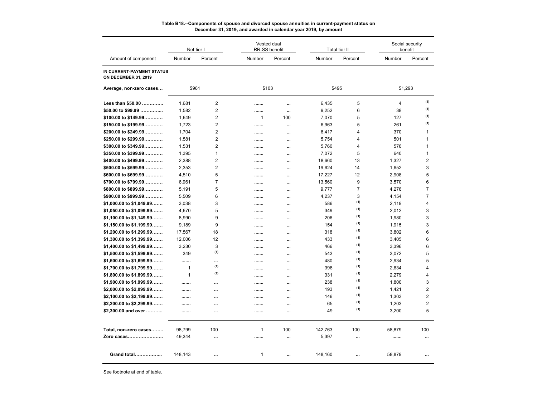|                                                          |              | Net tier I     |              | Vested dual<br>RR-SS benefit |         | Total tier II  | Social security<br>benefit |                |
|----------------------------------------------------------|--------------|----------------|--------------|------------------------------|---------|----------------|----------------------------|----------------|
| Amount of component                                      | Number       | Percent        | Number       | Percent                      | Number  | Percent        | Number                     | Percent        |
| IN CURRENT-PAYMENT STATUS<br><b>ON DECEMBER 31, 2019</b> |              |                |              |                              |         |                |                            |                |
| Average, non-zero cases                                  | \$961        |                | \$103        |                              | \$495   |                | \$1,293                    |                |
| Less than \$50.00                                        | 1,681        | 2              |              |                              | 6,435   | 5              | $\overline{4}$             | (1)            |
| \$50.00 to \$99.99                                       | 1,582        | $\overline{2}$ |              |                              | 9,252   | 6              | 38                         | (1)            |
| \$100.00 to \$149.99                                     | 1,649        | $\overline{2}$ | $\mathbf{1}$ | 100                          | 7,070   | 5              | 127                        | (1)            |
| \$150.00 to \$199.99                                     | 1,723        | $\overline{2}$ |              |                              | 6,963   | 5              | 261                        | (1)            |
| \$200.00 to \$249.99                                     | 1,704        | 2              |              | $\cdots$                     | 6,417   | $\overline{4}$ | 370                        | $\mathbf{1}$   |
| \$250.00 to \$299.99                                     | 1,581        | 2              |              |                              | 5,754   | 4              | 501                        | $\mathbf{1}$   |
| \$300.00 to \$349.99                                     | 1,531        | $\overline{2}$ |              | $\cdots$                     | 5,760   | 4              | 576                        | $\mathbf{1}$   |
| \$350.00 to \$399.99                                     | 1,395        | $\mathbf{1}$   |              | $\cdots$                     | 7,072   | 5              | 640                        | $\mathbf{1}$   |
| \$400.00 to \$499.99                                     | 2,388        | $\overline{2}$ |              |                              | 18,660  | 13             | 1,327                      | $\overline{2}$ |
| \$500.00 to \$599.99                                     | 2,353        | $\overline{2}$ |              | $\cdots$                     | 19,624  | 14             | 1,652                      | 3              |
| \$600.00 to \$699.99                                     | 4,510        | 5              |              |                              | 17,227  | 12             | 2,908                      | 5              |
| \$700.00 to \$799.99                                     | 6,961        | $\overline{7}$ |              | $\cdots$                     | 13,560  | 9              | 3,570                      | 6              |
| \$800.00 to \$899.99                                     | 5,191        | 5              |              |                              | 9,777   | $\overline{7}$ | 4,276                      | $\overline{7}$ |
| \$900.00 to \$999.99                                     | 5,509        | 6              |              | $\cdots$                     | 4,237   | 3              | 4,154                      | $\overline{7}$ |
| \$1,000.00 to \$1,049.99                                 | 3,038        | 3              |              |                              | 586     | (1)            | 2,119                      | 4              |
| \$1,050.00 to \$1,099.99                                 | 4,670        | 5              |              |                              | 349     | (1)            | 2,012                      | 3              |
| $$1,100.00$ to $$1,149.99$                               | 8,990        | 9              |              | $\cdots$                     | 206     | (1)            | 1,980                      | 3              |
| \$1,150.00 to \$1,199.99                                 | 9.189        | 9              |              |                              | 154     | (1)            | 1,915                      | 3              |
| \$1,200.00 to \$1,299.99                                 | 17,567       | 18             |              | $\cdots$                     | 318     | (1)            | 3,802                      | 6              |
| \$1,300.00 to \$1,399.99                                 | 12,006       | 12             |              |                              | 433     | (1)            | 3,405                      | 6              |
| \$1,400.00 to \$1,499.99                                 | 3,230        | 3              |              | $\cdots$                     | 466     | (1)            | 3.396                      | 6              |
| \$1,500.00 to \$1,599.99                                 | 349          | (1)            |              | $\cdots$                     | 543     | (1)            | 3,072                      | 5              |
| \$1,600.00 to \$1,699.99                                 |              |                |              |                              | 480     | (1)            | 2,934                      | 5              |
| \$1,700.00 to \$1,799.99                                 | $\mathbf{1}$ | (1)            |              | $\cdots$                     | 398     | (1)            | 2,634                      | $\overline{4}$ |
| \$1,800.00 to \$1,899.99                                 | $\mathbf{1}$ | (1)            |              | $\cdots$                     | 331     | (1)            | 2,279                      | $\overline{4}$ |
| \$1,900.00 to \$1,999.99                                 |              |                |              | $\cdots$                     | 238     | (1)            | 1,800                      | 3              |
| \$2,000.00 to \$2,099.99                                 |              |                |              |                              | 193     | (1)            | 1,421                      | $\overline{2}$ |
| \$2,100.00 to \$2,199.99                                 |              | $\cdots$       |              | $\cdots$                     | 146     | (1)            | 1,303                      | $\overline{2}$ |
| \$2,200.00 to \$2,299.99                                 |              |                |              | $\cdots$                     | 65      | (1)            | 1,203                      | $\overline{2}$ |
| \$2,300.00 and over                                      |              | $\ddotsc$      |              | $\cdots$                     | 49      | (1)            | 3,200                      | 5              |
|                                                          |              |                |              |                              |         |                |                            |                |
| Total, non-zero cases                                    | 98,799       | 100            | $\mathbf{1}$ | 100                          | 142,763 | 100            | 58,879                     | 100            |
| Zero cases                                               | 49,344       |                |              | $\ddotsc$                    | 5,397   |                | .                          | $\ddotsc$      |
| <b>Grand total</b>                                       | 148,143      |                | 1            | $\cdots$                     | 148,160 | $\cdots$       | 58,879                     |                |

#### **Table B18.--Components of spouse and divorced spouse annuities in current-payment status on December 31, 2019, and awarded in calendar year 2019, by amount**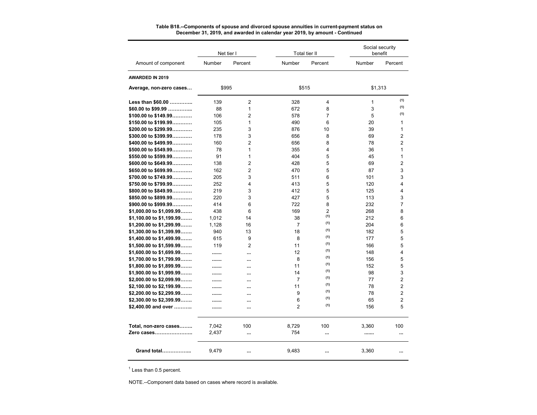|                          |               | Net tier I           |                | Total tier II  |              | Social security<br>benefit |
|--------------------------|---------------|----------------------|----------------|----------------|--------------|----------------------------|
| Amount of component      | <b>Number</b> | Percent              | Number         | Percent        | Number       | Percent                    |
| <b>AWARDED IN 2019</b>   |               |                      |                |                |              |                            |
| Average, non-zero cases  |               | \$995                | \$515          |                | \$1,313      |                            |
| Less than \$60.00        | 139           | $\overline{2}$       | 328            | 4              | $\mathbf{1}$ | (1)                        |
| $$60.00$ to \$99.99      | 88            | 1                    | 672            | 8              | 3            | (1)                        |
| \$100.00 to \$149.99     | 106           | $\overline{c}$       | 578            | 7              | 5            | (1)                        |
| \$150.00 to \$199.99     | 105           | $\mathbf{1}$         | 490            | 6              | 20           | 1                          |
| \$200.00 to \$299.99     | 235           | 3                    | 876            | 10             | 39           | 1                          |
| $$300.00$ to $$399.99$   | 178           | 3                    | 656            | 8              | 69           | $\overline{2}$             |
| \$400.00 to \$499.99     | 160           | $\overline{c}$       | 656            | 8              | 78           | $\overline{2}$             |
| \$500.00 to \$549.99     | 78            | $\mathbf{1}$         | 355            | 4              | 36           | 1                          |
| \$550.00 to \$599.99     | 91            | $\mathbf{1}$         | 404            | 5              | 45           | 1                          |
| \$600.00 to \$649.99     | 138           | 2                    | 428            | 5              | 69           | 2                          |
| \$650.00 to \$699.99     | 162           | $\overline{c}$       | 470            | 5              | 87           | 3                          |
| \$700.00 to \$749.99     | 205           | 3                    | 511            | 6              | 101          | 3                          |
| \$750.00 to \$799.99     | 252           | 4                    | 413            | 5              | 120          | 4                          |
| \$800.00 to \$849.99     | 219           | 3                    | 412            | 5              | 125          | 4                          |
| $$850.00$ to $$899.99$   | 220           | 3                    | 427            | 5              | 113          | 3                          |
| \$900.00 to \$999.99     | 414           | 6                    | 722            | 8              | 232          | 7                          |
| \$1,000.00 to \$1,099.99 | 438           | 6                    | 169            | $\overline{2}$ | 268          | 8                          |
| \$1,100.00 to \$1,199.99 | 1,012         | 14                   | 38             | (1)            | 212          | 6                          |
| \$1,200.00 to \$1,299.99 | 1,128         | 16                   | $\overline{7}$ | (1)            | 204          | 6                          |
| \$1,300.00 to \$1,399.99 | 940           | 13                   | 18             | (1)            | 182          | 5                          |
| \$1,400.00 to \$1,499.99 | 615           | 9                    | 8              | (1)            | 177          | 5                          |
| \$1,500.00 to \$1,599.99 | 119           | $\overline{2}$       | 11             | (1)            | 166          | 5                          |
| \$1,600.00 to \$1,699.99 |               | $\ddot{\phantom{a}}$ | 12             | (1)            | 148          | 4                          |
| \$1,700.00 to \$1,799.99 |               | $\ddotsc$            | 8              | (1)            | 156          | 5                          |
| \$1,800.00 to \$1,899.99 |               | $\ddotsc$            | 11             | (1)            | 152          | 5                          |
| \$1,900.00 to \$1,999.99 |               | $\ddotsc$            | 14             | (1)            | 98           | 3                          |
| \$2,000.00 to \$2,099.99 |               | $\ddot{\phantom{a}}$ | $\overline{7}$ | (1)            | 77           | 2                          |
| \$2,100.00 to \$2,199.99 |               |                      | 11             | (1)            | 78           | $\overline{2}$             |
| \$2,200.00 to \$2,299.99 |               |                      | 9              | (1)            | 78           | $\overline{2}$             |
| \$2,300.00 to \$2,399.99 |               | $\ddotsc$            | 6              | (1)            | 65           | $\overline{2}$             |
| \$2,400.00 and over      |               |                      | $\overline{2}$ | (1)            | 156          | 5                          |
|                          |               | $\ddotsc$            |                |                |              |                            |
| Total, non-zero cases    | 7,042         | 100                  | 8.729          | 100            | 3,360        | 100                        |
| Zero cases               | 2,437         |                      | 754            |                |              | $\ddotsc$                  |
| Grand total              | 9,479         |                      | 9,483          |                | 3,360        |                            |

#### **Table B18.--Components of spouse and divorced spouse annuities in current-payment status on December 31, 2019, and awarded in calendar year 2019, by amount - Continued**

<sup>1</sup> Less than 0.5 percent.

NOTE.--Component data based on cases where record is available.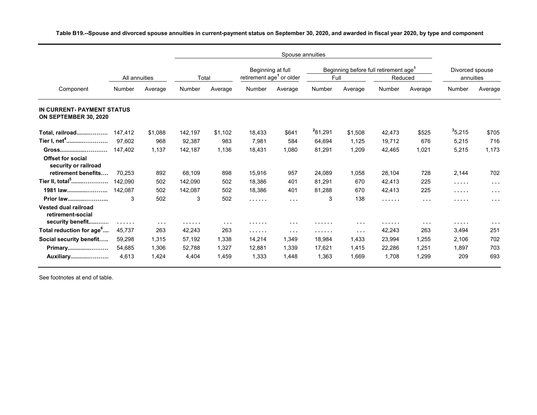|                                                                      | All annuities |                      | Total   |            | Beginning at full<br>retirement age <sup>1</sup> or older |                      | Full    | Beginning before full retirement age <sup>1</sup> | Reduced |                      | Divorced spouse<br>annuities |                      |
|----------------------------------------------------------------------|---------------|----------------------|---------|------------|-----------------------------------------------------------|----------------------|---------|---------------------------------------------------|---------|----------------------|------------------------------|----------------------|
| Component                                                            | Number        | Average              | Number  | Average    | Number                                                    | Average              | Number  | Average                                           | Number  | Average              | Number                       | Average              |
| IN CURRENT-PAYMENT STATUS<br>ON SEPTEMBER 30, 2020                   |               |                      |         |            |                                                           |                      |         |                                                   |         |                      |                              |                      |
| Total, railroad                                                      | 147.412       | \$1,088              | 142,197 | \$1,102    | 18,433                                                    | \$641                | 281,291 | \$1,508                                           | 42,473  | \$525                | 3,5215                       | \$705                |
| Tier I, net <sup>4</sup>                                             | 97.602        | 968                  | 92,387  | 983        | 7.981                                                     | 584                  | 64.694  | 1.125                                             | 19.712  | 676                  | 5,215                        | 716                  |
| Gross                                                                | 147,402       | 1,137                | 142,187 | 1,136      | 18,431                                                    | 1,080                | 81,291  | 1,209                                             | 42,465  | 1,021                | 5,215                        | 1,173                |
| <b>Offset for social</b><br>security or railroad                     |               |                      |         |            |                                                           |                      |         |                                                   |         |                      |                              |                      |
| retirement benefits                                                  | 70.253        | 892                  | 68,109  | 898        | 15,916                                                    | 957                  | 24,089  | 1,058                                             | 28,104  | 728                  | 2,144                        | 702                  |
| Tier II, total <sup>5</sup>                                          | 142.090       | 502                  | 142,090 | 502        | 18,386                                                    | 401                  | 81,291  | 670                                               | 42,413  | 225                  | .                            | $\cdots$             |
| 1981 law                                                             | 142,087       | 502                  | 142,087 | 502        | 18,386                                                    | 401                  | 81,288  | 670                                               | 42,413  | 225                  | .                            | $\cdots$             |
| Prior law                                                            | 3             | 502                  | 3       | 502        | .                                                         | $\sim$ $\sim$ $\sim$ | 3       | 138                                               | .       | $\sim$ $\sim$ $\sim$ | .                            | $\cdots$             |
| <b>Vested dual railroad</b><br>retirement-social<br>security benefit | .             | $\sim$ $\sim$ $\sim$ | .       | $\sim 100$ | .                                                         | $\sim$ $\sim$ $\sim$ | .       | $\sim$ $\sim$ $\sim$                              | .       | $\sim$ $\sim$ $\sim$ | .                            | $\sim$ $\sim$ $\sim$ |
| Total reduction for age <sup>6</sup>                                 | 45,737        | 263                  | 42,243  | 263        | .                                                         | $\sim$ $\sim$        | .       | $\sim$ $\sim$ $\sim$                              | 42,243  | 263                  | 3,494                        | 251                  |
| Social security benefit                                              | 59,298        | 1.315                | 57,192  | 1,338      | 14,214                                                    | 1,349                | 18,984  | 1,433                                             | 23,994  | 1,255                | 2,106                        | 702                  |
| Primary                                                              | 54,685        | 1.306                | 52,788  | 1.327      | 12,881                                                    | 1,339                | 17.621  | 1.415                                             | 22,286  | 1,251                | 1.897                        | 703                  |
| Auxiliary                                                            | 4,613         | 1,424                | 4,404   | 1,459      | 1,333                                                     | 1,448                | 1,363   | 1,669                                             | 1,708   | 1,299                | 209                          | 693                  |

**Table B19.--Spouse and divorced spouse annuities in current-payment status on September 30, 2020, and awarded in fiscal year 2020, by type and component**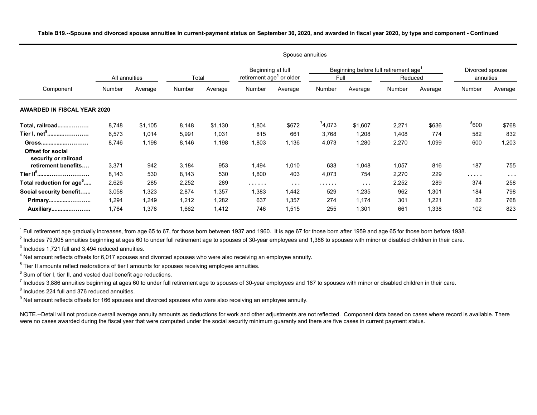|                                                  |               |         |        |         |                                      | Spouse annuities     |        |                                                   |         |         |                 |                      |
|--------------------------------------------------|---------------|---------|--------|---------|--------------------------------------|----------------------|--------|---------------------------------------------------|---------|---------|-----------------|----------------------|
|                                                  |               |         |        |         | Beginning at full                    |                      |        | Beginning before full retirement age <sup>1</sup> |         |         | Divorced spouse |                      |
|                                                  | All annuities |         | Total  |         | retirement age <sup>1</sup> or older |                      | Full   |                                                   | Reduced |         | annuities       |                      |
| Component                                        | Number        | Average | Number | Average | Number                               | Average              | Number | Average                                           | Number  | Average | Number          | Average              |
| <b>AWARDED IN FISCAL YEAR 2020</b>               |               |         |        |         |                                      |                      |        |                                                   |         |         |                 |                      |
| Total, railroad                                  | 8,748         | \$1,105 | 8,148  | \$1,130 | 1,804                                | \$672                | 74,073 | \$1,607                                           | 2,271   | \$636   | 8600            | \$768                |
| Tier I, net <sup>9</sup>                         | 6,573         | 1,014   | 5,991  | 1,031   | 815                                  | 661                  | 3,768  | 1,208                                             | 1,408   | 774     | 582             | 832                  |
| Gross                                            | 8,746         | 1,198   | 8,146  | 1,198   | 1,803                                | 1,136                | 4,073  | 1,280                                             | 2,270   | 1,099   | 600             | 1,203                |
| <b>Offset for social</b><br>security or railroad |               |         |        |         |                                      |                      |        |                                                   |         |         |                 |                      |
| retirement benefits                              | 3,371         | 942     | 3,184  | 953     | 1,494                                | 1,010                | 633    | 1,048                                             | 1,057   | 816     | 187             | 755                  |
| Tier II <sup>5</sup>                             | 8,143         | 530     | 8,143  | 530     | 1,800                                | 403                  | 4,073  | 754                                               | 2,270   | 229     | .               | $\sim$ $\sim$ $\sim$ |
| Total reduction for age <sup>6</sup>             | 2,626         | 285     | 2,252  | 289     | .                                    | $\sim$ $\sim$ $\sim$ | .      | $\sim$ $\sim$ $\sim$                              | 2,252   | 289     | 374             | 258                  |
| Social security benefit                          | 3,058         | 1,323   | 2,874  | 1,357   | 1,383                                | 1,442                | 529    | 1,235                                             | 962     | 1,301   | 184             | 798                  |
| Primary                                          | 1,294         | 1,249   | 1,212  | 1,282   | 637                                  | 1,357                | 274    | 1,174                                             | 301     | 1,221   | 82              | 768                  |
| Auxiliary                                        | 1,764         | 1,378   | 1,662  | 1,412   | 746                                  | 1,515                | 255    | 1,301                                             | 661     | 1,338   | 102             | 823                  |

**Table B19.--Spouse and divorced spouse annuities in current-payment status on September 30, 2020, and awarded in fiscal year 2020, by type and component - Continued**

 $^{\rm 1}$  Full retirement age gradually increases, from age 65 to 67, for those born between 1937 and 1960. It is age 67 for those born after 1959 and age 65 for those born before 1938.

 $^2$  Includes 79,905 annuities beginning at ages 60 to under full retirement age to spouses of 30-year employees and 1,386 to spouses with minor or disabled children in their care.

 $^3$  Includes 1,721 full and 3,494 reduced annuities.

 $^4$  Net amount reflects offsets for 6,017 spouses and divorced spouses who were also receiving an employee annuity.

 $^5$  Tier II amounts reflect restorations of tier I amounts for spouses receiving employee annuities.

 $^6$  Sum of tier I, tier II, and vested dual benefit age reductions.

 $^7$  Includes 3,886 annuities beginning at ages 60 to under full retirement age to spouses of 30-year employees and 187 to spouses with minor or disabled children in their care.

 $^8$  Includes 224 full and 376 reduced annuities.

 $^9$  Net amount reflects offsets for 166 spouses and divorced spouses who were also receiving an employee annuity.

NOTE.--Detail will not produce overall average annuity amounts as deductions for work and other adjustments are not reflected. Component data based on cases where record is available. There were no cases awarded during the fiscal year that were computed under the social security minimum guaranty and there are five cases in current payment status.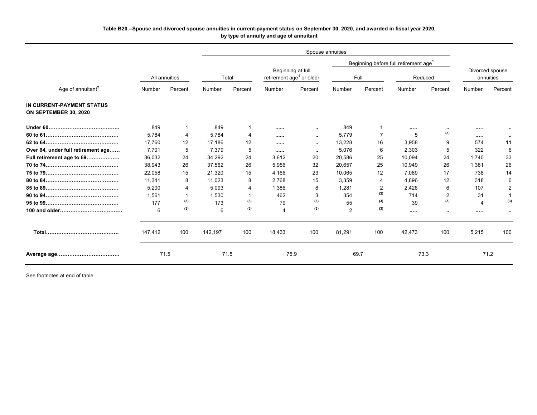## **Table B20.--Spouse and divorced spouse annuities in current-payment status on September 30, 2020, and awarded in fiscal year 2020, by type of annuity and age of annuitant**

|                                                    |         |               |         |         |                                      |                   |        |                | Beginning before full retirement age <sup>1</sup> |                |         |                              |
|----------------------------------------------------|---------|---------------|---------|---------|--------------------------------------|-------------------|--------|----------------|---------------------------------------------------|----------------|---------|------------------------------|
|                                                    |         | All annuities |         | Total   | retirement age <sup>1</sup> or older | Beginning at full |        | Full           |                                                   | Reduced        |         | Divorced spouse<br>annuities |
| Age of annuitant <sup>2</sup>                      | Number  | Percent       | Number  | Percent | Number                               | Percent           | Number | Percent        | Number                                            | Percent        | Number  | Percent                      |
| IN CURRENT-PAYMENT STATUS<br>ON SEPTEMBER 30, 2020 |         |               |         |         |                                      |                   |        |                |                                                   |                |         |                              |
|                                                    | 849     |               | 849     |         |                                      | -44               | 849    |                |                                                   | $\sim$         |         |                              |
|                                                    | 5.784   | 4             | 5.784   |         |                                      | $\sim$            | 5,779  | $\overline{7}$ | 5                                                 | (3)            |         |                              |
|                                                    | 17.760  | 12            | 17.186  | 12      |                                      | $\sim$            | 13,228 | 16             | 3,958                                             | 9              | 574     | 11                           |
| Over 64, under full retirement age                 | 7.701   | 5             | 7,379   | 5       |                                      | $\sim$            | 5,076  | 6              | 2,303                                             | 5              | 322     | 6                            |
| Full retirement age to 69                          | 36,032  | 24            | 34.292  | 24      | 3.612                                | 20                | 20.586 | 25             | 10.094                                            | 24             | 1.740   | 33                           |
|                                                    | 38,943  | 26            | 37,562  | 26      | 5,956                                | 32                | 20,657 | 25             | 10,949                                            | 26             | 1,381   | 26                           |
|                                                    | 22,058  | 15            | 21,320  | 15      | 4,166                                | 23                | 10,065 | 12             | 7.089                                             | 17             | 738     | 14                           |
|                                                    | 11.341  | 8             | 11.023  | 8       | 2.768                                | 15                | 3.359  | 4              | 4.896                                             | 12             | 318     | 6                            |
|                                                    | 5,200   | 4             | 5.093   | 4       | 1.386                                | 8                 | 1.281  | 2              | 2,426                                             | 6              | 107     | $\overline{2}$               |
|                                                    | 1.561   | -1            | 1,530   |         | 462                                  | 3                 | 354    | (3)            | 714                                               | $\overline{2}$ | 31      |                              |
|                                                    | 177     | (3)           | 173     | (3)     | 79                                   | (3)               | 55     | (3)            | 39                                                | (3)            | 4       | (3)                          |
|                                                    | 6       | (3)           | 6       | (3)     | $\boldsymbol{\varDelta}$             | (3)               | 2      | (3)            |                                                   | - 11           | 1.1.1.1 | $\ddot{\phantom{a}}$         |
|                                                    | 147.412 | 100           | 142.197 | 100     | 18,433                               | 100               | 81,291 | 100            | 42,473                                            | 100            | 5,215   | 100                          |
|                                                    |         | 71.5          |         | 71.5    | 75.9                                 |                   | 69.7   |                |                                                   | 73.3           |         | 71.2                         |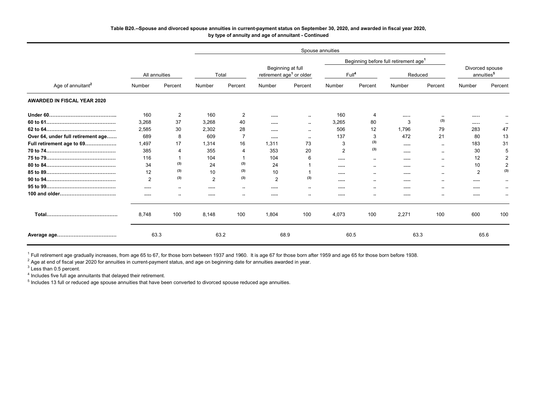### **Table B20.--Spouse and divorced spouse annuities in current-payment status on September 30, 2020, and awarded in fiscal year 2020, by type of annuity and age of annuitant - Continued**

|                                    |                |                |                |                      |                |                                                           | Spouse annuities  |                      |                                                   |          |                                           |                      |
|------------------------------------|----------------|----------------|----------------|----------------------|----------------|-----------------------------------------------------------|-------------------|----------------------|---------------------------------------------------|----------|-------------------------------------------|----------------------|
|                                    |                |                |                |                      |                |                                                           |                   |                      | Beginning before full retirement age <sup>1</sup> |          |                                           |                      |
|                                    | All annuities  |                | Total          |                      |                | Beginning at full<br>retirement age <sup>1</sup> or older | Full <sup>4</sup> |                      |                                                   | Reduced  | Divorced spouse<br>annuities <sup>5</sup> |                      |
| Age of annuitant <sup>2</sup>      | Number         | Percent        | Number         | Percent              | Number         | Percent                                                   | Number            | Percent              | Number                                            | Percent  | Number                                    | Percent              |
| <b>AWARDED IN FISCAL YEAR 2020</b> |                |                |                |                      |                |                                                           |                   |                      |                                                   |          |                                           |                      |
|                                    | 160            | 2              | 160            | 2                    |                | $\cdots$                                                  | 160               | 4                    |                                                   | $\cdots$ |                                           |                      |
|                                    | 3,268          | 37             | 3,268          | 40                   |                | $\sim$                                                    | 3,265             | 80                   | 3                                                 | (3)      |                                           |                      |
|                                    | 2,585          | 30             | 2,302          | 28                   |                | $\sim$                                                    | 506               | 12                   | 1,796                                             | 79       | 283                                       | 47                   |
| Over 64, under full retirement age | 689            | 8              | 609            | 7                    |                | $\cdots$                                                  | 137               | 3                    | 472                                               | 21       | 80                                        | 13                   |
| Full retirement age to 69          | 1,497          | 17             | 1,314          | 16                   | 1,311          | 73                                                        | 3                 | (3)                  |                                                   | $\sim$   | 183                                       | 31                   |
|                                    | 385            | $\overline{4}$ | 355            | 4                    | 353            | 20                                                        | $\overline{2}$    | (3)                  |                                                   | $\sim$   | 30                                        | 5                    |
|                                    | 116            |                | 104            |                      | 104            | 6                                                         |                   | $\ddot{\phantom{a}}$ |                                                   | $\cdots$ | 12                                        | 2                    |
|                                    | 34             | (3)            | 24             | (3)                  | 24             |                                                           |                   | $\ddot{\phantom{a}}$ |                                                   | $\sim$   | 10                                        | 2                    |
|                                    | 12             | (3)            | 10             | (3)                  | 10             |                                                           |                   | $\cdots$             |                                                   | $\sim$   | $\overline{2}$                            | (3)                  |
|                                    | $\overline{2}$ | (3)            | $\overline{2}$ | (3)                  | $\overline{2}$ | (3)                                                       |                   |                      |                                                   |          |                                           |                      |
|                                    |                | $\cdots$       |                | $\sim$               |                | $\sim$                                                    |                   |                      |                                                   |          |                                           | $\ddot{\phantom{a}}$ |
|                                    |                | $\cdots$       |                | $\ddot{\phantom{1}}$ |                | $\cdots$                                                  |                   | $\ddot{\phantom{a}}$ |                                                   |          |                                           | $\ddot{\phantom{a}}$ |
|                                    | 8,748          | 100            | 8,148          | 100                  | 1,804          | 100                                                       | 4,073             | 100                  | 2,271                                             | 100      | 600                                       | 100                  |
|                                    | 63.3           |                | 63.2           |                      |                | 68.9                                                      | 60.5              |                      | 63.3                                              |          | 65.6                                      |                      |

 $^1$  Full retirement age gradually increases, from age 65 to 67, for those born between 1937 and 1960. It is age 67 for those born after 1959 and age 65 for those born before 1938.

 $^2$  Age at end of fiscal year 2020 for annuities in current-payment status, and age on beginning date for annuities awarded in year.

 $3$  Less than 0.5 percent.

<sup>4</sup> Includes five full age annuitants that delayed their retirement.

<sup>5</sup> Includes 13 full or reduced age spouse annuities that have been converted to divorced spouse reduced age annuities.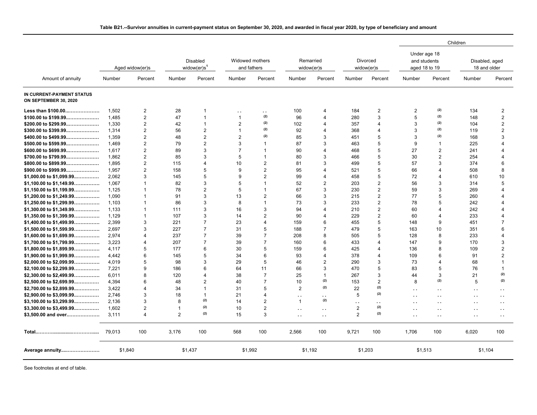|                                                    |         |                         |                |                                         |                                |                      |                         |                      |                |                        |                                               |                      | Children                       |                      |
|----------------------------------------------------|---------|-------------------------|----------------|-----------------------------------------|--------------------------------|----------------------|-------------------------|----------------------|----------------|------------------------|-----------------------------------------------|----------------------|--------------------------------|----------------------|
|                                                    |         | Aged widow(er)s         |                | Disabled<br>widow( $er$ )s <sup>1</sup> | Widowed mothers<br>and fathers |                      | Remarried<br>widow(er)s |                      |                | Divorced<br>widow(er)s | Under age 18<br>and students<br>aged 18 to 19 |                      | Disabled, aged<br>18 and older |                      |
| Amount of annuity                                  | Number  | Percent                 | Number         | Percent                                 | Number                         | Percent              | Number                  | Percent              | Number         | Percent                | Number                                        | Percent              | Number                         | Percent              |
| IN CURRENT-PAYMENT STATUS<br>ON SEPTEMBER 30, 2020 |         |                         |                |                                         |                                |                      |                         |                      |                |                        |                                               |                      |                                |                      |
| Less than \$100.00                                 | 1,502   | 2                       | 28             | -1                                      | . .                            | $\ddot{\phantom{0}}$ | 100                     | $\overline{4}$       | 184            | 2                      | 2                                             | (2)                  | 134                            | $\overline{2}$       |
| $$100.00$ to $$199.99$                             | 1.485   | 2                       | 47             | $\overline{1}$                          | $\mathbf{1}$                   | (2)                  | 96                      | $\overline{4}$       | 280            | 3                      | 5                                             | (2)                  | 148                            | $\overline{2}$       |
| \$200.00 to \$299.99                               | 1.330   | 2                       | 42             | $\mathbf{1}$                            | $\overline{2}$                 | (2)                  | 102                     | $\overline{4}$       | 357            | $\overline{4}$         | 3                                             | (2)                  | 104                            | 2                    |
| $$300.00$ to $$399.99$                             | 1.314   | $\overline{2}$          | 56             | $\overline{2}$                          | $\mathbf{1}$                   | (2)                  | 92                      | $\overline{4}$       | 368            | 4                      | 3                                             | (2)                  | 119                            | $\overline{2}$       |
| \$400.00 to \$499.99                               | 1.359   | $\overline{2}$          | 48             | $\overline{2}$                          | $\overline{2}$                 | (2)                  | 85                      | 3                    | 451            | 5                      | 3                                             | (2)                  | 168                            | 3                    |
| \$500.00 to \$599.99                               | 1.469   | $\overline{2}$          | 79             | $\mathbf{2}$                            | 3                              | $\mathbf{1}$         | 87                      | 3                    | 463            | 5                      | 9                                             | $\mathbf{1}$         | 225                            | 4                    |
| \$600.00 to \$699.99                               | 1,617   | $\sqrt{2}$              | 89             | 3                                       | $\overline{7}$                 | $\overline{1}$       | 90                      | $\overline{4}$       | 468            | 5                      | 27                                            | $\overline{2}$       | 241                            | 4                    |
| \$700.00 to \$799.99                               | 1.862   | $\overline{2}$          | 85             | 3                                       | 5                              | $\overline{1}$       | 80                      | $\mathbf{3}$         | 466            | $\overline{5}$         | 30                                            | $\overline{2}$       | 254                            | $\overline{A}$       |
| \$800.00 to \$899.99                               | 1.895   | $\overline{2}$          | 115            | 4                                       | 10                             | $\mathbf{2}$         | 81                      | 3                    | 499            | 5                      | 57                                            | 3                    | 374                            | 6                    |
| $$900.00$ to $$999.99$                             | 1.957   | $\overline{2}$          | 158            | 5                                       | 9                              | $\overline{2}$       | 95                      | $\overline{4}$       | 521            | 5                      | 66                                            | $\overline{4}$       | 508                            | 8                    |
| \$1,000.00 to \$1,099.99                           | 2,062   | 3                       | 145            | 5                                       | 9                              | $\overline{2}$       | 99                      | $\overline{4}$       | 458            | 5                      | 72                                            | $\overline{4}$       | 610                            | 10                   |
| $$1,100.00$ to $$1,149.99$                         | 1,067   | $\overline{1}$          | 82             | 3                                       | 5                              | $\mathbf{1}$         | 52                      | $\overline{2}$       | 203            | $\overline{2}$         | 56                                            | 3                    | 314                            | 5                    |
| $$1,150.00$ to $$1,199.99$                         | 1.125   | $\overline{\mathbf{1}}$ | 78             | $\overline{2}$                          | 5                              | $\mathbf{1}$         | 67                      | 3                    | 230            | 2                      | 59                                            | 3                    | 269                            | $\overline{4}$       |
| $$1,200.00$ to $$1,249.99$                         | 1,090   | $\overline{1}$          | 91             | 3                                       | 13                             | 2                    | 66                      | 3                    | 215            | 2                      | 77                                            | 5                    | 260                            | $\overline{4}$       |
| $$1,250.00$ to $$1,299.99$                         | 1.103   | $\overline{1}$          | 86             | 3                                       | 8                              | $\overline{1}$       | 73                      | 3                    | 233            | 2                      | 78                                            | 5                    | 242                            | $\overline{4}$       |
| $$1,300.00$ to $$1,349.99$                         | 1,133   | $\overline{1}$          | 111            | 3                                       | 16                             | 3                    | 94                      | $\overline{4}$       | 210            | 2                      | 60                                            | $\overline{4}$       | 242                            | $\overline{4}$       |
| $$1,350.00$ to $$1,399.99$                         | 1,129   | $\overline{1}$          | 107            | 3                                       | 14                             | $\mathbf{2}$         | 90                      | $\overline{4}$       | 229            | 2                      | 60                                            | $\overline{4}$       | 233                            | $\overline{4}$       |
| $$1,400.00$ to $$1,499.99$                         | 2.399   | 3                       | 221            | $\overline{7}$                          | 23                             | $\overline{4}$       | 159                     | 6                    | 455            | 5                      | 148                                           | 9                    | 451                            | $\overline{7}$       |
|                                                    |         | 3                       |                | $\overline{7}$                          |                                |                      |                         | $\overline{7}$       |                |                        |                                               |                      |                                | 6                    |
| $$1,500.00$ to $$1,599.99$                         | 2,697   |                         | 227            |                                         | 31                             | 5                    | 188                     |                      | 479            | 5                      | 163                                           | 10                   | 351                            |                      |
| \$1,600.00 to \$1,699.99                           | 2,974   | $\overline{4}$          | 237            | $\overline{7}$                          | 39                             | $\overline{7}$       | 208                     | 8                    | 505            | 5                      | 128                                           | 8                    | 233                            | $\overline{4}$       |
| $$1,700.00$ to $$1,799.99$                         | 3.223   | $\overline{4}$          | 207            | $\overline{7}$                          | 39                             | $\overline{7}$       | 160                     | 6                    | 433            | $\overline{4}$         | 147                                           | 9                    | 170                            | 3                    |
| $$1,800.00$ to $$1,899.99$                         | 4.117   | 5                       | 177            | 6                                       | 30                             | 5                    | 159                     | 6                    | 425            | 4                      | 136                                           | 8                    | 109                            | $\overline{2}$       |
| \$1,900.00 to \$1,999.99                           | 4.442   | 6                       | 145            | 5                                       | 34                             | 6                    | 93                      | $\overline{4}$       | 378            | $\overline{4}$         | 109                                           | 6                    | 91                             | $\overline{2}$       |
| \$2,000.00 to \$2,099.99                           | 4.019   | 5                       | 98             | 3                                       | 29                             | 5                    | 46                      | $\overline{2}$       | 290            | 3                      | 73                                            | $\overline{4}$       | 68                             | $\overline{1}$       |
| \$2,100.00 to \$2,299.99                           | 7,221   | 9                       | 186            | 6                                       | 64                             | 11                   | 66                      | 3                    | 470            | 5                      | 83                                            | 5                    | 76                             | 1                    |
| \$2,300.00 to \$2,499.99                           | 6.011   | 8                       | 120            | 4                                       | 38                             | $\overline{7}$       | 25                      | $\mathbf{1}$         | 267            | 3                      | 44                                            | 3                    | 21                             | (2)                  |
| \$2,500.00 to \$2,699.99                           | 4,394   | 6                       | 48             | $\overline{2}$                          | 40                             | $\overline{7}$       | 10                      | (2)                  | 153            | $\overline{2}$         | 8                                             | (2)                  | 5                              | (2)                  |
| \$2,700.00 to \$2,899.99                           | 3,422   | $\overline{4}$          | 34             | $\mathbf 1$                             | 31                             | 5                    | $\overline{2}$          | (2)                  | 22             | (2)                    | . .                                           | . .                  | . .                            | $\ddot{\phantom{0}}$ |
| \$2,900.00 to \$3,099.99                           | 2.746   | 3                       | 18             | $\overline{1}$                          | 21                             | 4                    | $\ddot{\phantom{0}}$    | $\ddot{\phantom{0}}$ | 5              | (2)                    | $\ddot{\phantom{0}}$                          | $\ddot{\phantom{1}}$ | $\ddot{\phantom{a}}$           | $\ddot{\phantom{0}}$ |
| $$3,100.00$ to $$3,299.99$                         | 2,136   | 3                       | 8              | (2)                                     | 14                             | $\mathbf{2}$         | $\mathbf{1}$            | (2)                  | . .            | $\sim$                 | $\ddot{\phantom{a}}$                          | $\ddot{\phantom{a}}$ | . .                            | $\ddot{\phantom{a}}$ |
| $$3,300.00$ to $$3,499.99$                         | 1.602   | $\overline{2}$          | $\overline{1}$ | (2)                                     | 10                             | $\overline{2}$       | $\ddot{\phantom{0}}$    | $\ddot{\phantom{0}}$ | $\overline{2}$ | (2)                    | $\ddot{\phantom{0}}$                          | $\ddot{\phantom{1}}$ | . .                            | $\ddot{\phantom{0}}$ |
| \$3,500.00 and over                                | 3.111   | $\overline{4}$          | 2              | (2)                                     | 15                             | 3                    | $\ddotsc$               | $\ddotsc$            | $\overline{2}$ | (2)                    | $\ddot{\phantom{a}}$                          | $\ddotsc$            | . .                            | $\ddot{\phantom{a}}$ |
|                                                    | 79.013  | 100                     | 3,176          | 100                                     | 568                            | 100                  | 2,566                   | 100                  | 9,721          | 100                    | 1,706                                         | 100                  | 6,020                          | 100                  |
| Average annuity                                    | \$1,840 |                         | \$1,437        |                                         | \$1,992                        |                      | \$1,192                 |                      | \$1,203        |                        | \$1,513                                       |                      | \$1,104                        |                      |

## **Table B21.--Survivor annuities in current-payment status on September 30, 2020, and awarded in fiscal year 2020, by type of beneficiary and amount**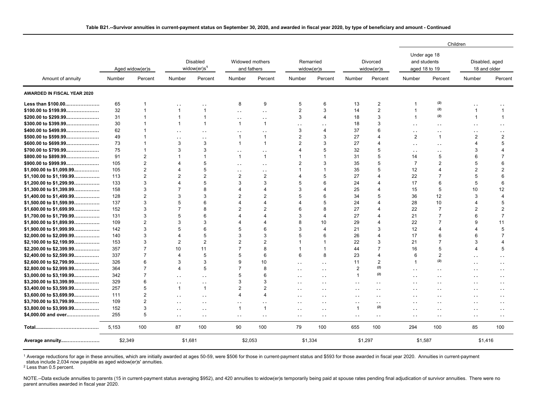|                                                      |         |                         |                                      |                                      |                                |                         |                         |                      |                         |                             |                                               |                      | Children                       |                      |
|------------------------------------------------------|---------|-------------------------|--------------------------------------|--------------------------------------|--------------------------------|-------------------------|-------------------------|----------------------|-------------------------|-----------------------------|-----------------------------------------------|----------------------|--------------------------------|----------------------|
|                                                      |         | Aged widow(er)s         |                                      | Disabled<br>widow(er)s <sup>1</sup>  | Widowed mothers<br>and fathers |                         | Remarried<br>widow(er)s |                      |                         | Divorced<br>widow(er)s      | Under age 18<br>and students<br>aged 18 to 19 |                      | Disabled, aged<br>18 and older |                      |
| Amount of annuity                                    | Number  | Percent                 | Number                               | Percent                              | Number                         | Percent                 | Number                  | Percent              | Number                  | Percent                     | Number                                        | Percent              | Number                         | Percent              |
| AWARDED IN FISCAL YEAR 2020                          |         |                         |                                      |                                      |                                |                         |                         |                      |                         |                             |                                               |                      |                                |                      |
| Less than \$100.00                                   | 65      | $\overline{\mathbf{1}}$ | $\ddot{\phantom{a}}$                 | . .                                  | 8                              | 9                       | 5                       | $\,6\,$              | 13                      | $\overline{2}$              | 1                                             | (2)                  | ٠,                             |                      |
| \$100.00 to \$199.99                                 | 32      | $\overline{1}$          | $\mathbf{1}$                         | $\mathbf 1$                          | $\ddot{\phantom{0}}$           | $\sim$                  | $\overline{2}$          | $\sqrt{3}$           | 14                      | $\overline{2}$              | $\overline{1}$                                | (2)                  | $\overline{1}$                 | $\mathbf{1}$         |
| \$200.00 to \$299.99                                 | 31      | $\overline{1}$          | $\mathbf{1}$                         | $\mathbf{1}$                         | $\ddot{\phantom{a}}$           | $\ddot{\phantom{0}}$    | 3                       | $\overline{4}$       | 18                      | 3                           | $\mathbf{1}$                                  | (2)                  | $\overline{1}$                 | $\mathbf{1}$         |
| \$300.00 to \$399.99                                 | 30      | $\overline{1}$          | $\mathbf{1}$                         | $\mathbf{1}$                         | $\mathbf{1}$                   | $\mathbf{1}$            | $\ddot{\phantom{a}}$    | $\ddot{\phantom{a}}$ | 18                      | 3                           | $\ddot{\phantom{0}}$                          | $\ddotsc$            | . .                            | $\ddotsc$            |
| \$400.00 to \$499.99                                 | 62      | 1                       | . .                                  | . .                                  |                                | $\ddot{\phantom{a}}$    | 3                       | $\overline{4}$       | 37                      | 6                           | . .                                           | μ.                   | . .                            | $\ddotsc$            |
| \$500.00 to \$599.99                                 | 49      | 1                       | $\ddot{\phantom{a}}$                 | . .                                  | $\overline{1}$                 | $\mathbf{1}$            | $\overline{2}$          | 3                    | 27                      | $\overline{\mathbf{4}}$     | $\overline{2}$                                | $\overline{1}$       | $\overline{2}$                 | $\overline{2}$       |
| \$600.00 to \$699.99                                 | 73      | $\overline{1}$          | 3                                    | 3                                    | $\overline{1}$                 | $\mathbf{1}$            | $\overline{2}$          | $\mathbf{3}$         | 27                      | $\overline{4}$              | $\ddot{\phantom{0}}$                          | $\sim$               | $\overline{4}$                 | 5                    |
| \$700.00 to \$799.99                                 | 75      | $\overline{1}$          | 3                                    | 3                                    | $\ddot{\phantom{1}}$           | $\ddot{\phantom{1}}$    | 4                       | 5                    | 32                      | 5                           | $\sim$                                        | . .                  | 3                              | $\Delta$             |
| \$800.00 to \$899.99                                 | 91      | $\overline{2}$          | 1                                    | $\mathbf 1$                          | $\mathbf{1}$                   | $\mathbf{1}$            |                         | $\mathbf{1}$         | 31                      | 5                           | 14                                            | 5                    | 6                              | $\overline{7}$       |
| \$900.00 to \$999.99                                 | 105     | $\overline{2}$          | $\overline{4}$                       | 5                                    | $\ddot{\phantom{a}}$           | $\ddot{\phantom{0}}$    | $\overline{2}$          | 3                    | 35                      | 5                           | $\overline{7}$                                | $\overline{2}$       | 5                              | 6                    |
| \$1,000.00 to \$1,099.99                             | 105     | $\overline{\mathbf{c}}$ | $\overline{4}$                       | 5                                    | $\ddot{\phantom{a}}$           | $\ddot{\phantom{1}}$    |                         | $\overline{1}$       | 35                      | 5                           | 12                                            | $\overline{4}$       | $\overline{2}$                 | $\overline{2}$       |
| \$1,100.00 to \$1,199.99                             | 113     | $\overline{2}$          | $\overline{2}$                       | $\overline{2}$                       | 2                              | $\overline{2}$          |                         | 5                    | 27                      | $\boldsymbol{\Delta}$       | 22                                            | $\overline{7}$       | 5                              | 6                    |
| \$1,200.00 to \$1,299.99                             | 133     | 3                       | 4                                    | 5                                    | 3                              | 3                       | 5                       | 6                    | 24                      | $\overline{4}$              | 17                                            | $6\phantom{1}6$      | 5                              | 6                    |
| \$1,300.00 to \$1,399.99                             | 158     | 3                       | $\overline{7}$                       | 8                                    | 4                              | $\overline{4}$          | 3                       | $\overline{4}$       | 25                      | 4                           | 15                                            | 5                    | 10                             | 12                   |
| \$1,400.00 to \$1,499.99                             | 128     | $\overline{2}$          | 3                                    | 3                                    | $\overline{c}$                 | $\overline{2}$          | 5                       | 6                    | 34                      | 5                           | 36                                            | 12                   | 3                              | $\overline{4}$       |
| $$1,500.00$ to $$1,599.99$                           | 137     | 3                       | 5                                    | 6                                    | 4                              | 4                       | Δ                       | 5                    | 24                      | 4                           | 28                                            | 10                   | 4                              | 5                    |
| \$1,600.00 to \$1,699.99                             | 152     | 3                       | $\overline{7}$                       | 8                                    | $\overline{2}$                 | $\overline{2}$          | 6                       | 8                    | 27                      | $\overline{4}$              | 22                                            | $\overline{7}$       | $\overline{2}$                 | $\overline{2}$       |
| \$1,700.00 to \$1,799.99                             | 131     | 3                       | 5                                    | 6                                    |                                | 4                       | 3                       | $\overline{4}$       | 27                      | $\overline{4}$              | 21                                            | $\overline{7}$       | 6                              | $\overline{7}$       |
| \$1,800.00 to \$1,899.99                             | 109     | $\overline{2}$          | 3                                    | 3                                    |                                | 4                       | 8                       | 10                   | 29                      | 4                           | 22                                            | $\overline{7}$       | 9                              | 11                   |
| \$1,900.00 to \$1,999.99                             | 142     | 3                       | 5                                    | 6                                    | 5                              | 6                       | 3                       | $\overline{4}$       | 21                      | 3                           | 12                                            | $\overline{4}$       |                                | 5                    |
| \$2,000.00 to \$2,099.99                             | 140     | 3                       | 4                                    | 5                                    | 3                              | 3                       | 5                       | 6                    | 26                      | $\overline{4}$              | 17                                            | $6\phantom{1}6$      | 6                              | $\overline{7}$       |
| \$2,100.00 to \$2,199.99                             | 153     | 3                       | 2                                    | $\overline{2}$                       | $\overline{2}$                 | $\overline{2}$          |                         | $\mathbf{1}$         | 22                      | 3                           | 21                                            | $\overline{7}$       | 3                              | $\overline{4}$       |
| \$2,200.00 to \$2,399.99                             | 357     | $\overline{7}$          | 10                                   | 11                                   | $\overline{7}$                 | 8                       |                         | $\mathbf{1}$         | 44                      | $\overline{7}$              | 16                                            | 5                    | $\overline{4}$                 | 5                    |
| \$2,400.00 to \$2,599.99                             | 337     | $\overline{7}$          | $\overline{4}$                       | 5                                    | 5                              | 6                       | 6                       | 8                    | 23                      | 4                           | 6                                             | $\overline{2}$       | . .                            | $\ddotsc$            |
| \$2,600.00 to \$2,799.99                             | 326     | 6                       | 3                                    | 3                                    | 9                              | 10                      | . .                     | $\sim$ $\sim$        | 11                      | $\overline{2}$              | $\mathbf 1$                                   | (2)                  | . .                            | $\ddot{\phantom{0}}$ |
| \$2,800.00 to \$2,999.99                             | 364     | $\overline{7}$          | $\overline{4}$                       | 5                                    | $\overline{7}$                 | 8                       | $\sim$ $\sim$           |                      | $\overline{2}$          | (2)                         | $\ddot{\phantom{0}}$                          |                      |                                |                      |
| \$3,000.00 to \$3,199.99                             | 342     | $\overline{7}$          |                                      |                                      | 5                              | 6                       |                         | $\sim$               | $\overline{\mathbf{1}}$ | (2)                         |                                               | . .                  | . .                            | $\sim$ $\sim$        |
| \$3,200.00 to \$3,399.99                             | 329     | 6                       | . .                                  | . .                                  | 3                              | 3                       |                         | . .                  |                         |                             | . .                                           | . .                  | . .                            | $\ddotsc$            |
| \$3,400.00 to \$3,599.99                             | 257     | 5                       | $\ddot{\phantom{a}}$<br>$\mathbf{1}$ | $\ddot{\phantom{1}}$<br>$\mathbf{1}$ | $\overline{2}$                 | $\overline{2}$          | $\ddot{\phantom{1}}$    | $\sim$ $\sim$        | $\ddot{\phantom{a}}$    | $\sim$ $\sim$               | $\ddotsc$                                     | $\ddot{\phantom{a}}$ | $\sim$ $\sim$                  | $\ddot{\phantom{0}}$ |
| $$3,600.00$ to $$3,699.99$                           | 111     | $\overline{2}$          |                                      |                                      | $\Delta$                       | $\overline{\mathbf{A}}$ | $\ddot{\phantom{0}}$    | $\sim$ $\sim$        | . .                     | . .                         | $\ddot{\phantom{0}}$                          | $\ddot{\phantom{a}}$ | . .                            | $\ddot{\phantom{a}}$ |
|                                                      | 109     | $\overline{2}$          | $\ddot{\phantom{a}}$                 | . .                                  |                                |                         | . .                     | . .                  | . .                     | . .                         | . .                                           | . .                  | $\ddot{\phantom{0}}$           | $\ddotsc$            |
| \$3,700.00 to \$3,799.99<br>\$3,800.00 to \$3,999.99 | 152     | 3                       | . .                                  |                                      | $\overline{1}$                 | $\mathbf{1}$            | . .                     | . .                  | ٠.<br>$\overline{1}$    | $\ddot{\phantom{1}}$<br>(2) | . .                                           | μ.                   | . .                            | $\ddot{\phantom{a}}$ |
|                                                      | 255     | 5                       | $\ddot{\phantom{a}}$                 | $\ddot{\phantom{1}}$                 |                                |                         | $\cdot$ .               | $\ddot{\phantom{1}}$ |                         |                             | $\ddot{\phantom{1}}$                          | . .                  | . .                            | $\sim$ $\sim$        |
| \$4,000.00 and over                                  |         |                         | $\ddot{\phantom{0}}$                 | $\sim$ $\sim$                        | $\ddot{\phantom{a}}$           | $\ddot{\phantom{a}}$    | $\sim$ $\sim$           | $\sim$ $\sim$        | $\ddot{\phantom{1}}$    | $\sim$                      | . .                                           | $\sim$               | $\sim$ $\sim$                  | $\epsilon$ .         |
|                                                      | 5,153   | 100                     | 87                                   | 100                                  | 90                             | 100                     | 79                      | 100                  | 655                     | 100                         | 294                                           | 100                  | 85                             | 100                  |
| Average annuity                                      | \$2,349 |                         | \$1,681                              |                                      | \$2,053                        |                         | \$1,334                 |                      | \$1,297                 |                             | \$1,587                                       |                      | \$1,416                        |                      |

#### **Table B21.--Survivor annuities in current-payment status on September 30, 2020, and awarded in fiscal year 2020, by type of beneficiary and amount - Continued**

<sup>1</sup> Average reductions for age in these annuities, which are initially awarded at ages 50-59, were \$506 for those in current-payment status and \$593 for those awarded in fiscal year 2020. Annuities in current-payment status include 2,034 now payable as aged widow(er)s' annuities.

<sup>2</sup> Less than 0.5 percent.

NOTE.--Data exclude annuities to parents (15 in current-payment status averaging \$952), and 420 annuities to widow(er)s temporarily being paid at spouse rates pending final adjudication of survivor annuities. There were no parent annuities awarded in fiscal year 2020.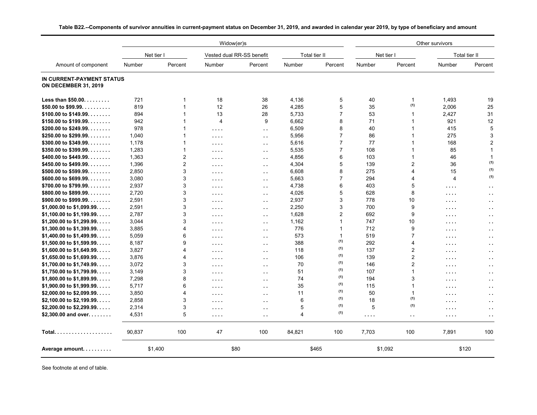|                                                          |            |                | Widow(er)s                                                 |                                      |                |                |            |                         | Other survivors |                      |
|----------------------------------------------------------|------------|----------------|------------------------------------------------------------|--------------------------------------|----------------|----------------|------------|-------------------------|-----------------|----------------------|
|                                                          | Net tier I |                |                                                            | Vested dual RR-SS benefit            | Total tier II  |                | Net tier I |                         |                 | Total tier II        |
| Amount of component                                      | Number     | Percent        | Number                                                     | Percent                              | Number         | Percent        | Number     | Percent                 | Number          | Percent              |
| IN CURRENT-PAYMENT STATUS<br><b>ON DECEMBER 31, 2019</b> |            |                |                                                            |                                      |                |                |            |                         |                 |                      |
| Less than \$50.00.                                       | 721        | 1              | 18                                                         | 38                                   | 4,136          | 5              | 40         | $\mathbf 1$             | 1,493           | 19                   |
| \$50.00 to \$99.99.                                      | 819        | $\mathbf{1}$   | 12                                                         | 26                                   | 4,285          | 5              | 35         | (1)                     | 2,006           | 25                   |
| \$100.00 to \$149.99.                                    | 894        | 1              | 13                                                         | 28                                   | 5,733          | $\overline{7}$ | 53         | 1                       | 2,427           | 31                   |
| \$150.00 to \$199.99.                                    | 942        | $\mathbf{1}$   | 4                                                          | 9                                    | 6,662          | 8              | 71         | -1                      | 921             | 12                   |
| \$200.00 to \$249.99.                                    | 978        | 1              | $\sim$ $\sim$ $\sim$ $\sim$                                | $\sim$ $\sim$                        | 6,509          | 8              | 40         |                         | 415             | 5                    |
| \$250.00 to \$299.99.                                    | 1.040      | 1              | $\sim 100$ km s $^{-1}$                                    | $\sim$                               | 5,956          | $\overline{7}$ | 86         |                         | 275             | 3                    |
| \$300.00 to \$349.99.                                    | 1,178      | $\mathbf{1}$   | $\sim$ $\sim$ $\sim$ $\sim$                                | $\sim$ $\sim$                        | 5,616          | $\overline{7}$ | 77         | 1                       | 168             | $\overline{2}$       |
| \$350.00 to \$399.99.                                    | 1,283      | $\overline{1}$ | $\sim$ $\sim$ $\sim$ $\sim$                                | $\sim$ $\sim$                        | 5,535          | $\overline{7}$ | 108        |                         | 85              | $\overline{1}$       |
| \$400.00 to \$449.99.                                    | 1,363      | $\overline{2}$ | $\cdots$                                                   | $\sim$ $\sim$                        | 4,856          | 6              | 103        | -1                      | 46              | $\mathbf{1}$         |
| \$450.00 to \$499.99.                                    | 1,396      | $\overline{2}$ | $\sim$ $\sim$ $\sim$ $\sim$                                | $\ddot{\phantom{1}}$ .               | 4,304          | 5              | 139        | $\overline{2}$          | 36              | (1)                  |
| \$500.00 to \$599.99.                                    | 2,850      | 3              | $\sim$ $\sim$ $\sim$ $\sim$                                | $\sim$ $\sim$                        | 6,608          | 8              | 275        | $\overline{\mathbf{A}}$ | 15              | (1)                  |
| \$600.00 to \$699.99.                                    | 3.080      | 3              | $\sim$ $\sim$ $\sim$ $\sim$                                | $\sim$ $\sim$                        | 5,663          | $\overline{7}$ | 294        | 4                       | $\overline{4}$  | (1)                  |
| \$700.00 to \$799.99.                                    | 2,937      | 3              | $\sim$ $\sim$ $\sim$ $\sim$                                | $\sim$ $\sim$                        | 4,738          | 6              | 403        | 5                       | .               | $\sim$               |
| \$800.00 to \$899.99.                                    | 2,720      | 3              | $\sim$ $\sim$ $\sim$ $\sim$                                | $\sim$ $\sim$                        | 4,026          | 5              | 628        | 8                       | .               | $\ddot{\phantom{1}}$ |
| \$900.00 to \$999.99.                                    | 2.591      | 3              | $\sim$ $\sim$ $\sim$ $\sim$                                | $\sim$ $\sim$                        | 2,937          | 3              | 778        | 10                      | .               | $\sim$               |
| $$1,000.00$ to $$1,099.99$                               | 2,591      | 3              | $\cdots$                                                   | $\ddot{\phantom{a}}$                 | 2,250          | 3              | 700        | 9                       | .               | $\sim$               |
| $$1,100.00$ to $$1,199.99$                               | 2,787      | 3              | $\sim$ $\sim$ $\sim$ $\sim$                                | $\sim$ $\sim$                        | 1,628          | $\overline{2}$ | 692        | 9                       | .               | $\ddot{\phantom{1}}$ |
| \$1,200.00 to \$1,299.99.                                | 3.044      | 3              | $\sim$ $\sim$ $\sim$ $\sim$                                | $\sim$ $\sim$                        | 1,162          | 1              | 747        | 10                      | .               | $\sim$               |
| \$1,300.00 to \$1,399.99.                                | 3,885      | 4              | $\sim$ $\sim$ $\sim$ $\sim$                                | $\sim$ $\sim$                        | 776            | $\mathbf{1}$   | 712        | 9                       | .               | $\sim$               |
| \$1,400.00 to \$1,499.99.                                | 5,059      | 6              | $\sim$ $\sim$ $\sim$ $\sim$                                | $\sim$ $\sim$                        | 573            | $\mathbf{1}$   | 519        | $\overline{7}$          | .               | $\sim$ $\sim$        |
| $$1,500.00$ to $$1,599.99$                               | 8,187      | 9              | $\cdots$                                                   | $\ddot{\phantom{1}}$ .               | 388            | (1)            | 292        | 4                       |                 |                      |
| $$1,600.00$ to $$1,649.99$                               | 3,827      | 4              | $\sim$ $\sim$ $\sim$ $\sim$                                | $\ddot{\phantom{a}}$                 | 118            | (1)            | 137        | 2                       | .<br>.          | $\sim$<br>$\sim$     |
| $$1,650.00$ to $$1,699.99$                               | 3,876      | 4              |                                                            | $\ddot{\phantom{a}}$                 | 106            | (1)            | 139        | $\overline{2}$          |                 |                      |
| $$1,700.00$ to $$1,749.99$                               | 3,072      | 3              | $\sim$ $\sim$ $\sim$ $\sim$<br>$\sim$ $\sim$ $\sim$ $\sim$ |                                      | 70             | (1)            | 146        | $\overline{c}$          | .               | $\sim$ $\sim$        |
| $$1,750.00$ to $$1,799.99$                               | 3,149      | 3              | $\sim$ $\sim$ $\sim$ $\sim$                                | $\epsilon$ .<br>$\ddot{\phantom{a}}$ | 51             | (1)            | 107        | $\overline{1}$          | .               | $\sim$<br>$\sim$     |
| \$1,800.00 to \$1,899.99.                                | 7,298      | 8              |                                                            |                                      | 74             | (1)            | 194        | 3                       | .               |                      |
| $$1,900.00$ to $$1,999.99$                               | 5,717      | 6              | $\sim$ $\sim$ $\sim$ $\sim$                                | $\sim$ $\sim$                        | 35             | (1)            | 115        | $\mathbf{1}$            | .               | $\sim$ $\sim$        |
| \$2,000.00 to \$2,099.99.                                | 3,850      | 4              | $\sim$ $\sim$ $\sim$ $\sim$                                | $\ddot{\phantom{1}}$ .               | 11             | (1)            | 50         | $\mathbf{1}$            | .               | $\sim$ $\sim$        |
| \$2,100.00 to \$2,199.99.                                | 2,858      | 3              | $\cdots$                                                   | $\ddot{\phantom{1}}$ .               | 6              | (1)            | 18         | (1)                     | .               |                      |
| \$2,200.00 to \$2,299.99.                                | 2,314      | 3              | $\sim$ $\sim$ $\sim$ $\sim$                                | $\sim$ $\sim$                        | 5              | (1)            | 5          | (1)                     | .               | $\sim$ $\sim$        |
| \$2,300.00 and over. $\dots$                             | 4,531      | 5              | $\sim$ $\sim$ $\sim$ $\sim$                                | $\sim$ $\sim$                        | $\overline{4}$ | (1)            |            |                         | .               | $\sim$ $\sim$        |
|                                                          |            |                | $\sim$ $\sim$ $\sim$ $\sim$                                | г.                                   |                |                | $\cdots$   | $\sim$ $\sim$           | .               |                      |
| $Total.$                                                 | 90,837     | 100            | 47                                                         | 100                                  | 84,821         | 100            | 7,703      | 100                     | 7,891           | 100                  |
| Average amount                                           |            | \$1,400        |                                                            | \$80                                 |                | \$465          | \$1,092    |                         | \$120           |                      |

**Table B22.--Components of survivor annuities in current-payment status on December 31, 2019, and awarded in calendar year 2019, by type of beneficiary and amount**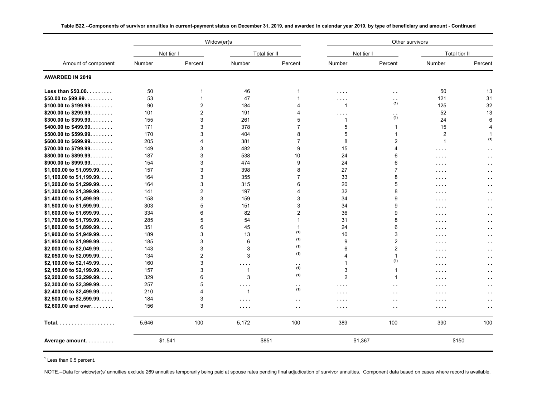|                                   |         |                | Widow(er)s                  |                      |                      | Other survivors      |                             |                      |
|-----------------------------------|---------|----------------|-----------------------------|----------------------|----------------------|----------------------|-----------------------------|----------------------|
|                                   |         | Net tier I     | Total tier II               |                      | Net tier I           |                      | Total tier II               |                      |
| Amount of component               | Number  | Percent        | Number                      | Percent              | Number               | Percent              | Number                      | Percent              |
| <b>AWARDED IN 2019</b>            |         |                |                             |                      |                      |                      |                             |                      |
| Less than \$50.00.                | 50      | 1              | 46                          | 1                    | $\cdots$             | $\sim$               | 50                          | 13                   |
| \$50.00 to \$99.99.               | 53      |                | 47                          |                      | $\cdots$             | $\ddot{\phantom{a}}$ | 121                         | 31                   |
| $$100.00$ to $$199.99$            | 90      | $\overline{2}$ | 184                         | 4                    | $\mathbf{1}$         | (1)                  | 125                         | 32                   |
| \$200.00 to \$299.99.             | 101     | $\overline{2}$ | 191                         | 4                    | $\cdots$             | $\ddot{\phantom{1}}$ | 52                          | 13                   |
| \$300.00 to \$399.99.             | 155     | 3              | 261                         | 5                    | $\mathbf{1}$         | (1)                  | 24                          | 6                    |
| \$400.00 to \$499.99.             | 171     | 3              | 378                         | $\overline{7}$       | 5                    | $\mathbf 1$          | 15                          | 4                    |
| \$500.00 to \$599.99.             | 170     | 3              | 404                         | 8                    | 5                    | 1                    | $\overline{2}$              | 1                    |
| \$600.00 to \$699.99.             | 205     | 4              | 381                         | $\overline{7}$       | 8                    | $\overline{c}$       | $\mathbf{1}$                | (1)                  |
| \$700.00 to \$799.99.             | 149     | 3              | 482                         | 9                    | 15                   | 4                    | $\sim$ 1.0 $\pm$            | $\ddot{\phantom{a}}$ |
| \$800.00 to \$899.99. $\dots$     | 187     | 3              | 538                         | 10                   | 24                   | 6                    | $\cdots$                    | $\sim$               |
| \$900.00 to \$999.99.             | 154     | 3              | 474                         | 9                    | 24                   | 6                    | .                           | $\sim$               |
| $$1,000.00$ to $$1,099.99$        | 157     | 3              | 398                         | 8                    | 27                   | 7                    | .                           | $\ddot{\phantom{1}}$ |
| $$1,100.00$ to $$1,199.99$        | 164     | 3              | 355                         | $\overline{7}$       | 33                   | 8                    | $\cdots$                    | $\sim$ $\sim$        |
| $$1,200.00$ to $$1,299.99$        | 164     | 3              | 315                         | 6                    | 20                   | 5                    | $\sim$ $\sim$ $\sim$ $\sim$ | . .                  |
| $$1,300.00$ to $$1,399.99$        | 141     | 2              | 197                         | 4                    | 32                   | 8                    | $\cdots$                    | н.                   |
| $$1,400.00$ to $$1,499.99$        | 158     | 3              | 159                         | 3                    | 34                   | 9                    | .                           | $\ddot{\phantom{0}}$ |
| \$1,500.00 to \$1,599.99.         | 303     | 5              | 151                         | 3                    | 34                   | 9                    | .                           | $\ddot{\phantom{1}}$ |
| $$1,600.00$ to $$1,699.99$        | 334     | 6              | 82                          | 2                    | 36                   | 9                    | $\cdots$                    | $\ddot{\phantom{1}}$ |
| $$1,700.00$ to $$1,799.99$        | 285     | 5              | 54                          | $\mathbf{1}$         | 31                   | 8                    | $\cdots$                    | $\ddot{\phantom{a}}$ |
| $$1,800.00$ to $$1,899.99$        | 351     | 6              | 45                          | -1                   | 24                   | 6                    | $\cdots$                    | $\sim$ $\sim$        |
| \$1,900.00 to \$1,949.99.         | 189     | 3              | 13                          | (1)                  | 10                   | 3                    | $\cdots$                    | $\sim$               |
| $$1,950.00$ to $$1,999.99$        | 185     | 3              | 6                           | (1)                  | 9                    | 2                    | $\sim$ $\sim$ $\sim$ $\sim$ | $\ddot{\phantom{1}}$ |
| \$2,000.00 to \$2,049.99.         | 143     | 3              | 3                           | (1)                  | 6                    | $\overline{2}$       | .                           | $\ddot{\phantom{a}}$ |
| \$2,050.00 to \$2,099.99.         | 134     | $\overline{2}$ | 3                           | (1)                  | 4                    | 1                    | $\cdots$                    | $\epsilon$ .         |
| \$2,100.00 to \$2,149.99. $\dots$ | 160     | 3              | .                           | $\ddot{\phantom{0}}$ | 1                    | (1)                  | $\sim$ $\sim$ $\sim$ $\sim$ | $\ddot{\phantom{1}}$ |
| $$2,150.00$ to $$2,199.99$        | 157     | 3              | $\mathbf{1}$                | (1)                  | 3                    | $\mathbf{1}$         | .                           | $\sim$               |
| \$2,200.00 to \$2,299.99.         | 329     | 6              | 3                           | (1)                  | $\overline{2}$       | $\mathbf{1}$         | $\sim$ $\sim$ $\sim$ $\sim$ | $\sim$               |
| \$2,300.00 to \$2,399.99.         | 257     | 5              | $\sim$ $\sim$ $\sim$ $\sim$ | $\sim$ $\sim$        | $\sim$ $\sim$ $\sim$ | $\ddot{\phantom{a}}$ | $\cdots$                    | $\sim$               |
| \$2,400.00 to \$2,499.99.         | 210     | 4              | $\mathbf{1}$                | (1)                  | $\cdots$             | $\ddot{\phantom{1}}$ | .                           |                      |
| \$2,500.00 to \$2,599.99.         | 184     | 3              | $\sim$ $\sim$ $\sim$ $\sim$ | $\sim$ $\sim$        | $\cdots$             | $\ddot{\phantom{a}}$ | $\sim$ 1.0 $\pm$            | $\sim$               |
| \$2,600.00 and over. $\dots$      | 156     | 3              | $\sim$ $\sim$ $\sim$ $\sim$ | $\sim$ $\sim$        | $\sim$ $\sim$ $\sim$ | $\ddot{\phantom{a}}$ | $\sim$ $\sim$ $\sim$ $\sim$ | $\sim$ $\sim$        |
|                                   |         |                |                             |                      |                      |                      |                             |                      |
| Total                             | 5,646   | 100            | 5,172                       | 100                  | 389                  | 100                  | 390                         | 100                  |
| Average amount                    | \$1,541 |                |                             | \$851                | \$1.367              |                      | \$150                       |                      |

**Table B22.--Components of survivor annuities in current-payment status on December 31, 2019, and awarded in calendar year 2019, by type of beneficiary and amount - Continued**

 $<sup>1</sup>$  Less than 0.5 percent.</sup>

NOTE.--Data for widow(er)s' annuities exclude 269 annuities temporarily being paid at spouse rates pending final adjudication of survivor annuities. Component data based on cases where record is available.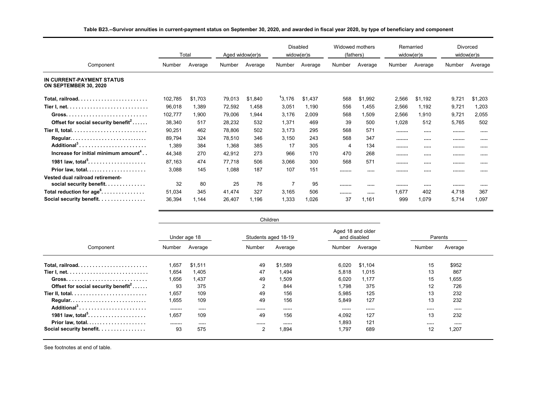|                                                              |         | Total   |        | Aged widow(er)s |                    | <b>Disabled</b><br>widow(er)s | Widowed mothers<br>(fathers) |         | Remarried | widow(er)s | <b>Divorced</b><br>widow(er)s |         |
|--------------------------------------------------------------|---------|---------|--------|-----------------|--------------------|-------------------------------|------------------------------|---------|-----------|------------|-------------------------------|---------|
| Component                                                    | Number  | Average | Number | Average         | Number             | Average                       | Number                       | Average | Number    | Average    | Number                        | Average |
| IN CURRENT-PAYMENT STATUS<br>ON SEPTEMBER 30, 2020           |         |         |        |                 |                    |                               |                              |         |           |            |                               |         |
|                                                              | 102,785 | \$1,703 | 79,013 | \$1,840         | <sup>1</sup> 3,176 | \$1,437                       | 568                          | \$1,992 | 2,566     | \$1,192    | 9,72'                         | \$1,203 |
|                                                              | 96,018  | 1,389   | 72,592 | 1,458           | 3,051              | 1,190                         | 556                          | 1,455   | 2,566     | 1,192      | 9,721                         | 1,203   |
|                                                              | 102,777 | 1,900   | 79,006 | 1,944           | 3,176              | 2,009                         | 568                          | 1,509   | 2,566     | 1,910      | 9,721                         | 2,055   |
| Offset for social security benefit <sup>2</sup>              | 38,340  | 517     | 28,232 | 532             | 1,371              | 469                           | 39                           | 500     | 1,028     | 512        | 5,765                         | 502     |
|                                                              | 90,251  | 462     | 78,806 | 502             | 3,173              | 295                           | 568                          | 571     |           |            |                               |         |
| Regular                                                      | 89.794  | 324     | 78,510 | 346             | 3,150              | 243                           | 568                          | 347     |           |            |                               |         |
| Additional <sup>3</sup>                                      | 1,389   | 384     | 1,368  | 385             | 17                 | 305                           | 4                            | 134     |           |            |                               |         |
| Increase for initial minimum amount <sup>4</sup>             | 44,348  | 270     | 42,912 | 273             | 966                | 170                           | 470                          | 268     |           |            |                               |         |
| 1981 law, total <sup>5</sup>                                 | 87,163  | 474     | 77,718 | 506             | 3,066              | 300                           | 568                          | 571     |           |            |                               |         |
| Prior law, total                                             | 3,088   | 145     | 1,088  | 187             | 107                | 151                           |                              |         |           |            |                               |         |
| Vested dual railroad retirement-<br>social security benefit. | 32      | 80      | 25     | 76              | 7                  | 95                            |                              |         |           |            |                               |         |
| Total reduction for age <sup>6</sup>                         | 51,034  | 345     | 41,474 | 327             | 3,165              | 506                           |                              |         | 1.677     | 402        | 4.718                         | 367     |
| Social security benefit.                                     | 36,394  | 1,144   | 26,407 | 1,196           | 1,333              | 1,026                         | 37                           | 1,161   | 999       | 1,079      | 5,714                         | 1,097   |

#### **Table B23.--Survivor annuities in current-payment status on September 30, 2020, and awarded in fiscal year 2020, by type of beneficiary and component**

|                                                 |        |              | Children            |         |        |                                   |        |         |
|-------------------------------------------------|--------|--------------|---------------------|---------|--------|-----------------------------------|--------|---------|
|                                                 |        | Under age 18 | Students aged 18-19 |         |        | Aged 18 and older<br>and disabled |        | Parents |
| Component                                       | Number | Average      | Number              | Average | Number | Average                           | Number | Average |
|                                                 | 1,657  | \$1,511      | 49                  | \$1,589 | 6,020  | \$1,104                           | 15     | \$952   |
|                                                 | 1,654  | 1,405        | 47                  | 1.494   | 5,818  | 1,015                             | 13     | 867     |
|                                                 | 1,656  | 1,437        | 49                  | 1,509   | 6,020  | 1,177                             | 15     | 1,655   |
| Offset for social security benefit <sup>2</sup> | 93     | 375          | $\overline{2}$      | 844     | 1.798  | 375                               | 12     | 726     |
|                                                 | 1.657  | 109          | 49                  | 156     | 5.985  | 125                               | 13     | 232     |
| Regular                                         | 1,655  | 109          | 49                  | 156     | 5,849  | 127                               | 13     | 232     |
| Additional <sup>3</sup>                         |        |              |                     |         |        |                                   |        |         |
| 1981 law, total <sup>5</sup>                    | 1,657  | 109          | 49                  | 156     | 4,092  | 127                               | 13     | 232     |
| Prior law, total                                |        |              |                     |         | 1.893  | 121                               |        |         |
| Social security benefit.                        | 93     | 575          | 2                   | .894    | 1,797  | 689                               | 12     | 1,207   |

See footnotes at end of table.

Ξ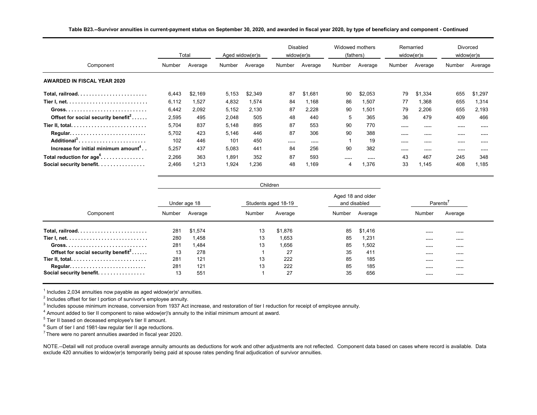|                                                  |        | Total   |        | Aged widow(er)s |        | <b>Disabled</b><br>widow(er)s |        | Widowed mothers<br>(fathers) |        | Remarried<br>widow(er)s | Divorced<br>widow(er)s |         |
|--------------------------------------------------|--------|---------|--------|-----------------|--------|-------------------------------|--------|------------------------------|--------|-------------------------|------------------------|---------|
| Component                                        | Number | Average | Number | Average         | Number | Average                       | Number | Average                      | Number | Average                 | Number                 | Average |
| <b>AWARDED IN FISCAL YEAR 2020</b>               |        |         |        |                 |        |                               |        |                              |        |                         |                        |         |
|                                                  | 6,443  | \$2.169 | 5,153  | \$2,349         | 87     | \$1,681                       | 90     | \$2,053                      | 79     | \$1,334                 | 655                    | \$1,297 |
|                                                  | 6,112  | 1,527   | 4,832  | 1,574           | 84     | 1,168                         | 86     | 1,507                        | 77     | 1,368                   | 655                    | 1,314   |
|                                                  | 6,442  | 2,092   | 5,152  | 2.130           | 87     | 2,228                         | 90     | 1,501                        | 79     | 2,206                   | 655                    | 2.193   |
| Offset for social security benefit <sup>2</sup>  | 2.595  | 495     | 2,048  | 505             | 48     | 440                           | 5      | 365                          | 36     | 479                     | 409                    | 466     |
|                                                  | 5,704  | 837     | 5,148  | 895             | 87     | 553                           | 90     | 770                          |        |                         |                        |         |
| Regular                                          | 5,702  | 423     | 5,146  | 446             | 87     | 306                           | 90     | 388                          |        |                         |                        |         |
| Additional <sup>3</sup>                          | 102    | 446     | 101    | 450             |        |                               |        | 19                           |        |                         |                        |         |
| Increase for initial minimum amount <sup>4</sup> | 5.257  | 437     | 5.083  | 441             | 84     | 256                           | 90     | 382                          |        |                         |                        |         |
| Total reduction for $age^6$                      | 2,266  | 363     | 1,891  | 352             | 87     | 593                           |        |                              | 43     | 467                     | 245                    | 348     |
| Social security benefit.                         | 2,466  | 1,213   | 1,924  | 0.236           | 48     | 1,169                         | 4      | 1,376                        | 33     | 1.145                   | 408                    | 1.185   |

**Table B23.--Survivor annuities in current-payment status on September 30, 2020, and awarded in fiscal year 2020, by type of beneficiary and component - Continued**

|                                                 |        |              | Children            |         |        |                                   |          |         |
|-------------------------------------------------|--------|--------------|---------------------|---------|--------|-----------------------------------|----------|---------|
|                                                 |        | Under age 18 | Students aged 18-19 |         |        | Aged 18 and older<br>and disabled | Parents' |         |
| Component                                       | Number | Average      | Number              | Average | Number | Average                           | Number   | Average |
|                                                 | 281    | \$1.574      | 13                  | \$1.876 | 85     | \$1,416                           |          |         |
|                                                 | 280    | 1,458        | 13                  | 1,653   | 85     | 1,231                             |          |         |
|                                                 | 281    | 1,484        | 13                  | 1,656   | 85     | 1,502                             |          |         |
| Offset for social security benefit <sup>2</sup> | 13     | 278          |                     | 27      | 35     | 411                               |          |         |
|                                                 | 281    | 121          | 13                  | 222     | 85     | 185                               |          |         |
| Regular                                         | 281    | 121          | 13                  | 222     | 85     | 185                               |          |         |
| Social security benefit.                        | 13     | 551          |                     | 27      | 35     | 656                               |          |         |

 $^{\text{1}}$  Includes 2,034 annuities now payable as aged widow(er)s' annuities.

 $2$  Includes offset for tier I portion of survivor's employee annuity.

<sup>3</sup> Includes spouse minimum increase, conversion from 1937 Act increase, and restoration of tier I reduction for receipt of employee annuity.

 $^4$  Amount added to tier II component to raise widow(er)'s annuity to the initial minimum amount at award.

 $^5$  Tier II based on deceased employee's tier II amount.

 $^6$  Sum of tier I and 1981-law regular tier II age reductions.

 $7$  There were no parent annuities awarded in fiscal year 2020.

NOTE.--Detail will not produce overall average annuity amounts as deductions for work and other adjustments are not reflected. Component data based on cases where record is available. Data exclude 420 annuities to widow(er)s temporarily being paid at spouse rates pending final adjudication of survivor annuities.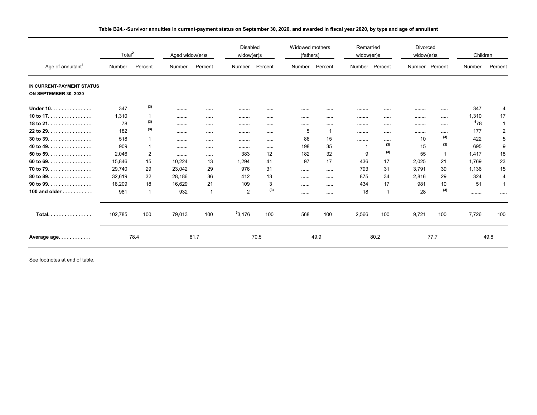|                                                    | Total <sup>2</sup> |         | Aged widow(er)s |              | <b>Disabled</b><br>widow(er)s |         | Widowed mothers<br>(fathers) |          | Remarried<br>widow(er)s |         | <b>Divorced</b><br>widow(er)s |      | Children |                |
|----------------------------------------------------|--------------------|---------|-----------------|--------------|-------------------------------|---------|------------------------------|----------|-------------------------|---------|-------------------------------|------|----------|----------------|
| Age of annuitant <sup>1</sup>                      | Number             | Percent | Number          | Percent      | Number                        | Percent | Number                       | Percent  | Number                  | Percent | Number Percent                |      | Number   | Percent        |
| IN CURRENT-PAYMENT STATUS<br>ON SEPTEMBER 30, 2020 |                    |         |                 |              |                               |         |                              |          |                         |         |                               |      |          |                |
| Under 10.                                          | 347                | (3)     |                 |              |                               |         |                              |          |                         |         |                               |      | 347      | 4              |
| 10 to $17. \ldots \ldots \ldots \ldots$            | 1,310              | 1       |                 |              |                               |         |                              |          |                         |         |                               |      | 1,310    | 17             |
| 18 to $21$ .                                       | 78                 | (3)     |                 |              |                               |         |                              |          |                         |         |                               |      | 478      | -1             |
| 22 to 29. $\dots$ .                                | 182                | (3)     |                 |              |                               |         | 5                            | -1       |                         |         |                               |      | 177      | $\overline{2}$ |
| $30$ to $39.$                                      | 518                | 1       |                 |              |                               |         | 86                           | 15       |                         |         | 10                            | (3)  | 422      | 5              |
| 40 to 49.                                          | 909                | 1       |                 |              |                               |         | 198                          | 35       |                         | (3)     | 15                            | (3)  | 695      | 9              |
| $50$ to $59.$                                      | 2,046              | 2       |                 |              | 383                           | 12      | 182                          | 32       | 9                       | (3)     | 55                            |      | 1.417    | 18             |
| 60 to 69.                                          | 15,846             | 15      | 10.224          | 13           | 1.294                         | 41      | 97                           | 17       | 436                     | 17      | 2,025                         | 21   | 1.769    | 23             |
| 70 to 79. $\dots$ .                                | 29,740             | 29      | 23.042          | 29           | 976                           | 31      |                              |          | 793                     | 31      | 3.791                         | 39   | 1.136    | 15             |
| 80 to 89.                                          | 32,619             | 32      | 28.186          | 36           | 412                           | 13      |                              |          | 875                     | 34      | 2.816                         | 29   | 324      | 4              |
| 90 to 99. $\dots$ .                                | 18,209             | 18      | 16,629          | 21           | 109                           | 3       |                              | $\cdots$ | 434                     | 17      | 981                           | 10   | 51       | 1              |
| 100 and older                                      | 981                | 1       | 932             | $\mathbf{1}$ | $\overline{2}$                | (3)     |                              |          | 18                      | 1       | 28                            | (3)  |          |                |
| Total                                              | 102,785            | 100     | 79,013          | 100          | 53,176                        | 100     | 568                          | 100      | 2,566                   | 100     | 9,721                         | 100  | 7,726    | 100            |
| Average age                                        |                    | 78.4    |                 | 81.7         |                               | 70.5    |                              | 49.9     |                         | 80.2    |                               | 77.7 |          | 49.8           |

**Table B24.--Survivor annuities in current-payment status on September 30, 2020, and awarded in fiscal year 2020, by type and age of annuitant**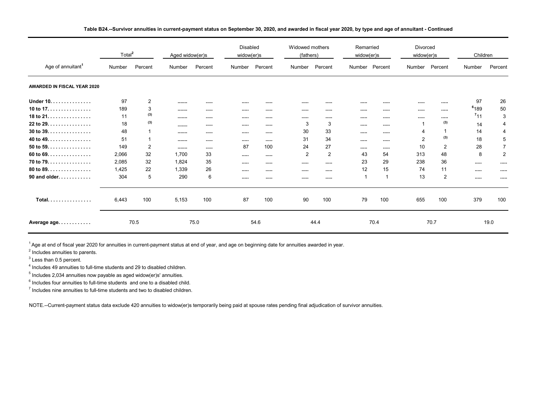|                                    | Total <sup>2</sup> |                | Aged widow(er)s |         | <b>Disabled</b><br>widow(er)s |         | Widowed mothers<br>(fathers) |         | Remarried<br>widow(er)s |                | Divorced<br>widow(er)s |                | Children         |                |
|------------------------------------|--------------------|----------------|-----------------|---------|-------------------------------|---------|------------------------------|---------|-------------------------|----------------|------------------------|----------------|------------------|----------------|
| Age of annuitant <sup>1</sup>      | Number             | Percent        | Number          | Percent | Number                        | Percent | Number                       | Percent |                         | Number Percent | Number                 | Percent        | Number           | Percent        |
| <b>AWARDED IN FISCAL YEAR 2020</b> |                    |                |                 |         |                               |         |                              |         |                         |                |                        |                |                  |                |
| Under 10.                          | 97                 | 2              |                 |         |                               |         |                              |         |                         |                | $\cdots$               | 1.1.1.1        | 97               | 26             |
| 10 to $17.$                        | 189                | 3              |                 |         |                               | 1.111   | $\cdots$                     |         |                         | $\cdots$       | $\cdots$               | 1.1.1.1        | <sup>6</sup> 189 | 50             |
| 18 to $21.$                        | 11                 | (3)            |                 |         |                               |         |                              |         |                         |                | $\cdots$               | $\cdots$       | $7_{11}$         | 3              |
| 22 to 29. $\dots$ .                | 18                 | (3)            |                 |         |                               |         | 3                            | 3       |                         |                |                        | (3)            | 14               | 4              |
| $30$ to $39.$                      | 48                 | 1              |                 |         |                               |         | 30                           | 33      |                         |                | 4                      |                | 14               | $\overline{4}$ |
| 40 to 49.                          | 51                 | 1              |                 |         |                               |         | 31                           | 34      |                         |                | $\overline{2}$         | (3)            | 18               | 5              |
| 50 to 59. $\dots$ .                | 149                | $\overline{2}$ |                 |         | 87                            | 100     | 24                           | 27      |                         | $\cdots$       | 10                     | $\overline{2}$ | 28               | $\overline{7}$ |
| 60 to 69. $\dots$ .                | 2,066              | 32             | 1,700           | 33      |                               |         | 2                            | 2       | 43                      | 54             | 313                    | 48             | 8                | $\overline{2}$ |
| 70 to 79.                          | 2,085              | 32             | 1,824           | 35      | $\cdots$                      |         | $\cdots$                     |         | 23                      | 29             | 238                    | 36             | $\cdots$         |                |
| 80 to 89. $\dots$ .                | 1,425              | 22             | 1,339           | 26      |                               |         |                              |         | 12                      | 15             | 74                     | 11             |                  |                |
| 90 and older.                      | 304                | 5              | 290             | 6       |                               |         |                              |         | $\mathbf{1}$            |                | 13                     | 2              | $\cdots$         |                |
| Total.                             | 6,443              | 100            | 5,153           | 100     | 87                            | 100     | 90                           | 100     | 79                      | 100            | 655                    | 100            | 379              | 100            |
| Average age                        |                    | 70.5           |                 | 75.0    |                               | 54.6    |                              | 44.4    |                         | 70.4           |                        | 70.7           |                  | 19.0           |

**Table B24.--Survivor annuities in current-payment status on September 30, 2020, and awarded in fiscal year 2020, by type and age of annuitant - Continued**

<sup>1</sup> Age at end of fiscal year 2020 for annuities in current-payment status at end of year, and age on beginning date for annuities awarded in year.

 $2$  Includes annuities to parents.

 $^3$  Less than 0.5 percent.

<sup>4</sup> Includes 49 annuities to full-time students and 29 to disabled children.<br><sup>5</sup> Includes 2.034 annuities now payable as aged videw(er)s' annuities

 $<sup>5</sup>$  Includes 2,034 annuities now payable as aged widow(er)s' annuities.</sup>

 $^6$  Includes four annuities to full-time students  $% \alpha$  and one to a disabled child.

 $^7$  Includes nine annuities to full-time students and two to disabled children.

NOTE.--Current-payment status data exclude 420 annuities to widow(er)s temporarily being paid at spouse rates pending final adjudication of survivor annuities.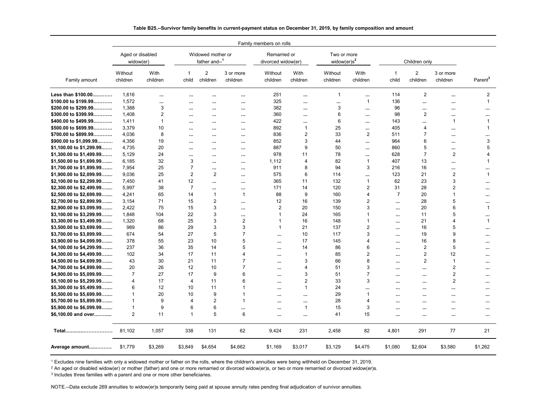|                            |                               |                  |                       |                                    |                              | Family members on rolls            |                  |                                            |                  |                       |                            |                         |                          |
|----------------------------|-------------------------------|------------------|-----------------------|------------------------------------|------------------------------|------------------------------------|------------------|--------------------------------------------|------------------|-----------------------|----------------------------|-------------------------|--------------------------|
|                            | Aged or disabled<br>widow(er) |                  |                       | Widowed mother or<br>father and--1 |                              | Remarried or<br>divorced widow(er) |                  | Two or more<br>widow( $er$ )s <sup>2</sup> |                  |                       | Children only              |                         |                          |
| Family amount              | Without<br>children           | With<br>children | $\mathbf{1}$<br>child | $\overline{2}$<br>children         | 3 or more<br>children        | Without<br>children                | With<br>children | Without<br>children                        | With<br>children | $\mathbf{1}$<br>child | $\overline{2}$<br>children | 3 or more<br>children   | Parent <sup>3</sup>      |
| Less than \$100.00         | 1,616                         | $\ddotsc$        | $\cdots$              | $\cdots$                           | $\ddotsc$                    | 251                                | $\cdots$         | $\mathbf{1}$                               | $\ddotsc$        | 114                   | 2                          | $\ddot{\phantom{a}}$    | $\overline{\mathbf{c}}$  |
| \$100.00 to \$199.99       | 1,572                         | $\ddotsc$        | $\ddotsc$             |                                    | $\cdots$                     | 325                                |                  | $\ddotsc$                                  | $\mathbf{1}$     | 136                   |                            |                         | $\mathbf{1}$             |
| \$200.00 to \$299.99       | 1,388                         | 3                | $\cdots$              | $\cdots$                           | $\cdots$                     | 382                                |                  | 3                                          |                  | 96                    |                            | $\cdots$                | $\cdots$                 |
| \$300.00 to \$399.99       | 1,408                         | 2                | $\cdots$              | $\cdots$                           | $\cdots$                     | 360                                |                  | 6                                          |                  | 98                    | 2                          | $\cdots$                | $\cdots$                 |
| \$400.00 to \$499.99       | 1.411                         | $\mathbf{1}$     | $\ddotsc$             |                                    | $\cdots$                     | 422                                |                  | 6                                          | $\cdots$         | 143                   |                            | $\overline{\mathbf{1}}$ | $\mathbf{1}$             |
| \$500.00 to \$699.99       | 3.379                         | 10               | $\ddotsc$             | $\cdots$                           | $\cdots$                     | 892                                | $\mathbf{1}$     | 25                                         | $\cdots$         | 405                   | 4                          |                         | $\mathbf{1}$             |
| \$700.00 to \$899.99       | 4.036                         | 8                | $\cdots$              |                                    | $\cdots$                     | 836                                | $\overline{2}$   | 33                                         | 2                | 511                   | $\overline{7}$             | $\cdots$                |                          |
| \$900.00 to \$1,099.99     | 4,356                         | 19               | $\cdots$              | $\cdots$                           | $\cdots$                     | 852                                | 3                | 44                                         | $\ddotsc$        | 964                   | 6                          | $\cdots$                | 3                        |
| \$1,100.00 to \$1,299.99   | 4,735                         | 20               | $\ddotsc$             | $\cdots$                           | $\ddotsc$                    | 887                                | 9                | 50                                         | $\ddotsc$        | 860                   | 5                          | $\cdots$                | 5                        |
| $$1,300.00$ to $$1,499.99$ | 5,129                         | 24               | $\cdots$              | $\cdots$                           | $\cdots$                     | 978                                | 11               | 78                                         |                  | 628                   | $\overline{7}$             | $\overline{c}$          | 4                        |
| \$1,500.00 to \$1,699.99   | 6,185                         | 32               | 3                     | $\cdots$                           | $\cdots$                     | 1,112                              | 4                | 82                                         | $\mathbf{1}$     | 407                   | 13                         |                         | $\mathbf{1}$             |
| \$1,700.00 to \$1,899.99   | 7,954                         | 25               | $\overline{7}$        | $\cdots$                           | $\ddotsc$                    | 911                                | 8                | 94                                         | 3                | 216                   | 16                         | $\cdots$                |                          |
| \$1,900.00 to \$2,099.99   | 9,036                         | 25               | $\overline{2}$        | $\overline{2}$                     | $\cdots$                     | 575                                | 6                | 114                                        | $\cdots$         | 123                   | 21                         | $\overline{2}$          | $\mathbf{1}$             |
| \$2,100.00 to \$2,299.99   | 7,450                         | 41               | 12                    | $\cdots$                           | $\ddotsc$                    | 365                                | 11               | 132                                        | $\mathbf{1}$     | 62                    | 23                         | 3                       | $\cdots$                 |
| \$2,300.00 to \$2,499.99   | 5,997                         | 38               | $\overline{7}$        |                                    | $\ddotsc$                    | 171                                | 14               | 120                                        | $\overline{2}$   | 31                    | 28                         | $\overline{2}$          |                          |
| \$2,500.00 to \$2,699.99   | 4,241                         | 65               | 14                    | $\overline{1}$                     | $\mathbf{1}$                 | 88                                 | 9                | 160                                        | $\overline{4}$   | $\overline{7}$        | 20                         | 1                       |                          |
| \$2,700.00 to \$2,899.99   | 3,154                         | 71               | 15                    | $\overline{c}$                     |                              | 12                                 | 16               | 139                                        | $\overline{2}$   |                       | 28                         | 5                       |                          |
| \$2,900.00 to \$3,099.99   | 2,422                         | 75               | 15                    | 3                                  | $\cdots$                     | $\overline{2}$                     | 20               | 150                                        | 3                | $\cdots$              | 20                         | 6                       | $\cdots$<br>$\mathbf{1}$ |
| \$3,100.00 to \$3,299.99   | 1.848                         | 104              | 22                    | 3                                  | $\cdots$                     | $\mathbf{1}$                       | 24               | 165                                        | $\mathbf{1}$     | $\cdots$              | 11                         | 5                       |                          |
|                            |                               | 68               | 25                    | 3                                  | $\ddotsc$                    | $\mathbf{1}$                       | 16               | 148                                        | $\mathbf{1}$     |                       | 21                         | 4                       | <br>$\mathbf{1}$         |
| \$3,300.00 to \$3,499.99   | 1,320<br>989                  | 86               | 29                    | 3                                  | $\overline{\mathbf{c}}$<br>3 | $\mathbf{1}$                       | 21               | 137                                        | $\overline{c}$   | $\cdots$              | 16                         | 5                       |                          |
| \$3,500.00 to \$3,699.99   |                               |                  |                       | 5                                  | $\overline{7}$               |                                    |                  |                                            | 3                | $\cdots$              |                            | 9                       |                          |
| \$3,700.00 to \$3,899.99   | 674                           | 54               | 27                    |                                    |                              | $\ddot{\phantom{a}}$               | 10               | 117                                        |                  | $\cdots$              | 19                         |                         | $\cdots$                 |
| \$3,900.00 to \$4,099.99   | 378                           | 55               | 23                    | 10                                 | 5                            |                                    | 17               | 145                                        | $\overline{4}$   |                       | 16                         | 8                       | $\cdots$                 |
| \$4,100.00 to \$4,299.99   | 237                           | 36               | 35                    | 14                                 | 5                            |                                    | 14               | 86                                         | 6                |                       | $\overline{2}$             | 5                       | $\cdots$                 |
| \$4,300.00 to \$4,499.99   | 102                           | 34               | 17                    | 11                                 | $\overline{4}$               | $\cdots$                           | $\mathbf 1$      | 85                                         | $\overline{2}$   | $\cdots$              | $\overline{2}$             | 12                      | $\cdots$                 |
| \$4,500.00 to \$4,699.99   | 43                            | 30               | 21                    | 11                                 | $\overline{7}$               |                                    | 3                | 66                                         | 8                |                       | $\overline{2}$             | -1                      | $\cdots$                 |
| \$4,700.00 to \$4,899.99   | 20                            | 26               | 12                    | 10                                 | $\overline{7}$               |                                    | 4                | 51                                         | 3                |                       |                            | $\overline{2}$          |                          |
| $$4,900.00$ to $$5,099.99$ | $\overline{7}$                | 27               | 17                    | 9                                  | 6                            | $\cdots$                           | 3                | 51                                         | $\overline{7}$   | $\cdots$              |                            | $\overline{2}$          | $\cdots$                 |
| \$5,100.00 to \$5,299.99   | 4                             | 17               | $\overline{4}$        | 11                                 | 6                            | $\ddotsc$                          | $\overline{2}$   | 33                                         | 3                | $\cdots$              | $\cdots$                   | $\overline{2}$          | $\cdots$                 |
| \$5,300.00 to \$5,499.99   | 6                             | 12               | 10                    | 11                                 | $\mathbf{1}$                 |                                    | 1                | 24                                         |                  |                       |                            |                         |                          |
| \$5,500.00 to \$5,699.99   | 1                             | 20               | 10                    | 9                                  | $\mathbf 1$                  | $\ddotsc$                          |                  | 29                                         | $\mathbf 1$      |                       |                            | $\cdots$                | $\cdots$                 |
| \$5,700.00 to \$5,899.99   | 1                             | 9                | $\overline{4}$        | 2                                  | $\mathbf{1}$                 | $\cdots$                           |                  | 28                                         | 4                |                       | $\cdots$                   | $\cdots$                | $\cdots$                 |
| \$5,900.00 to \$6,099.99   | 1                             | 9                | 6                     | 6                                  | $\ddotsc$                    | $\cdots$                           | $\mathbf{1}$     | 15                                         | 3                |                       |                            | $\cdots$                |                          |
| \$6,100.00 and over        | $\overline{2}$                | 11               | $\mathbf{1}$          | 5                                  | 6                            |                                    | $\ddotsc$        | 41                                         | 15               | $\cdots$              |                            | $\cdots$                | $\cdots$                 |
| Total                      | 81,102                        | 1,057            | 338                   | 131                                | 62                           | 9,424                              | 231              | 2,458                                      | 82               | 4,801                 | 291                        | 77                      | 21                       |
| Average amount             | \$1,779                       | \$3,269          | \$3,849               | \$4,654                            | \$4,662                      | \$1,169                            | \$3,017          | \$3,129                                    | \$4,475          | \$1,080               | \$2,604                    | \$3,580                 | \$1,262                  |

#### **Table B25.--Survivor family benefits in current-payment status on December 31, 2019, by family composition and amount**

1 Excludes nine families with only a widowed mother or father on the rolls, where the children's annuities were being withheld on December 31, 2019.

 $^2$  An aged or disabled widow(er) or mother (father) and one or more remarried or divorced widow(er)s, or two or more remarried or divorced widow(er)s.

 $^3$  Includes three families with a parent and one or more other beneficiaries.

NOTE.--Data exclude 269 annuities to widow(er)s temporarily being paid at spouse annuity rates pending final adjudication of survivor annuities.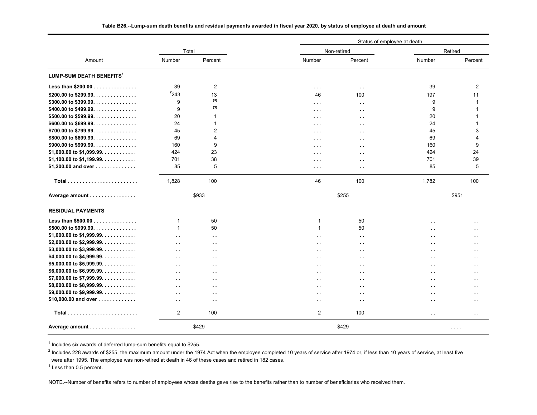|                                      |                      |                      |                      |                      | Status of employee at death |                             |  |  |
|--------------------------------------|----------------------|----------------------|----------------------|----------------------|-----------------------------|-----------------------------|--|--|
|                                      | Total                |                      |                      | Non-retired          |                             | Retired                     |  |  |
| Amount                               | <b>Number</b>        | Percent              | Number               | Percent              | Number                      | Percent                     |  |  |
| LUMP-SUM DEATH BENEFITS <sup>1</sup> |                      |                      |                      |                      |                             |                             |  |  |
| Less than \$200.00                   | 39                   | $\overline{c}$       | $\sim$ $\sim$ $\sim$ | $\sim$ $\sim$        | 39                          | $\overline{2}$              |  |  |
| \$200.00 to \$299.99.                | 2243                 | 13                   | 46                   | 100                  | 197                         | 11                          |  |  |
| \$300.00 to \$399.99.                | 9                    | (3)                  | $\cdots$             | $\sim$ $\sim$        | 9                           | $\mathbf{1}$                |  |  |
| \$400.00 to \$499.99.                | 9                    | (3)                  | $\cdots$             | $\ddot{\phantom{1}}$ | 9                           | -1                          |  |  |
| \$500.00 to \$599.99.                | 20                   | 1                    | $\cdots$             | $\sim$ $\sim$        | 20                          | 1                           |  |  |
| $$600.00$ to $$699.99$               | 24                   | 1                    | $\sim$ $\sim$ $\sim$ | $\sim$ $\sim$        | 24                          | $\mathbf{1}$                |  |  |
| \$700.00 to \$799.99.                | 45                   | $\overline{2}$       | $\cdots$             | $\sim$               | 45                          | 3                           |  |  |
| \$800.00 to \$899.99.                | 69                   | 4                    | $\sim$ $\sim$ $\sim$ | $\sim$ $\sim$        | 69                          | 4                           |  |  |
| \$900.00 to \$999.99.                | 160                  | 9                    | $\cdots$             | $\sim$ $\sim$        | 160                         | 9                           |  |  |
| \$1,000.00 to \$1,099.99.            | 424                  | 23                   | $\cdots$             | $\sim$ $\sim$        | 424                         | 24                          |  |  |
| \$1,100.00 to \$1,199.99.            | 701                  | 38                   |                      |                      | 701                         | 39                          |  |  |
| \$1,200.00 and over                  | 85                   | 5                    | $\sim$ $\sim$ $\sim$ | $\sim$ $\sim$        | 85                          | 5                           |  |  |
|                                      |                      |                      | $\cdots$             | $\ddot{\phantom{a}}$ |                             |                             |  |  |
| <b>Total</b>                         | 1,828                | 100                  | 46                   | 100                  | 1,782                       | 100                         |  |  |
| Average amount                       |                      | \$933                |                      | \$255                |                             | \$951                       |  |  |
| <b>RESIDUAL PAYMENTS</b>             |                      |                      |                      |                      |                             |                             |  |  |
| Less than \$500.00                   | $\mathbf 1$          | 50                   | 1                    | 50                   | $\ddot{\phantom{a}}$        | $\sim$ $\sim$               |  |  |
| \$500.00 to \$999.99.                | $\mathbf{1}$         | 50                   | 1                    | 50                   | $\sim$ $\sim$               | $\sim$ $\sim$               |  |  |
| \$1,000.00 to \$1,999.99.            | $\sim$ $\sim$        | $\sim$               | $\ddot{\phantom{a}}$ | $\sim$ $\sim$        | $\ddot{\phantom{a}}$        | $\sim$                      |  |  |
| \$2,000.00 to \$2,999.99.            | $\ddot{\phantom{a}}$ | н.                   | $\ddot{\phantom{1}}$ | $\sim$ $\sim$        | $\ddot{\phantom{a}}$        | $\sim$ $\sim$               |  |  |
| \$3,000.00 to \$3,999.99.            | $\sim$ $\sim$        | $\ddot{\phantom{a}}$ | $\sim$ $\sim$        | $\sim$ $\sim$        | $\ddot{\phantom{a}}$        | $\sim$ $\sim$               |  |  |
| \$4,000.00 to \$4,999.99.            | $\ddot{\phantom{a}}$ | $\ddot{\phantom{a}}$ | $\sim$               | $\sim$ $\sim$        | $\ddot{\phantom{a}}$        | $\sim$ $\sim$               |  |  |
| \$5,000.00 to \$5,999.99.            | $\ddot{\phantom{0}}$ | $\ddot{\phantom{0}}$ | $\sim$               | $\sim$ $\sim$        | $\sim$                      | $\sim$ $\sim$               |  |  |
| \$6,000.00 to \$6,999.99.            | $\ddot{\phantom{0}}$ | $\ddot{\phantom{a}}$ | $\sim$               | $\sim$ $\sim$        | $\ddot{\phantom{a}}$        | $\sim$ $\sim$               |  |  |
| \$7,000.00 to \$7,999.99.            | $\ddot{\phantom{a}}$ | н.                   | $\ddot{\phantom{1}}$ | $\sim$ $\sim$        | $\sim$                      | $\sim$ $\sim$               |  |  |
| \$8,000.00 to \$8,999.99.            |                      |                      |                      |                      |                             |                             |  |  |
| \$9,000.00 to \$9,999.99.            | $\sim$ $\sim$        | $\sim$               | $\ddot{\phantom{a}}$ | $\sim$               | $\ddot{\phantom{a}}$        | $\sim$ $\sim$               |  |  |
| \$10,000.00 and over                 | $\ddot{\phantom{a}}$ | $\ddot{\phantom{a}}$ | $\sim$               | $\sim$ $\sim$        | $\sim$                      | $\sim$ $\sim$               |  |  |
|                                      | $\sim$ $\sim$        | $\sim$ $\sim$        | $\sim$               | $\sim$ $\sim$        | $\sim$                      | $\sim$ $\sim$               |  |  |
| $Total$                              | $\overline{2}$       | 100                  | 2                    | 100                  | $\ddotsc$                   | $\sim$ $\sim$               |  |  |
| Average amount                       |                      | \$429                |                      | \$429                |                             | $\sim$ $\sim$ $\sim$ $\sim$ |  |  |

#### **Table B26.--Lump-sum death benefits and residual payments awarded in fiscal year 2020, by status of employee at death and amount**

 $1$  Includes six awards of deferred lump-sum benefits equal to \$255.

 $^2$  Includes 228 awards of \$255, the maximum amount under the 1974 Act when the employee completed 10 years of service after 1974 or, if less than 10 years of service, at least five were after 1995. The employee was non-retired at death in 46 of these cases and retired in 182 cases.

 $3$  Less than 0.5 percent.

NOTE.--Number of benefits refers to number of employees whose deaths gave rise to the benefits rather than to number of beneficiaries who received them.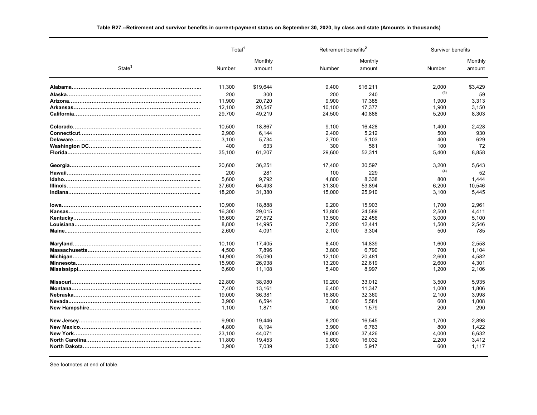# Total<sup>1</sup> and Retirement benefits<sup>2</sup> and Survivor benefits **Survivor benefits**  Monthly Monthly Monthly State**<sup>3</sup>** Number amount Number amount Number amountamount **Alabama………………………………………………………………...** \$19,644 9,400 11,300 \$16,211 2,000 \$3,429 **Alaska…………………………………………………………………...** 300 200 200 <sup>240</sup> **(4)** <sup>59</sup> **Arizona……………………………………………………………….....** 20,720 11,900 9,900 17,385 1,900 3,313 **Arkansas……………………………………………………………….** 20,547 12,100 10,100 17,377 1,900 3,150 **California……………………………………………………………….** 49,219 29,700 24,500 40,888 5,200 8,303 **Colorado……………………………………………………………......** 18,867 10,500 9,100 16,428 1,400 2,428 **Connecticut……………………………………………………............** 6,144 2,900 2,400 5,212 500 930 **Delaware………………………………………………………………..** 5,734 3,100 2,700 5,103 400 629 **Washington DC……………………………………………………………………** 400 633 300 561 72 **Florida………………………………………………………………......** 61,207 35,100 29,600 52,311 5,400 8,858 **Georgia………………………………………………………………....** 36,251 20,600 17,400 30,597 3,200 5,643 **Hawaii……………………………………………………………….......** 281 200 100 <sup>229</sup> **(4)** <sup>52</sup> **Idaho………………………………………………………………........** 9,792 5,600 4,800 8,338 800 1,444 **Illinois……………………………………………………………..........** 64,493 37,600 31,300 53,894 6,200 10,546 **Indiana……………………………………………………………….....** 31,380 18,200 15,000 25,910 3,100 5,445 **Iowa………………………………………………………………..........** 18,888 10,900 9,200 15,903 1,700 2,961 **Kansas……………………………………………………………….....** 29,015 16,300 13,800 24,589 2,500 4,411 **Kentucky……………………………………………………………......** 27,572 16,600 13,500 22,456 3,000 5,100 **Louisiana…………………………………………………………........** 14,995 8,800 7,200 12,441 1,500 2,546 **Maine...……………………………………………………………….....** 4,091 2,600 2,100 3,304 500 785 **Maryland……………………………………………………………......** 17,405 10,100 8,400 14,839 1,600 2,558 **Massachusetts………………………………………………..............** 7,896 4,500 3,800 6,790 700 1,104 **Michigan……………………………………………………………......** 25,090 14,900 12,100 20,481 2,600 4,582 **Minnesota………………………………………………………….......** 26,938 15,900 13,200 22,619 2,600 4,301 **Mississippi…………………………………………………….............** 11,108 6,600 5,400 8,997 1,200 2,106 **Missouri…………………………………………………………….......** 38,980 22,800 19,200 33,012 3,500 5,935 **Montana………………………………………………………………...** 13,161 7,400 6,400 11,347 1,000 1,806 **Nebraska…………………………………………………………….....** 36,381 19,000 16,800 32,360 2,100 3,998 **Nevada.………………………………………………………………....** 6,594 3,900 3,300 5,581 600 1,008 **New Hampshire…………………………………………………………** 1,100 1,871 900 1,579 290 290 **New Jersey……………………………………………………….........** 19,446 9,900 8,200 16,545 1,700 2,898

**New Mexico………………………………………………………........** 8,194 4,800 3,900 6,763 800 1,422 **New York…………………………………………………………….....** 44,071 23,100 19,000 37,426 4,000 6,632 **North Carolina……………………………………………………………………** 11.800 19.453 16.032 2.200 3.412 **North Dakota………………………………………………….............** 7,039 3,900 3,300 5,917 600 1,117

#### **Table B27.--Retirement and survivor benefits in current-payment status on September 30, 2020, by class and state (Amounts in thousands)**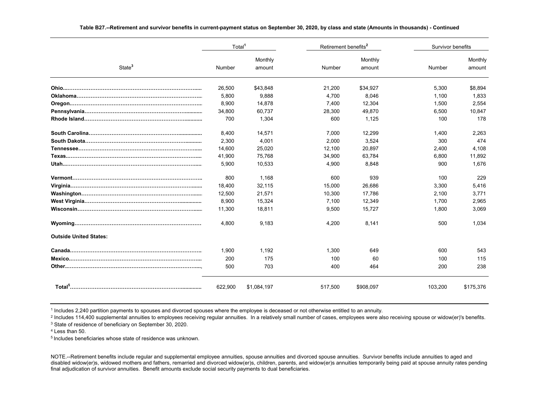|                                           | Total <sup>1</sup> |                   |         | Retirement benefits <sup>2</sup> |         | Survivor benefits |  |
|-------------------------------------------|--------------------|-------------------|---------|----------------------------------|---------|-------------------|--|
| State <sup>3</sup>                        | Number             | Monthly<br>amount | Number  | Monthly<br>amount                | Number  | Monthly<br>amount |  |
|                                           | 26,500             | \$43,848          | 21,200  | \$34,927                         | 5.300   | \$8,894           |  |
|                                           | 5.800              | 9.888             | 4.700   | 8.046                            | 1.100   | 1.833             |  |
|                                           | 8,900              | 14,878            | 7,400   | 12,304                           | 1,500   | 2,554             |  |
|                                           | 34,800             | 60.737            | 28,300  | 49,870                           | 6,500   | 10,847            |  |
|                                           | 700                | 1,304             | 600     | 1,125                            | 100     | 178               |  |
|                                           | 8,400              | 14,571            | 7.000   | 12,299                           | 1.400   | 2,263             |  |
|                                           | 2,300              | 4,001             | 2,000   | 3,524                            | 300     | 474               |  |
| <u> Tennessee………………………………………………………………</u> | 14,600             | 25,020            | 12,100  | 20,897                           | 2,400   | 4,108             |  |
|                                           | 41,900             | 75,768            | 34.900  | 63,784                           | 6,800   | 11,892            |  |
|                                           | 5,900              | 10,533            | 4,900   | 8,848                            | 900     | 1,676             |  |
|                                           | 800                | 1.168             | 600     | 939                              | 100     | 229               |  |
|                                           | 18,400             | 32,115            | 15,000  | 26,686                           | 3,300   | 5,416             |  |
|                                           | 12,500             | 21,571            | 10,300  | 17,786                           | 2,100   | 3,771             |  |
|                                           | 8,900              | 15,324            | 7,100   | 12,349                           | 1,700   | 2,965             |  |
|                                           | 11,300             | 18,811            | 9,500   | 15,727                           | 1,800   | 3,069             |  |
|                                           | 4.800              | 9.183             | 4.200   | 8.141                            | 500     | 1.034             |  |
| <b>Outside United States:</b>             |                    |                   |         |                                  |         |                   |  |
|                                           | 1,900              | 1,192             | 1.300   | 649                              | 600     | 543               |  |
|                                           | 200                | 175               | 100     | 60                               | 100     | 115               |  |
|                                           | 500                | 703               | 400     | 464                              | 200     | 238               |  |
|                                           | 622,900            | \$1,084,197       | 517,500 | \$908,097                        | 103,200 | \$175,376         |  |

#### **Table B27.--Retirement and survivor benefits in current-payment status on September 30, 2020, by class and state (Amounts in thousands) - Continued**

1 Includes 2,240 partition payments to spouses and divorced spouses where the employee is deceased or not otherwise entitled to an annuity.

2 Includes 114,400 supplemental annuities to employees receiving regular annuities. In a relatively small number of cases, employees were also receiving spouse or widow(er)'s benefits.

 $^3$  State of residence of beneficiary on September 30, 2020.

4 Less than 50.

5 Includes beneficiaries whose state of residence was unknown.

NOTE.--Retirement benefits include regular and supplemental employee annuities, spouse annuities and divorced spouse annuities. Survivor benefits include annuities to aged and disabled widow(er)s, widowed mothers and fathers, remarried and divorced widow(er)s, children, parents, and widow(er)s annuities temporarily being paid at spouse annuity rates pending final adjudication of survivor annuities. Benefit amounts exclude social security payments to dual beneficiaries.